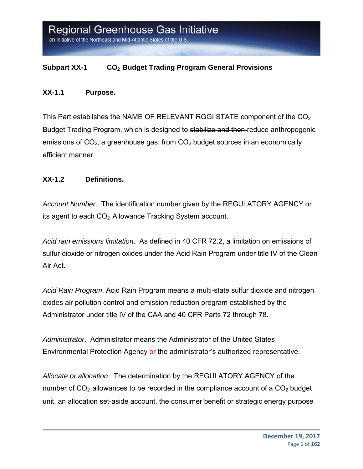#### **Subpart XX-1 CO2 Budget Trading Program General Provisions**

#### **XX-1.1 Purpose.**

This Part establishes the NAME OF RELEVANT RGGI STATE component of the  $CO<sub>2</sub>$ Budget Trading Program, which is designed to stabilize and then reduce anthropogenic emissions of  $CO<sub>2</sub>$ , a greenhouse gas, from  $CO<sub>2</sub>$  budget sources in an economically efficient manner.

#### **XX-1.2 Definitions.**

*Account Number*. The identification number given by the REGULATORY AGENCY or its agent to each  $CO<sub>2</sub>$  Allowance Tracking System account.

*Acid rain emissions limitation*. As defined in 40 CFR 72.2, a limitation on emissions of sulfur dioxide or nitrogen oxides under the Acid Rain Program under title IV of the Clean Air Act.

*Acid Rain Program*. Acid Rain Program means a multi-state sulfur dioxide and nitrogen oxides air pollution control and emission reduction program established by the Administrator under title IV of the CAA and 40 CFR Parts 72 through 78.

*Administrator*. Administrator means the Administrator of the United States Environmental Protection Agency or the administrator's authorized representative.

*Allocate or allocation*. The determination by the REGULATORY AGENCY of the number of  $CO<sub>2</sub>$  allowances to be recorded in the compliance account of a  $CO<sub>2</sub>$  budget unit, an allocation set-aside account, the consumer benefit or strategic energy purpose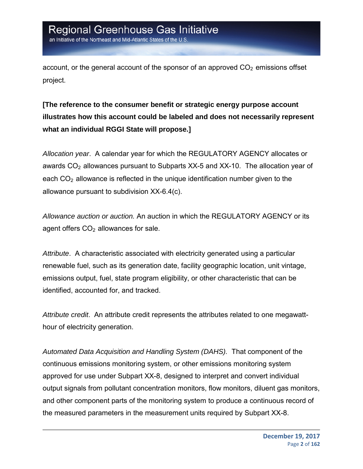an Initiative of the Northeast and Mid-Atlantic States of the U.S

account, or the general account of the sponsor of an approved  $CO<sub>2</sub>$  emissions offset project.

**[The reference to the consumer benefit or strategic energy purpose account illustrates how this account could be labeled and does not necessarily represent what an individual RGGI State will propose.]** 

*Allocation year*. A calendar year for which the REGULATORY AGENCY allocates or awards  $CO<sub>2</sub>$  allowances pursuant to Subparts XX-5 and XX-10. The allocation year of each  $CO<sub>2</sub>$  allowance is reflected in the unique identification number given to the allowance pursuant to subdivision XX-6.4(c).

*Allowance auction or auction.* An auction in which the REGULATORY AGENCY or its agent offers  $CO<sub>2</sub>$  allowances for sale.

*Attribute*. A characteristic associated with electricity generated using a particular renewable fuel, such as its generation date, facility geographic location, unit vintage, emissions output, fuel, state program eligibility, or other characteristic that can be identified, accounted for, and tracked.

*Attribute credit*. An attribute credit represents the attributes related to one megawatthour of electricity generation.

*Automated Data Acquisition and Handling System (DAHS).* That component of the continuous emissions monitoring system, or other emissions monitoring system approved for use under Subpart XX-8, designed to interpret and convert individual output signals from pollutant concentration monitors, flow monitors, diluent gas monitors, and other component parts of the monitoring system to produce a continuous record of the measured parameters in the measurement units required by Subpart XX-8.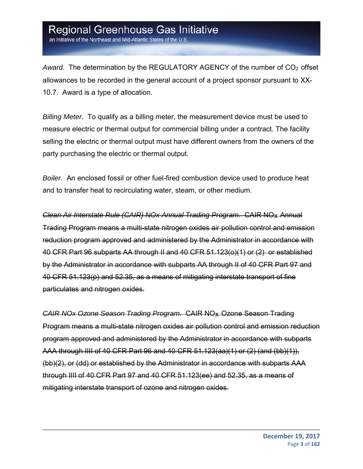an Initiative of the Northeast and Mid-Atlantic States of the U.S

*Award*. The determination by the REGULATORY AGENCY of the number of CO<sub>2</sub> offset allowances to be recorded in the general account of a project sponsor pursuant to XX-10.7. Award is a type of allocation.

*Billing Meter*. To qualify as a billing meter, the measurement device must be used to measure electric or thermal output for commercial billing under a contract. The facility selling the electric or thermal output must have different owners from the owners of the party purchasing the electric or thermal output.

*Boiler.* An enclosed fossil or other fuel-fired combustion device used to produce heat and to transfer heat to recirculating water, steam, or other medium.

*Clean Air Interstate Rule (CAIR) NOx Annual Trading Program*. CAIR NOx Annual Trading Program means a multi-state nitrogen oxides air pollution control and emission reduction program approved and administered by the Administrator in accordance with 40 CFR Part 96 subparts AA through II and 40 CFR 51.123(o)(1) or (2) or established by the Administrator in accordance with subparts AA through II of 40 CFR Part 97 and 40 CFR 51.123(p) and 52.35, as a means of mitigating interstate transport of fine particulates and nitrogen oxides.

*CAIR NOx Ozone Season Trading Program*. CAIR NOx Ozone Season Trading Program means a multi-state nitrogen oxides air pollution control and emission reduction program approved and administered by the Administrator in accordance with subparts AAA through IIII of 40 CFR Part 96 and 40 CFR 51.123(aa)(1) or (2) (and (bb)(1)), (bb)(2), or (dd) or established by the Administrator in accordance with subparts AAA through IIII of 40 CFR Part 97 and 40 CFR 51.123(ee) and 52.35, as a means of mitigating interstate transport of ozone and nitrogen oxides.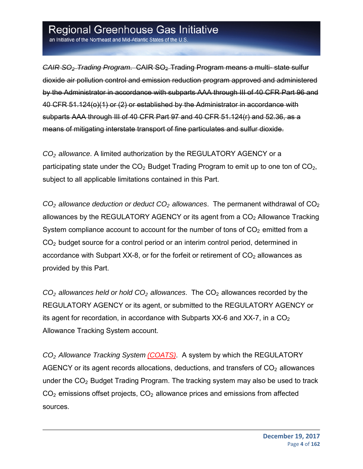an Initiative of the Northeast and Mid-Atlantic States of the U.S.

*CAIR SO2 Trading Program*. CAIR SO2 Trading Program means a multi- state sulfur dioxide air pollution control and emission reduction program approved and administered by the Administrator in accordance with subparts AAA through III of 40 CFR Part 96 and 40 CFR 51.124(o)(1) or (2) or established by the Administrator in accordance with subparts AAA through III of 40 CFR Part 97 and 40 CFR 51.124(r) and 52.36, as a means of mitigating interstate transport of fine particulates and sulfur dioxide.

*CO2 allowance*. A limited authorization by the REGULATORY AGENCY or a participating state under the  $CO<sub>2</sub>$  Budget Trading Program to emit up to one ton of  $CO<sub>2</sub>$ , subject to all applicable limitations contained in this Part.

 $CO<sub>2</sub>$  *allowance deduction or deduct*  $CO<sub>2</sub>$  *allowances*. The permanent withdrawal of  $CO<sub>2</sub>$ allowances by the REGULATORY AGENCY or its agent from a  $CO<sub>2</sub>$  Allowance Tracking System compliance account to account for the number of tons of  $CO<sub>2</sub>$  emitted from a CO<sub>2</sub> budget source for a control period or an interim control period, determined in accordance with Subpart XX-8, or for the forfeit or retirement of  $CO<sub>2</sub>$  allowances as provided by this Part.

*CO2 allowances held or hold CO2 allowances*. The CO2 allowances recorded by the REGULATORY AGENCY or its agent, or submitted to the REGULATORY AGENCY or its agent for recordation, in accordance with Subparts  $XX-6$  and  $XX-7$ , in a  $CO<sub>2</sub>$ Allowance Tracking System account.

*CO2 Allowance Tracking System (COATS)*. A system by which the REGULATORY AGENCY or its agent records allocations, deductions, and transfers of  $CO<sub>2</sub>$  allowances under the  $CO<sub>2</sub>$  Budget Trading Program. The tracking system may also be used to track  $CO<sub>2</sub>$  emissions offset projects,  $CO<sub>2</sub>$  allowance prices and emissions from affected sources.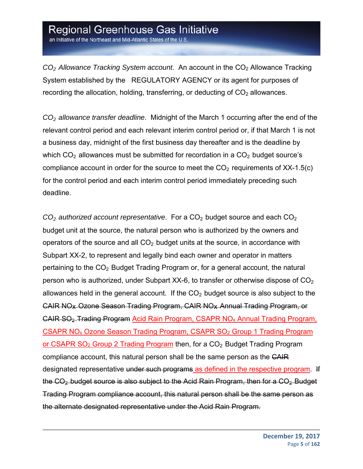an Initiative of the Northeast and Mid-Atlantic States of the U.S.

*CO2 Allowance Tracking System account*. An account in the CO2 Allowance Tracking System established by the REGULATORY AGENCY or its agent for purposes of recording the allocation, holding, transferring, or deducting of  $CO<sub>2</sub>$  allowances.

*CO2 allowance transfer deadline*. Midnight of the March 1 occurring after the end of the relevant control period and each relevant interim control period or, if that March 1 is not a business day, midnight of the first business day thereafter and is the deadline by which  $CO<sub>2</sub>$  allowances must be submitted for recordation in a  $CO<sub>2</sub>$  budget source's compliance account in order for the source to meet the  $CO<sub>2</sub>$  requirements of XX-1.5(c) for the control period and each interim control period immediately preceding such deadline.

*CO2 authorized account representative*. For a CO2 budget source and each CO2 budget unit at the source, the natural person who is authorized by the owners and operators of the source and all  $CO<sub>2</sub>$  budget units at the source, in accordance with Subpart XX-2, to represent and legally bind each owner and operator in matters pertaining to the CO<sub>2</sub> Budget Trading Program or, for a general account, the natural person who is authorized, under Subpart XX-6, to transfer or otherwise dispose of  $CO<sub>2</sub>$ allowances held in the general account. If the  $CO<sub>2</sub>$  budget source is also subject to the CAIR NOx Ozone Season Trading Program, CAIR NOx Annual Trading Program, or CAIR SO2 Trading Program Acid Rain Program, CSAPR NOx Annual Trading Program, CSAPR NOx Ozone Season Trading Program, CSAPR SO2 Group 1 Trading Program or CSAPR  $SO<sub>2</sub>$  Group 2 Trading Program then, for a  $CO<sub>2</sub>$  Budget Trading Program compliance account, this natural person shall be the same person as the CAIR designated representative under such programs as defined in the respective program. If the CO<sub>2</sub>-budget source is also subject to the Acid Rain Program, then for a CO<sub>2</sub>-Budget Trading Program compliance account, this natural person shall be the same person as the alternate designated representative under the Acid Rain Program.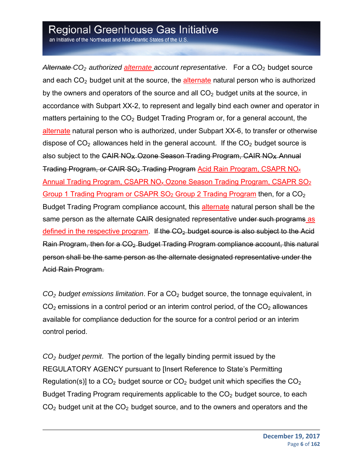an Initiative of the Northeast and Mid-Atlantic States of the U.S.

Alternate CO<sub>2</sub> authorized alternate account representative. For a CO<sub>2</sub> budget source and each  $CO<sub>2</sub>$  budget unit at the source, the alternate natural person who is authorized by the owners and operators of the source and all  $CO<sub>2</sub>$  budget units at the source, in accordance with Subpart XX-2, to represent and legally bind each owner and operator in matters pertaining to the  $CO<sub>2</sub>$  Budget Trading Program or, for a general account, the alternate natural person who is authorized, under Subpart XX-6, to transfer or otherwise dispose of  $CO<sub>2</sub>$  allowances held in the general account. If the  $CO<sub>2</sub>$  budget source is also subject to the CAIR NO<sub>x</sub> Ozone Season Trading Program, CAIR NO<sub>x</sub> Annual Trading Program, or CAIR SO<sub>2</sub>-Trading Program Acid Rain Program, CSAPR NO<sub>x</sub> Annual Trading Program, CSAPR NOx Ozone Season Trading Program, CSAPR SO2 Group 1 Trading Program or CSAPR  $SO<sub>2</sub>$  Group 2 Trading Program then, for a  $CO<sub>2</sub>$ Budget Trading Program compliance account, this alternate natural person shall be the same person as the alternate CAIR designated representative under such programs as defined in the respective program. If the  $CO<sub>2</sub>$  budget source is also subject to the Acid Rain Program, then for a CO<sub>2</sub>-Budget Trading Program compliance account, this natural person shall be the same person as the alternate designated representative under the Acid Rain Program.

*CO2 budget emissions limitation*. For a CO2 budget source, the tonnage equivalent, in  $CO<sub>2</sub>$  emissions in a control period or an interim control period, of the  $CO<sub>2</sub>$  allowances available for compliance deduction for the source for a control period or an interim control period.

*CO2 budget permit*. The portion of the legally binding permit issued by the REGULATORY AGENCY pursuant to [Insert Reference to State's Permitting Regulation(s)] to a  $CO<sub>2</sub>$  budget source or  $CO<sub>2</sub>$  budget unit which specifies the  $CO<sub>2</sub>$ Budget Trading Program requirements applicable to the  $CO<sub>2</sub>$  budget source, to each  $CO<sub>2</sub>$  budget unit at the  $CO<sub>2</sub>$  budget source, and to the owners and operators and the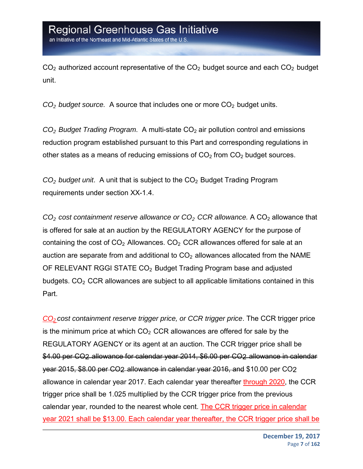$CO<sub>2</sub>$  authorized account representative of the  $CO<sub>2</sub>$  budget source and each  $CO<sub>2</sub>$  budget unit.

*CO2 budget source.* A source that includes one or more CO2 budget units.

*CO2 Budget Trading Program*. A multi-state CO2 air pollution control and emissions reduction program established pursuant to this Part and corresponding regulations in other states as a means of reducing emissions of  $CO<sub>2</sub>$  from  $CO<sub>2</sub>$  budget sources.

*CO2 budget unit*. A unit that is subject to the CO2 Budget Trading Program requirements under section XX-1.4.

*CO2 cost containment reserve allowance or CO2 CCR allowance.* A CO2 allowance that is offered for sale at an auction by the REGULATORY AGENCY for the purpose of containing the cost of  $CO<sub>2</sub>$  Allowances.  $CO<sub>2</sub>$  CCR allowances offered for sale at an auction are separate from and additional to  $CO<sub>2</sub>$  allowances allocated from the NAME OF RELEVANT RGGI STATE CO<sub>2</sub> Budget Trading Program base and adjusted budgets.  $CO<sub>2</sub> CCR$  allowances are subject to all applicable limitations contained in this Part.

*CO2 cost containment reserve trigger price, or CCR trigger price*. The CCR trigger price is the minimum price at which  $CO<sub>2</sub>$  CCR allowances are offered for sale by the REGULATORY AGENCY or its agent at an auction. The CCR trigger price shall be \$4.00 per CO2 allowance for calendar year 2014, \$6.00 per CO2 allowance in calendar year 2015, \$8.00 per CO2 allowance in calendar year 2016, and \$10.00 per CO2 allowance in calendar year 2017. Each calendar year thereafter through 2020, the CCR trigger price shall be 1.025 multiplied by the CCR trigger price from the previous calendar year, rounded to the nearest whole cent. The CCR trigger price in calendar year 2021 shall be \$13.00. Each calendar year thereafter, the CCR trigger price shall be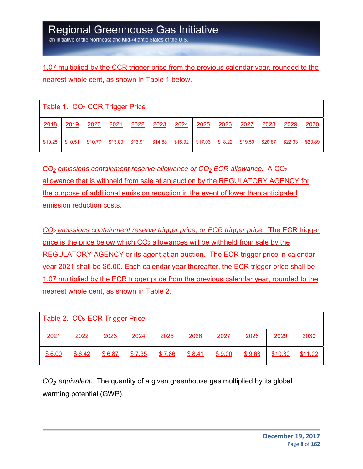an Initiative of the Northeast and Mid-Atlantic States of the U.S

1.07 multiplied by the CCR trigger price from the previous calendar year, rounded to the nearest whole cent, as shown in Table 1 below.

| Table 1. CO <sub>2</sub> CCR Trigger Price |         |         |         |         |         |         |         |         |         |         |         |         |
|--------------------------------------------|---------|---------|---------|---------|---------|---------|---------|---------|---------|---------|---------|---------|
| 2018                                       | 2019    | 2020    | 2021    | 2022    | 2023    | 2024    | 2025    | 2026    | 2027    | 2028    | 2029    | 2030    |
| \$10.25                                    | \$10.51 | \$10.77 | \$13.00 | \$13.91 | \$14.88 | \$15.92 | \$17.03 | \$18.22 | \$19.50 | \$20.87 | \$22.33 | \$23.89 |

*CO2 emissions containment reserve allowance or CO2 ECR allowance.* A CO2 allowance that is withheld from sale at an auction by the REGULATORY AGENCY for the purpose of additional emission reduction in the event of lower than anticipated emission reduction costs.

*CO2 emissions containment reserve trigger price, or ECR trigger price*. The ECR trigger price is the price below which CO2 allowances will be withheld from sale by the REGULATORY AGENCY or its agent at an auction. The ECR trigger price in calendar year 2021 shall be \$6.00. Each calendar year thereafter, the ECR trigger price shall be 1.07 multiplied by the ECR trigger price from the previous calendar year, rounded to the nearest whole cent, as shown in Table 2.

| Table 2. CO <sub>2</sub> ECR Trigger Price |        |        |             |        |        |        |        |         |         |  |  |
|--------------------------------------------|--------|--------|-------------|--------|--------|--------|--------|---------|---------|--|--|
| 2021                                       | 2022   | 2023   | <u>2024</u> | 2025   | 2026   | 2027   | 2028   | 2029    | 2030    |  |  |
| \$6.00                                     | \$6.42 | \$6.87 | \$7.35      | \$7.86 | \$8.41 | \$9.00 | \$9.63 | \$10.30 | \$11.02 |  |  |

*CO2 equivalent*. The quantity of a given greenhouse gas multiplied by its global warming potential (GWP).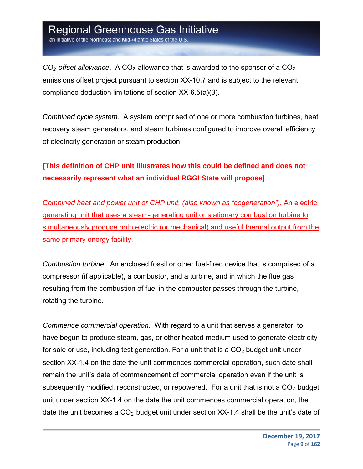an Initiative of the Northeast and Mid-Atlantic States of the U.S

 $CO<sub>2</sub>$  *offset allowance*. A  $CO<sub>2</sub>$  allowance that is awarded to the sponsor of a  $CO<sub>2</sub>$ emissions offset project pursuant to section XX-10.7 and is subject to the relevant compliance deduction limitations of section XX-6.5(a)(3).

*Combined cycle system*. A system comprised of one or more combustion turbines, heat recovery steam generators, and steam turbines configured to improve overall efficiency of electricity generation or steam production.

#### **[This definition of CHP unit illustrates how this could be defined and does not necessarily represent what an individual RGGI State will propose]**

*Combined heat and power unit or CHP unit, (also known as "cogeneration")*. An electric generating unit that uses a steam-generating unit or stationary combustion turbine to simultaneously produce both electric (or mechanical) and useful thermal output from the same primary energy facility.

*Combustion turbine*. An enclosed fossil or other fuel-fired device that is comprised of a compressor (if applicable), a combustor, and a turbine, and in which the flue gas resulting from the combustion of fuel in the combustor passes through the turbine, rotating the turbine.

*Commence commercial operation*. With regard to a unit that serves a generator, to have begun to produce steam, gas, or other heated medium used to generate electricity for sale or use, including test generation. For a unit that is a  $CO<sub>2</sub>$  budget unit under section XX-1.4 on the date the unit commences commercial operation, such date shall remain the unit's date of commencement of commercial operation even if the unit is subsequently modified, reconstructed, or repowered. For a unit that is not a  $CO<sub>2</sub>$  budget unit under section XX-1.4 on the date the unit commences commercial operation, the date the unit becomes a  $CO<sub>2</sub>$  budget unit under section XX-1.4 shall be the unit's date of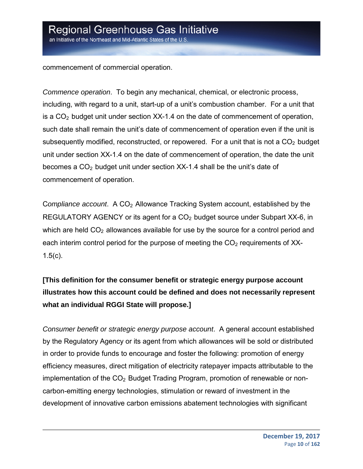commencement of commercial operation.

*Commence operation*. To begin any mechanical, chemical, or electronic process, including, with regard to a unit, start-up of a unit's combustion chamber. For a unit that is a  $CO<sub>2</sub>$  budget unit under section XX-1.4 on the date of commencement of operation, such date shall remain the unit's date of commencement of operation even if the unit is subsequently modified, reconstructed, or repowered. For a unit that is not a  $CO<sub>2</sub>$  budget unit under section XX-1.4 on the date of commencement of operation, the date the unit becomes a  $CO<sub>2</sub>$  budget unit under section XX-1.4 shall be the unit's date of commencement of operation.

C*ompliance account*. A CO2 Allowance Tracking System account, established by the REGULATORY AGENCY or its agent for a  $CO<sub>2</sub>$  budget source under Subpart XX-6, in which are held  $CO<sub>2</sub>$  allowances available for use by the source for a control period and each interim control period for the purpose of meeting the  $CO<sub>2</sub>$  requirements of XX- $1.5(c)$ .

#### **[This definition for the consumer benefit or strategic energy purpose account illustrates how this account could be defined and does not necessarily represent what an individual RGGI State will propose.]**

*Consumer benefit or strategic energy purpose account*. A general account established by the Regulatory Agency or its agent from which allowances will be sold or distributed in order to provide funds to encourage and foster the following: promotion of energy efficiency measures, direct mitigation of electricity ratepayer impacts attributable to the implementation of the  $CO<sub>2</sub>$  Budget Trading Program, promotion of renewable or noncarbon-emitting energy technologies, stimulation or reward of investment in the development of innovative carbon emissions abatement technologies with significant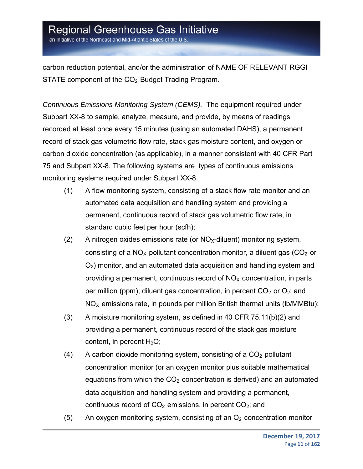an Initiative of the Northeast and Mid-Atlantic States of the U.S.

carbon reduction potential, and/or the administration of NAME OF RELEVANT RGGI STATE component of the  $CO<sub>2</sub>$  Budget Trading Program.

*Continuous Emissions Monitoring System (CEMS).* The equipment required under Subpart XX-8 to sample, analyze, measure, and provide, by means of readings recorded at least once every 15 minutes (using an automated DAHS), a permanent record of stack gas volumetric flow rate, stack gas moisture content, and oxygen or carbon dioxide concentration (as applicable), in a manner consistent with 40 CFR Part 75 and Subpart XX-8. The following systems are types of continuous emissions monitoring systems required under Subpart XX-8.

- (1) A flow monitoring system, consisting of a stack flow rate monitor and an automated data acquisition and handling system and providing a permanent, continuous record of stack gas volumetric flow rate, in standard cubic feet per hour (scfh);
- (2) A nitrogen oxides emissions rate (or  $NO<sub>X</sub>$ -diluent) monitoring system, consisting of a  $NO<sub>x</sub>$  pollutant concentration monitor, a diluent gas ( $CO<sub>2</sub>$  or  $O<sub>2</sub>$ ) monitor, and an automated data acquisition and handling system and providing a permanent, continuous record of  $NO<sub>x</sub>$  concentration, in parts per million (ppm), diluent gas concentration, in percent  $CO<sub>2</sub>$  or  $O<sub>2</sub>$ ; and  $NO<sub>X</sub>$  emissions rate, in pounds per million British thermal units (Ib/MMBtu);
- (3) A moisture monitoring system, as defined in 40 CFR 75.11(b)(2) and providing a permanent, continuous record of the stack gas moisture content, in percent  $H_2O$ ;
- (4) A carbon dioxide monitoring system, consisting of a  $CO<sub>2</sub>$  pollutant concentration monitor (or an oxygen monitor plus suitable mathematical equations from which the  $CO<sub>2</sub>$  concentration is derived) and an automated data acquisition and handling system and providing a permanent, continuous record of  $CO<sub>2</sub>$  emissions, in percent  $CO<sub>2</sub>$ ; and
- (5) An oxygen monitoring system, consisting of an  $O<sub>2</sub>$  concentration monitor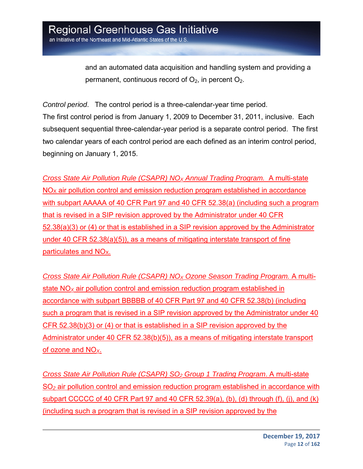an Initiative of the Northeast and Mid-Atlantic States of the U.S

and an automated data acquisition and handling system and providing a permanent, continuous record of  $O_2$ , in percent  $O_2$ .

*Control period*. The control period is a three-calendar-year time period. The first control period is from January 1, 2009 to December 31, 2011, inclusive. Each subsequent sequential three-calendar-year period is a separate control period. The first two calendar years of each control period are each defined as an interim control period, beginning on January 1, 2015.

*Cross State Air Pollution Rule (CSAPR) NOX Annual Trading Program.* A multi-state NO<sub>x</sub> air pollution control and emission reduction program established in accordance with subpart AAAAA of 40 CFR Part 97 and 40 CFR 52.38(a) (including such a program that is revised in a SIP revision approved by the Administrator under 40 CFR 52.38(a)(3) or (4) or that is established in a SIP revision approved by the Administrator under 40 CFR 52.38(a)(5)), as a means of mitigating interstate transport of fine particulates and NO<sub>X</sub>.

*Cross State Air Pollution Rule (CSAPR) NOX Ozone Season Trading Program.* A multistate NO*X* air pollution control and emission reduction program established in accordance with subpart BBBBB of 40 CFR Part 97 and 40 CFR 52.38(b) (including such a program that is revised in a SIP revision approved by the Administrator under 40 CFR 52.38(b)(3) or (4) or that is established in a SIP revision approved by the Administrator under 40 CFR 52.38(b)(5)), as a means of mitigating interstate transport of ozone and NO*X*.

*Cross State Air Pollution Rule (CSAPR) SO2 Group 1 Trading Program*. A multi-state SO*2* air pollution control and emission reduction program established in accordance with subpart CCCCC of 40 CFR Part 97 and 40 CFR 52.39(a), (b), (d) through  $(f)$ , (j), and  $(k)$ (including such a program that is revised in a SIP revision approved by the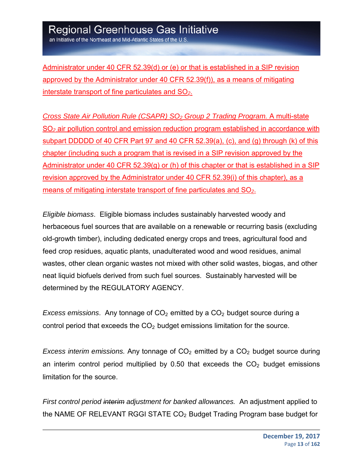an Initiative of the Northeast and Mid-Atlantic States of the U.S

Administrator under 40 CFR 52.39(d) or (e) or that is established in a SIP revision approved by the Administrator under 40 CFR 52.39(f)), as a means of mitigating interstate transport of fine particulates and SO*2*.

*Cross State Air Pollution Rule (CSAPR) SO2 Group 2 Trading Program.* A multi-state SO*2* air pollution control and emission reduction program established in accordance with subpart DDDDD of 40 CFR Part 97 and 40 CFR 52.39(a), (c), and (g) through (k) of this chapter (including such a program that is revised in a SIP revision approved by the Administrator under 40 CFR 52.39(g) or (h) of this chapter or that is established in a SIP revision approved by the Administrator under 40 CFR 52.39(i) of this chapter), as a means of mitigating interstate transport of fine particulates and SO*2*.

*Eligible biomass*. Eligible biomass includes sustainably harvested woody and herbaceous fuel sources that are available on a renewable or recurring basis (excluding old-growth timber), including dedicated energy crops and trees, agricultural food and feed crop residues, aquatic plants, unadulterated wood and wood residues, animal wastes, other clean organic wastes not mixed with other solid wastes, biogas, and other neat liquid biofuels derived from such fuel sources. Sustainably harvested will be determined by the REGULATORY AGENCY.

*Excess emissions.* Any tonnage of CO<sub>2</sub> emitted by a CO<sub>2</sub> budget source during a control period that exceeds the  $CO<sub>2</sub>$  budget emissions limitation for the source.

*Excess interim emissions.* Any tonnage of CO<sub>2</sub> emitted by a CO<sub>2</sub> budget source during an interim control period multiplied by 0.50 that exceeds the  $CO<sub>2</sub>$  budget emissions limitation for the source.

*First control period interim adjustment for banked allowances.* An adjustment applied to the NAME OF RELEVANT RGGI STATE  $CO<sub>2</sub>$  Budget Trading Program base budget for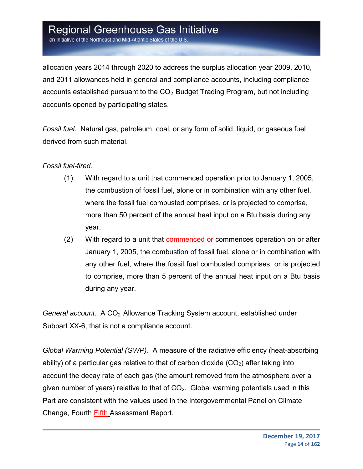an Initiative of the Northeast and Mid-Atlantic States of the U.S

allocation years 2014 through 2020 to address the surplus allocation year 2009, 2010, and 2011 allowances held in general and compliance accounts, including compliance accounts established pursuant to the  $CO<sub>2</sub>$  Budget Trading Program, but not including accounts opened by participating states.

*Fossil fuel.* Natural gas, petroleum, coal, or any form of solid, liquid, or gaseous fuel derived from such material.

#### *Fossil fuel-fired*.

- (1) With regard to a unit that commenced operation prior to January 1, 2005, the combustion of fossil fuel, alone or in combination with any other fuel, where the fossil fuel combusted comprises, or is projected to comprise, more than 50 percent of the annual heat input on a Btu basis during any year.
- (2) With regard to a unit that **commenced or commences operation on or after** January 1, 2005, the combustion of fossil fuel, alone or in combination with any other fuel, where the fossil fuel combusted comprises, or is projected to comprise, more than 5 percent of the annual heat input on a Btu basis during any year.

General account. A CO<sub>2</sub> Allowance Tracking System account, established under Subpart XX-6, that is not a compliance account.

*Global Warming Potential (GWP).* A measure of the radiative efficiency (heat-absorbing ability) of a particular gas relative to that of carbon dioxide  $(CO<sub>2</sub>)$  after taking into account the decay rate of each gas (the amount removed from the atmosphere over a given number of years) relative to that of  $CO<sub>2</sub>$ . Global warming potentials used in this Part are consistent with the values used in the Intergovernmental Panel on Climate Change, Fourth Fifth Assessment Report.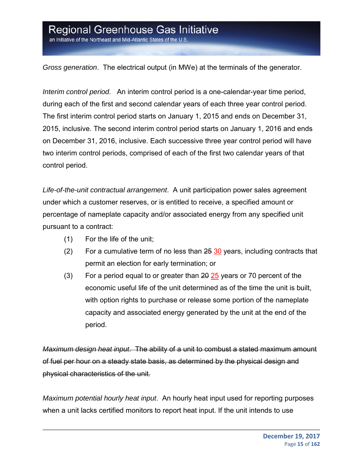an Initiative of the Northeast and Mid-Atlantic States of the U.S

*Gross generation*. The electrical output (in MWe) at the terminals of the generator.

*Interim control period*. An interim control period is a one-calendar-year time period, during each of the first and second calendar years of each three year control period. The first interim control period starts on January 1, 2015 and ends on December 31, 2015, inclusive. The second interim control period starts on January 1, 2016 and ends on December 31, 2016, inclusive. Each successive three year control period will have two interim control periods, comprised of each of the first two calendar years of that control period.

*Life-of-the-unit contractual arrangement*. A unit participation power sales agreement under which a customer reserves, or is entitled to receive, a specified amount or percentage of nameplate capacity and/or associated energy from any specified unit pursuant to a contract:

- (1) For the life of the unit;
- (2) For a cumulative term of no less than  $25\,30$  years, including contracts that permit an election for early termination; or
- (3) For a period equal to or greater than  $20\,25$  years or 70 percent of the economic useful life of the unit determined as of the time the unit is built, with option rights to purchase or release some portion of the nameplate capacity and associated energy generated by the unit at the end of the period.

*Maximum design heat input*. The ability of a unit to combust a stated maximum amount of fuel per hour on a steady state basis, as determined by the physical design and physical characteristics of the unit.

*Maximum potential hourly heat input*. An hourly heat input used for reporting purposes when a unit lacks certified monitors to report heat input. If the unit intends to use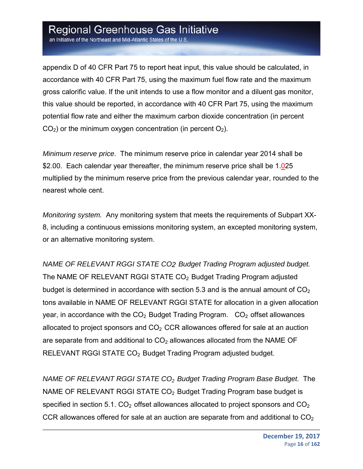an Initiative of the Northeast and Mid-Atlantic States of the U.S.

appendix D of 40 CFR Part 75 to report heat input, this value should be calculated, in accordance with 40 CFR Part 75, using the maximum fuel flow rate and the maximum gross calorific value. If the unit intends to use a flow monitor and a diluent gas monitor, this value should be reported, in accordance with 40 CFR Part 75, using the maximum potential flow rate and either the maximum carbon dioxide concentration (in percent  $CO<sub>2</sub>$ ) or the minimum oxygen concentration (in percent  $O<sub>2</sub>$ ).

*Minimum reserve price*. The minimum reserve price in calendar year 2014 shall be \$2.00. Each calendar year thereafter, the minimum reserve price shall be 1.025 multiplied by the minimum reserve price from the previous calendar year, rounded to the nearest whole cent.

*Monitoring system.* Any monitoring system that meets the requirements of Subpart XX-8, including a continuous emissions monitoring system, an excepted monitoring system, or an alternative monitoring system.

*NAME OF RELEVANT RGGI STATE CO2 Budget Trading Program adjusted budget.*  The NAME OF RELEVANT RGGI STATE CO<sub>2</sub> Budget Trading Program adjusted budget is determined in accordance with section 5.3 and is the annual amount of  $CO<sub>2</sub>$ tons available in NAME OF RELEVANT RGGI STATE for allocation in a given allocation year, in accordance with the  $CO<sub>2</sub>$  Budget Trading Program.  $CO<sub>2</sub>$  offset allowances allocated to project sponsors and  $CO<sub>2</sub> CCR$  allowances offered for sale at an auction are separate from and additional to  $CO<sub>2</sub>$  allowances allocated from the NAME OF RELEVANT RGGI STATE CO<sub>2</sub> Budget Trading Program adjusted budget.

*NAME OF RELEVANT RGGI STATE CO2 Budget Trading Program Base Budget.* The NAME OF RELEVANT RGGI STATE  $CO<sub>2</sub>$  Budget Trading Program base budget is specified in section 5.1.  $CO<sub>2</sub>$  offset allowances allocated to project sponsors and  $CO<sub>2</sub>$ CCR allowances offered for sale at an auction are separate from and additional to  $CO<sub>2</sub>$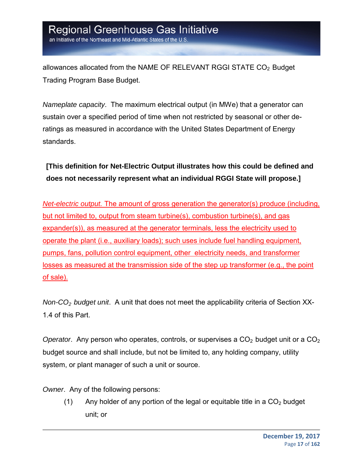allowances allocated from the NAME OF RELEVANT RGGI STATE  $CO<sub>2</sub>$  Budget Trading Program Base Budget.

*Nameplate capacity*. The maximum electrical output (in MWe) that a generator can sustain over a specified period of time when not restricted by seasonal or other deratings as measured in accordance with the United States Department of Energy standards.

**[This definition for Net-Electric Output illustrates how this could be defined and does not necessarily represent what an individual RGGI State will propose.]**

*Net-electric output.* The amount of gross generation the generator(s) produce (including, but not limited to, output from steam turbine(s), combustion turbine(s), and gas expander(s)), as measured at the generator terminals, less the electricity used to operate the plant (i.e., auxiliary loads); such uses include fuel handling equipment, pumps, fans, pollution control equipment, other electricity needs, and transformer losses as measured at the transmission side of the step up transformer (e.g., the point of sale).

*Non-CO2 budget unit*. A unit that does not meet the applicability criteria of Section XX-1.4 of this Part.

*Operator.* Any person who operates, controls, or supervises a CO<sub>2</sub> budget unit or a CO<sub>2</sub> budget source and shall include, but not be limited to, any holding company, utility system, or plant manager of such a unit or source.

*Owner*. Any of the following persons:

(1) Any holder of any portion of the legal or equitable title in a  $CO<sub>2</sub>$  budget unit; or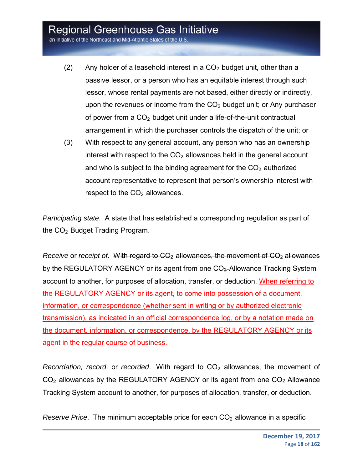an Initiative of the Northeast and Mid-Atlantic States of the U.S.

- (2) Any holder of a leasehold interest in a  $CO<sub>2</sub>$  budget unit, other than a passive lessor, or a person who has an equitable interest through such lessor, whose rental payments are not based, either directly or indirectly, upon the revenues or income from the  $CO<sub>2</sub>$  budget unit; or Any purchaser of power from a  $CO<sub>2</sub>$  budget unit under a life-of-the-unit contractual arrangement in which the purchaser controls the dispatch of the unit; or
- (3) With respect to any general account, any person who has an ownership interest with respect to the  $CO<sub>2</sub>$  allowances held in the general account and who is subject to the binding agreement for the  $CO<sub>2</sub>$  authorized account representative to represent that person's ownership interest with respect to the  $CO<sub>2</sub>$  allowances.

*Participating state*. A state that has established a corresponding regulation as part of the  $CO<sub>2</sub>$  Budget Trading Program.

*Receive* or *receipt of.* With regard to CO<sub>2</sub>-allowances, the movement of CO<sub>2</sub>-allowances by the REGULATORY AGENCY or its agent from one CO<sub>2</sub>-Allowance Tracking System account to another, for purposes of allocation, transfer, or deduction. When referring to the REGULATORY AGENCY or its agent, to come into possession of a document, information, or correspondence (whether sent in writing or by authorized electronic transmission), as indicated in an official correspondence log, or by a notation made on the document, information, or correspondence, by the REGULATORY AGENCY or its agent in the regular course of business.

*Recordation, record, or recorded.* With regard to CO<sub>2</sub> allowances, the movement of  $CO<sub>2</sub>$  allowances by the REGULATORY AGENCY or its agent from one  $CO<sub>2</sub>$  Allowance Tracking System account to another, for purposes of allocation, transfer, or deduction.

*Reserve Price.* The minimum acceptable price for each CO<sub>2</sub> allowance in a specific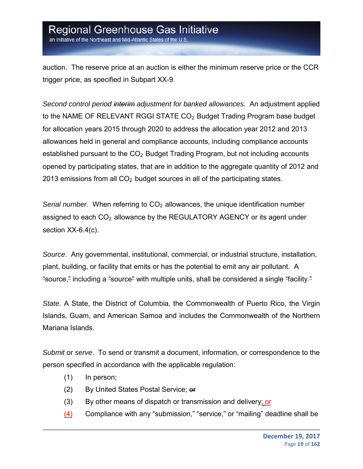an Initiative of the Northeast and Mid-Atlantic States of the U.S

auction. The reserve price at an auction is either the minimum reserve price or the CCR trigger price, as specified in Subpart XX-9.

*Second control period interim adjustment for banked allowances.* An adjustment applied to the NAME OF RELEVANT RGGI STATE CO<sub>2</sub> Budget Trading Program base budget for allocation years 2015 through 2020 to address the allocation year 2012 and 2013 allowances held in general and compliance accounts, including compliance accounts established pursuant to the  $CO<sub>2</sub>$  Budget Trading Program, but not including accounts opened by participating states, that are in addition to the aggregate quantity of 2012 and 2013 emissions from all  $CO<sub>2</sub>$  budget sources in all of the participating states.

*Serial number.* When referring to CO<sub>2</sub> allowances, the unique identification number assigned to each  $CO<sub>2</sub>$  allowance by the REGULATORY AGENCY or its agent under section XX-6.4(c).

*Source*. Any governmental, institutional, commercial, or industrial structure, installation, plant, building, or facility that emits or has the potential to emit any air pollutant. A "source," including a "source" with multiple units, shall be considered a single "facility."

*State*. A State, the District of Columbia, the Commonwealth of Puerto Rico, the Virgin Islands, Guam, and American Samoa and includes the Commonwealth of the Northern Mariana Islands.

*Submit* or *serve*. To send or transmit a document, information, or correspondence to the person specified in accordance with the applicable regulation:

- (1) In person;
- (2) By United States Postal Service; or
- (3) By other means of dispatch or transmission and delivery; or
- (4) Compliance with any "submission," "service," or "mailing" deadline shall be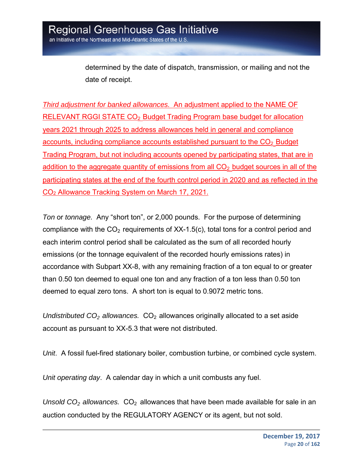determined by the date of dispatch, transmission, or mailing and not the date of receipt.

*Third adjustment for banked allowances.* An adjustment applied to the NAME OF RELEVANT RGGI STATE CO<sub>2</sub> Budget Trading Program base budget for allocation years 2021 through 2025 to address allowances held in general and compliance  $accounts$ , including compliance accounts established pursuant to the  $CO<sub>2</sub>$  Budget Trading Program, but not including accounts opened by participating states, that are in addition to the aggregate quantity of emissions from all  $CO<sub>2</sub>$  budget sources in all of the participating states at the end of the fourth control period in 2020 and as reflected in the CO2 Allowance Tracking System on March 17, 2021.

*Ton* or *tonnage.* Any "short ton", or 2,000 pounds. For the purpose of determining compliance with the  $CO<sub>2</sub>$  requirements of XX-1.5(c), total tons for a control period and each interim control period shall be calculated as the sum of all recorded hourly emissions (or the tonnage equivalent of the recorded hourly emissions rates) in accordance with Subpart XX-8, with any remaining fraction of a ton equal to or greater than 0.50 ton deemed to equal one ton and any fraction of a ton less than 0.50 ton deemed to equal zero tons. A short ton is equal to 0.9072 metric tons.

*Undistributed CO<sub>2</sub> allowances.* CO<sub>2</sub> allowances originally allocated to a set aside account as pursuant to XX-5.3 that were not distributed.

*Unit*. A fossil fuel-fired stationary boiler, combustion turbine, or combined cycle system.

*Unit operating day*. A calendar day in which a unit combusts any fuel.

*Unsold*  $CO<sub>2</sub>$  *allowances.*  $CO<sub>2</sub>$  allowances that have been made available for sale in an auction conducted by the REGULATORY AGENCY or its agent, but not sold.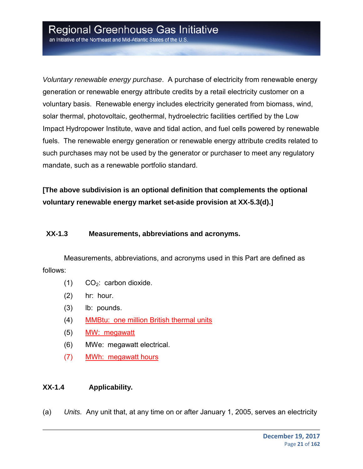an Initiative of the Northeast and Mid-Atlantic States of the U.S

*Voluntary renewable energy purchase*. A purchase of electricity from renewable energy generation or renewable energy attribute credits by a retail electricity customer on a voluntary basis. Renewable energy includes electricity generated from biomass, wind, solar thermal, photovoltaic, geothermal, hydroelectric facilities certified by the Low Impact Hydropower Institute, wave and tidal action, and fuel cells powered by renewable fuels. The renewable energy generation or renewable energy attribute credits related to such purchases may not be used by the generator or purchaser to meet any regulatory mandate, such as a renewable portfolio standard.

**[The above subdivision is an optional definition that complements the optional voluntary renewable energy market set-aside provision at XX-5.3(d).]** 

#### **XX-1.3 Measurements, abbreviations and acronyms.**

Measurements, abbreviations, and acronyms used in this Part are defined as follows:

- $(1)$  CO<sub>2</sub>: carbon dioxide.
- (2) hr: hour.
- (3) lb: pounds.
- (4) MMBtu: one million British thermal units
- (5) MW: megawatt
- (6) MWe: megawatt electrical.
- (7) MWh: megawatt hours

#### **XX-1.4 Applicability.**

(a) *Units.* Any unit that, at any time on or after January 1, 2005, serves an electricity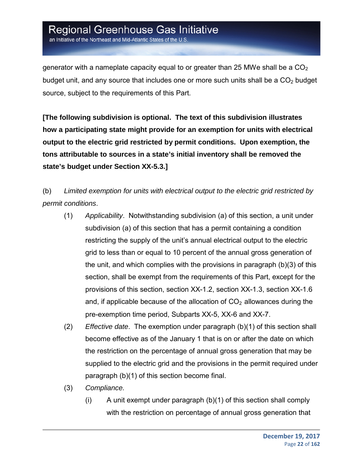an Initiative of the Northeast and Mid-Atlantic States of the U.S.

generator with a nameplate capacity equal to or greater than 25 MWe shall be a  $CO<sub>2</sub>$ budget unit, and any source that includes one or more such units shall be a  $CO<sub>2</sub>$  budget source, subject to the requirements of this Part.

**[The following subdivision is optional. The text of this subdivision illustrates how a participating state might provide for an exemption for units with electrical output to the electric grid restricted by permit conditions. Upon exemption, the tons attributable to sources in a state's initial inventory shall be removed the state's budget under Section XX-5.3.]** 

(b) *Limited exemption for units with electrical output to the electric grid restricted by permit conditions*.

- (1) *Applicability*. Notwithstanding subdivision (a) of this section, a unit under subdivision (a) of this section that has a permit containing a condition restricting the supply of the unit's annual electrical output to the electric grid to less than or equal to 10 percent of the annual gross generation of the unit, and which complies with the provisions in paragraph (b)(3) of this section, shall be exempt from the requirements of this Part, except for the provisions of this section, section XX-1.2, section XX-1.3, section XX-1.6 and, if applicable because of the allocation of  $CO<sub>2</sub>$  allowances during the pre-exemption time period, Subparts XX-5, XX-6 and XX-7.
- (2) *Effective date*. The exemption under paragraph (b)(1) of this section shall become effective as of the January 1 that is on or after the date on which the restriction on the percentage of annual gross generation that may be supplied to the electric grid and the provisions in the permit required under paragraph (b)(1) of this section become final.
- (3) *Compliance.*
	- (i) A unit exempt under paragraph (b)(1) of this section shall comply with the restriction on percentage of annual gross generation that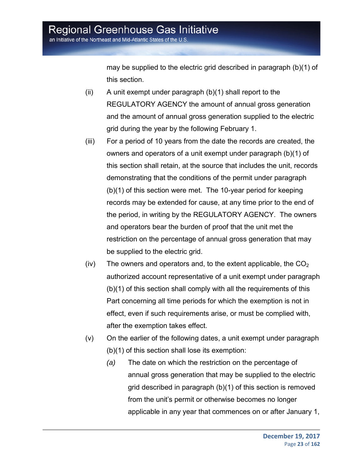an Initiative of the Northeast and Mid-Atlantic States of the U.S

may be supplied to the electric grid described in paragraph (b)(1) of this section.

- (ii) A unit exempt under paragraph (b)(1) shall report to the REGULATORY AGENCY the amount of annual gross generation and the amount of annual gross generation supplied to the electric grid during the year by the following February 1.
- (iii) For a period of 10 years from the date the records are created, the owners and operators of a unit exempt under paragraph (b)(1) of this section shall retain, at the source that includes the unit, records demonstrating that the conditions of the permit under paragraph (b)(1) of this section were met. The 10-year period for keeping records may be extended for cause, at any time prior to the end of the period, in writing by the REGULATORY AGENCY. The owners and operators bear the burden of proof that the unit met the restriction on the percentage of annual gross generation that may be supplied to the electric grid.
- (iv) The owners and operators and, to the extent applicable, the  $CO<sub>2</sub>$ authorized account representative of a unit exempt under paragraph (b)(1) of this section shall comply with all the requirements of this Part concerning all time periods for which the exemption is not in effect, even if such requirements arise, or must be complied with, after the exemption takes effect.
- (v) On the earlier of the following dates, a unit exempt under paragraph (b)(1) of this section shall lose its exemption:
	- *(a)* The date on which the restriction on the percentage of annual gross generation that may be supplied to the electric grid described in paragraph (b)(1) of this section is removed from the unit's permit or otherwise becomes no longer applicable in any year that commences on or after January 1,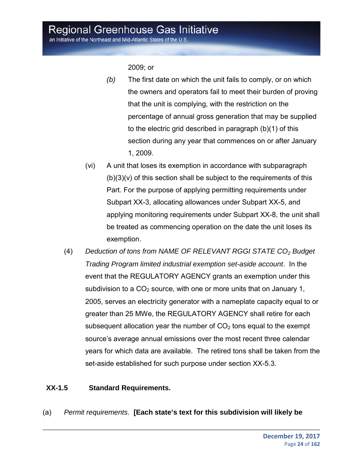an Initiative of the Northeast and Mid-Atlantic States of the U.S.

2009; or

- *(b)* The first date on which the unit fails to comply, or on which the owners and operators fail to meet their burden of proving that the unit is complying, with the restriction on the percentage of annual gross generation that may be supplied to the electric grid described in paragraph (b)(1) of this section during any year that commences on or after January 1, 2009.
- (vi) A unit that loses its exemption in accordance with subparagraph  $(b)(3)(v)$  of this section shall be subject to the requirements of this Part. For the purpose of applying permitting requirements under Subpart XX-3, allocating allowances under Subpart XX-5, and applying monitoring requirements under Subpart XX-8, the unit shall be treated as commencing operation on the date the unit loses its exemption.
- (4) *Deduction of tons from NAME OF RELEVANT RGGI STATE CO2 Budget Trading Program limited industrial exemption set-aside account*. In the event that the REGULATORY AGENCY grants an exemption under this subdivision to a  $CO<sub>2</sub>$  source, with one or more units that on January 1, 2005, serves an electricity generator with a nameplate capacity equal to or greater than 25 MWe, the REGULATORY AGENCY shall retire for each subsequent allocation year the number of  $CO<sub>2</sub>$  tons equal to the exempt source's average annual emissions over the most recent three calendar years for which data are available. The retired tons shall be taken from the set-aside established for such purpose under section XX-5.3.

#### **XX-1.5 Standard Requirements.**

(a) *Permit requirements*. **[Each state's text for this subdivision will likely be**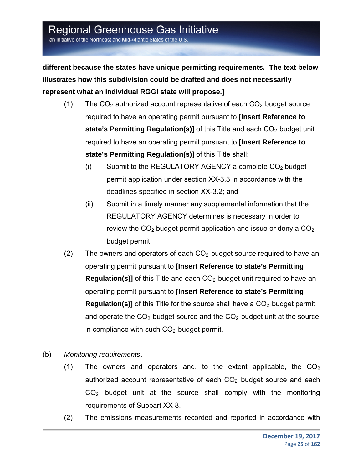an Initiative of the Northeast and Mid-Atlantic States of the U.S.

**different because the states have unique permitting requirements. The text below illustrates how this subdivision could be drafted and does not necessarily represent what an individual RGGI state will propose.]**

- (1) The  $CO<sub>2</sub>$  authorized account representative of each  $CO<sub>2</sub>$  budget source required to have an operating permit pursuant to **[Insert Reference to state's Permitting Regulation(s)]** of this Title and each CO<sub>2</sub> budget unit required to have an operating permit pursuant to **[Insert Reference to state's Permitting Regulation(s)]** of this Title shall:
	- (i) Submit to the REGULATORY AGENCY a complete  $CO<sub>2</sub>$  budget permit application under section XX-3.3 in accordance with the deadlines specified in section XX-3.2; and
	- (ii) Submit in a timely manner any supplemental information that the REGULATORY AGENCY determines is necessary in order to review the  $CO<sub>2</sub>$  budget permit application and issue or deny a  $CO<sub>2</sub>$ budget permit.
- (2) The owners and operators of each  $CO<sub>2</sub>$  budget source required to have an operating permit pursuant to **[Insert Reference to state's Permitting Regulation(s)]** of this Title and each CO<sub>2</sub> budget unit required to have an operating permit pursuant to **[Insert Reference to state's Permitting Regulation(s)]** of this Title for the source shall have a  $CO<sub>2</sub>$  budget permit and operate the  $CO<sub>2</sub>$  budget source and the  $CO<sub>2</sub>$  budget unit at the source in compliance with such  $CO<sub>2</sub>$  budget permit.
- (b) *Monitoring requirements*.
	- (1) The owners and operators and, to the extent applicable, the  $CO<sub>2</sub>$ authorized account representative of each  $CO<sub>2</sub>$  budget source and each  $CO<sub>2</sub>$  budget unit at the source shall comply with the monitoring requirements of Subpart XX-8.
	- (2) The emissions measurements recorded and reported in accordance with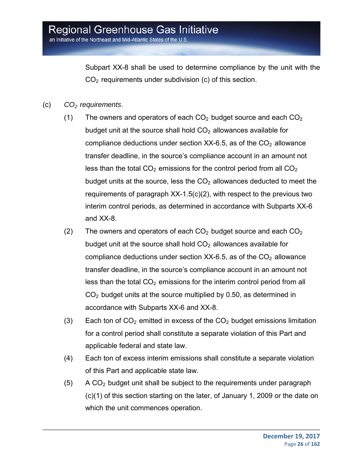an Initiative of the Northeast and Mid-Atlantic States of the U.S.

Subpart XX-8 shall be used to determine compliance by the unit with the  $CO<sub>2</sub>$  requirements under subdivision (c) of this section.

- (c) *CO2 requirements*.
	- (1) The owners and operators of each  $CO<sub>2</sub>$  budget source and each  $CO<sub>2</sub>$ budget unit at the source shall hold  $CO<sub>2</sub>$  allowances available for compliance deductions under section  $XX-6.5$ , as of the  $CO<sub>2</sub>$  allowance transfer deadline, in the source's compliance account in an amount not less than the total  $CO<sub>2</sub>$  emissions for the control period from all  $CO<sub>2</sub>$ budget units at the source, less the  $CO<sub>2</sub>$  allowances deducted to meet the requirements of paragraph XX-1.5(c)(2), with respect to the previous two interim control periods, as determined in accordance with Subparts XX-6 and XX-8.
	- (2) The owners and operators of each  $CO<sub>2</sub>$  budget source and each  $CO<sub>2</sub>$ budget unit at the source shall hold  $CO<sub>2</sub>$  allowances available for compliance deductions under section  $XX-6.5$ , as of the  $CO<sub>2</sub>$  allowance transfer deadline, in the source's compliance account in an amount not less than the total  $CO<sub>2</sub>$  emissions for the interim control period from all  $CO<sub>2</sub>$  budget units at the source multiplied by 0.50, as determined in accordance with Subparts XX-6 and XX-8.
	- (3) Each ton of  $CO<sub>2</sub>$  emitted in excess of the  $CO<sub>2</sub>$  budget emissions limitation for a control period shall constitute a separate violation of this Part and applicable federal and state law.
	- (4) Each ton of excess interim emissions shall constitute a separate violation of this Part and applicable state law.
	- $(5)$  A CO<sub>2</sub> budget unit shall be subject to the requirements under paragraph (c)(1) of this section starting on the later, of January 1, 2009 or the date on which the unit commences operation.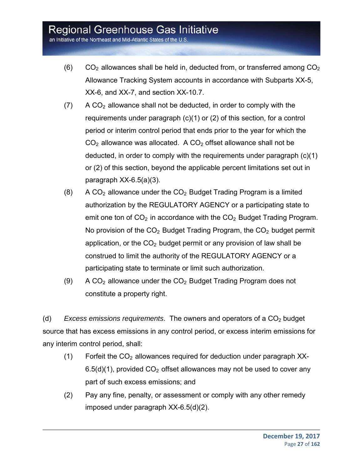an Initiative of the Northeast and Mid-Atlantic States of the U.S.

- $(6)$  CO<sub>2</sub> allowances shall be held in, deducted from, or transferred among  $CO<sub>2</sub>$ Allowance Tracking System accounts in accordance with Subparts XX-5, XX-6, and XX-7, and section XX-10.7.
- $(7)$  A CO<sub>2</sub> allowance shall not be deducted, in order to comply with the requirements under paragraph (c)(1) or (2) of this section, for a control period or interim control period that ends prior to the year for which the  $CO<sub>2</sub>$  allowance was allocated. A  $CO<sub>2</sub>$  offset allowance shall not be deducted, in order to comply with the requirements under paragraph (c)(1) or (2) of this section, beyond the applicable percent limitations set out in paragraph XX-6.5(a)(3).
- $(8)$  A CO<sub>2</sub> allowance under the CO<sub>2</sub> Budget Trading Program is a limited authorization by the REGULATORY AGENCY or a participating state to emit one ton of  $CO<sub>2</sub>$  in accordance with the  $CO<sub>2</sub>$  Budget Trading Program. No provision of the  $CO<sub>2</sub>$  Budget Trading Program, the  $CO<sub>2</sub>$  budget permit application, or the  $CO<sub>2</sub>$  budget permit or any provision of law shall be construed to limit the authority of the REGULATORY AGENCY or a participating state to terminate or limit such authorization.
- (9) A CO<sub>2</sub> allowance under the  $CO<sub>2</sub>$  Budget Trading Program does not constitute a property right.

(d) *Excess emissions requirements*. The owners and operators of a CO<sub>2</sub> budget source that has excess emissions in any control period, or excess interim emissions for any interim control period, shall:

- $(1)$  Forfeit the  $CO<sub>2</sub>$  allowances required for deduction under paragraph XX- $6.5(d)(1)$ , provided  $CO<sub>2</sub>$  offset allowances may not be used to cover any part of such excess emissions; and
- (2) Pay any fine, penalty, or assessment or comply with any other remedy imposed under paragraph XX-6.5(d)(2).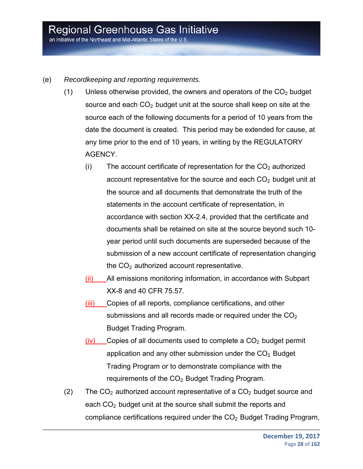an Initiative of the Northeast and Mid-Atlantic States of the U.S.

- (e) *Recordkeeping and reporting requirements.*
	- (1) Unless otherwise provided, the owners and operators of the  $CO<sub>2</sub>$  budget source and each  $CO<sub>2</sub>$  budget unit at the source shall keep on site at the source each of the following documents for a period of 10 years from the date the document is created. This period may be extended for cause, at any time prior to the end of 10 years, in writing by the REGULATORY AGENCY.
		- (i) The account certificate of representation for the  $CO<sub>2</sub>$  authorized account representative for the source and each  $CO<sub>2</sub>$  budget unit at the source and all documents that demonstrate the truth of the statements in the account certificate of representation, in accordance with section XX-2.4, provided that the certificate and documents shall be retained on site at the source beyond such 10 year period until such documents are superseded because of the submission of a new account certificate of representation changing the  $CO<sub>2</sub>$  authorized account representative.
		- (ii) All emissions monitoring information, in accordance with Subpart XX-8 and 40 CFR 75.57.
		- (iii) Copies of all reports, compliance certifications, and other submissions and all records made or required under the  $CO<sub>2</sub>$ Budget Trading Program.
		- $(iv)$  Copies of all documents used to complete a  $CO<sub>2</sub>$  budget permit application and any other submission under the  $CO<sub>2</sub>$  Budget Trading Program or to demonstrate compliance with the requirements of the  $CO<sub>2</sub>$  Budget Trading Program.
	- (2) The  $CO<sub>2</sub>$  authorized account representative of a  $CO<sub>2</sub>$  budget source and each  $CO<sub>2</sub>$  budget unit at the source shall submit the reports and compliance certifications required under the  $CO<sub>2</sub>$  Budget Trading Program,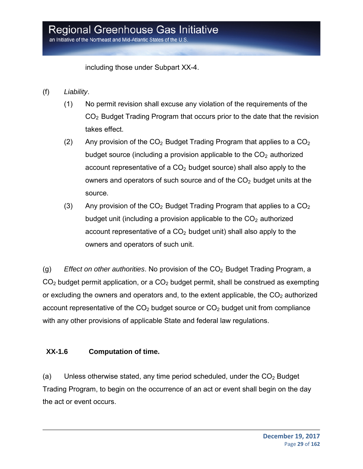including those under Subpart XX-4.

- (f) *Liability*.
	- (1) No permit revision shall excuse any violation of the requirements of the CO2 Budget Trading Program that occurs prior to the date that the revision takes effect.
	- (2) Any provision of the  $CO<sub>2</sub>$  Budget Trading Program that applies to a  $CO<sub>2</sub>$ budget source (including a provision applicable to the  $CO<sub>2</sub>$  authorized account representative of a  $CO<sub>2</sub>$  budget source) shall also apply to the owners and operators of such source and of the  $CO<sub>2</sub>$  budget units at the source.
	- (3) Any provision of the  $CO<sub>2</sub>$  Budget Trading Program that applies to a  $CO<sub>2</sub>$ budget unit (including a provision applicable to the  $CO<sub>2</sub>$  authorized account representative of a  $CO<sub>2</sub>$  budget unit) shall also apply to the owners and operators of such unit.

(g) *Effect on other authorities*. No provision of the CO<sub>2</sub> Budget Trading Program, a  $CO<sub>2</sub>$  budget permit application, or a  $CO<sub>2</sub>$  budget permit, shall be construed as exempting or excluding the owners and operators and, to the extent applicable, the  $CO<sub>2</sub>$  authorized account representative of the  $CO<sub>2</sub>$  budget source or  $CO<sub>2</sub>$  budget unit from compliance with any other provisions of applicable State and federal law regulations.

#### **XX-1.6 Computation of time.**

(a) Unless otherwise stated, any time period scheduled, under the  $CO<sub>2</sub>$  Budget Trading Program, to begin on the occurrence of an act or event shall begin on the day the act or event occurs.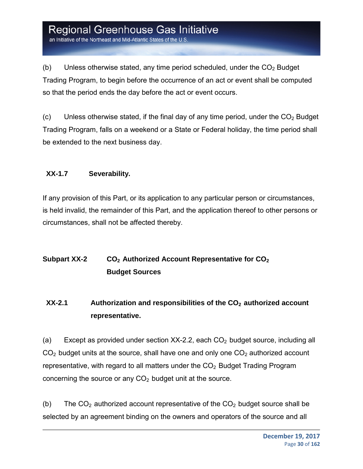an Initiative of the Northeast and Mid-Atlantic States of the U.S

(b) Unless otherwise stated, any time period scheduled, under the  $CO<sub>2</sub>$  Budget Trading Program, to begin before the occurrence of an act or event shall be computed so that the period ends the day before the act or event occurs.

(c) Unless otherwise stated, if the final day of any time period, under the  $CO<sub>2</sub>$  Budget Trading Program, falls on a weekend or a State or Federal holiday, the time period shall be extended to the next business day.

#### **XX-1.7 Severability.**

If any provision of this Part, or its application to any particular person or circumstances, is held invalid, the remainder of this Part, and the application thereof to other persons or circumstances, shall not be affected thereby.

#### **Subpart XX-2** CO<sub>2</sub> Authorized Account Representative for CO<sub>2</sub> **Budget Sources**

#### **XX-2.1** Authorization and responsibilities of the CO<sub>2</sub> authorized account **representative.**

(a) Except as provided under section  $XX-2.2$ , each  $CO<sub>2</sub>$  budget source, including all  $CO<sub>2</sub>$  budget units at the source, shall have one and only one  $CO<sub>2</sub>$  authorized account representative, with regard to all matters under the  $CO<sub>2</sub>$  Budget Trading Program concerning the source or any  $CO<sub>2</sub>$  budget unit at the source.

(b) The  $CO<sub>2</sub>$  authorized account representative of the  $CO<sub>2</sub>$  budget source shall be selected by an agreement binding on the owners and operators of the source and all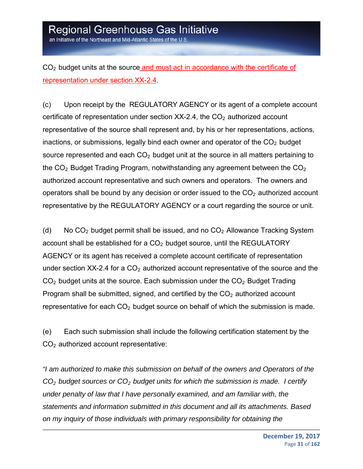an Initiative of the Northeast and Mid-Atlantic States of the U.S.

CO<sub>2</sub> budget units at the source and must act in accordance with the certificate of representation under section XX-2.4.

(c) Upon receipt by the REGULATORY AGENCY or its agent of a complete account certificate of representation under section  $XX-2.4$ , the  $CO<sub>2</sub>$  authorized account representative of the source shall represent and, by his or her representations, actions, inactions, or submissions, legally bind each owner and operator of the  $CO<sub>2</sub>$  budget source represented and each  $CO<sub>2</sub>$  budget unit at the source in all matters pertaining to the  $CO<sub>2</sub>$  Budget Trading Program, notwithstanding any agreement between the  $CO<sub>2</sub>$ authorized account representative and such owners and operators. The owners and operators shall be bound by any decision or order issued to the  $CO<sub>2</sub>$  authorized account representative by the REGULATORY AGENCY or a court regarding the source or unit.

(d) No  $CO<sub>2</sub>$  budget permit shall be issued, and no  $CO<sub>2</sub>$  Allowance Tracking System account shall be established for a  $CO<sub>2</sub>$  budget source, until the REGULATORY AGENCY or its agent has received a complete account certificate of representation under section  $XX-2.4$  for a  $CO<sub>2</sub>$  authorized account representative of the source and the  $CO<sub>2</sub>$  budget units at the source. Each submission under the  $CO<sub>2</sub>$  Budget Trading Program shall be submitted, signed, and certified by the  $CO<sub>2</sub>$  authorized account representative for each  $CO<sub>2</sub>$  budget source on behalf of which the submission is made.

(e) Each such submission shall include the following certification statement by the CO2 authorized account representative:

*"I am authorized to make this submission on behalf of the owners and Operators of the CO2 budget sources or CO2 budget units for which the submission is made. I certify under penalty of law that I have personally examined, and am familiar with, the statements and information submitted in this document and all its attachments. Based on my inquiry of those individuals with primary responsibility for obtaining the*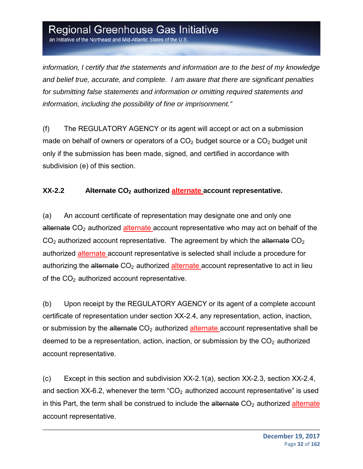an Initiative of the Northeast and Mid-Atlantic States of the U.S

*information, I certify that the statements and information are to the best of my knowledge and belief true, accurate, and complete. I am aware that there are significant penalties for submitting false statements and information or omitting required statements and information, including the possibility of fine or imprisonment."*

(f) The REGULATORY AGENCY or its agent will accept or act on a submission made on behalf of owners or operators of a  $CO<sub>2</sub>$  budget source or a  $CO<sub>2</sub>$  budget unit only if the submission has been made, signed, and certified in accordance with subdivision (e) of this section.

#### **XX-2.2** Alternate CO<sub>2</sub> authorized alternate account representative.

(a) An account certificate of representation may designate one and only one alternate  $CO<sub>2</sub>$  authorized alternate account representative who may act on behalf of the  $CO<sub>2</sub>$  authorized account representative. The agreement by which the alternate  $CO<sub>2</sub>$ authorized alternate account representative is selected shall include a procedure for authorizing the alternate  $CO<sub>2</sub>$  authorized alternate account representative to act in lieu of the  $CO<sub>2</sub>$  authorized account representative.

(b) Upon receipt by the REGULATORY AGENCY or its agent of a complete account certificate of representation under section XX-2.4, any representation, action, inaction, or submission by the alternate  $CO<sub>2</sub>$  authorized alternate account representative shall be deemed to be a representation, action, inaction, or submission by the  $CO<sub>2</sub>$  authorized account representative.

(c) Except in this section and subdivision XX-2.1(a), section XX-2.3, section XX-2.4, and section XX-6.2, whenever the term " $CO<sub>2</sub>$  authorized account representative" is used in this Part, the term shall be construed to include the alternate  $CO<sub>2</sub>$  authorized alternate account representative.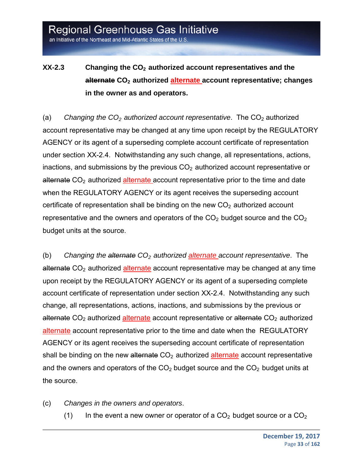an Initiative of the Northeast and Mid-Atlantic States of the U.S.

#### **XX-2.3** Changing the CO<sub>2</sub> authorized account representatives and the **alternate CO2 authorized alternate account representative; changes in the owner as and operators.**

(a) *Changing the CO<sub>2</sub> authorized account representative*. The CO<sub>2</sub> authorized account representative may be changed at any time upon receipt by the REGULATORY AGENCY or its agent of a superseding complete account certificate of representation under section XX-2.4. Notwithstanding any such change, all representations, actions, inactions, and submissions by the previous  $CO<sub>2</sub>$  authorized account representative or alternate  $CO<sub>2</sub>$  authorized alternate account representative prior to the time and date when the REGULATORY AGENCY or its agent receives the superseding account certificate of representation shall be binding on the new  $CO<sub>2</sub>$  authorized account representative and the owners and operators of the  $CO<sub>2</sub>$  budget source and the  $CO<sub>2</sub>$ budget units at the source.

(b) *Changing the alternate CO2 authorized alternate account representative*. The alternate  $CO<sub>2</sub>$  authorized alternate account representative may be changed at any time upon receipt by the REGULATORY AGENCY or its agent of a superseding complete account certificate of representation under section XX-2.4. Notwithstanding any such change, all representations, actions, inactions, and submissions by the previous or alternate  $CO<sub>2</sub>$  authorized alternate account representative or alternate  $CO<sub>2</sub>$  authorized alternate account representative prior to the time and date when the REGULATORY AGENCY or its agent receives the superseding account certificate of representation shall be binding on the new alternate  $CO<sub>2</sub>$  authorized alternate account representative and the owners and operators of the  $CO<sub>2</sub>$  budget source and the  $CO<sub>2</sub>$  budget units at the source.

- (c) *Changes in the owners and operators*.
	- (1) In the event a new owner or operator of a  $CO<sub>2</sub>$  budget source or a  $CO<sub>2</sub>$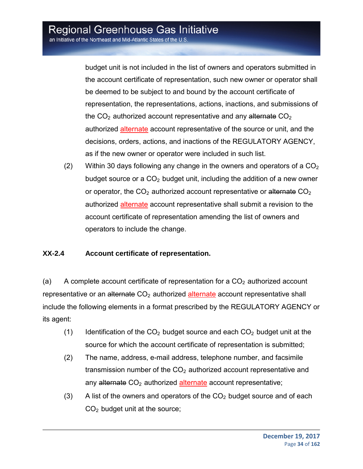an Initiative of the Northeast and Mid-Atlantic States of the U.S.

budget unit is not included in the list of owners and operators submitted in the account certificate of representation, such new owner or operator shall be deemed to be subject to and bound by the account certificate of representation, the representations, actions, inactions, and submissions of the  $CO<sub>2</sub>$  authorized account representative and any alternate  $CO<sub>2</sub>$ authorized alternate account representative of the source or unit, and the decisions, orders, actions, and inactions of the REGULATORY AGENCY, as if the new owner or operator were included in such list.

(2) Within 30 days following any change in the owners and operators of a  $CO<sub>2</sub>$ budget source or a  $CO<sub>2</sub>$  budget unit, including the addition of a new owner or operator, the  $CO<sub>2</sub>$  authorized account representative or alternate  $CO<sub>2</sub>$ authorized alternate account representative shall submit a revision to the account certificate of representation amending the list of owners and operators to include the change.

#### **XX-2.4 Account certificate of representation.**

(a) A complete account certificate of representation for a  $CO<sub>2</sub>$  authorized account representative or an alternate  $CO<sub>2</sub>$  authorized alternate account representative shall include the following elements in a format prescribed by the REGULATORY AGENCY or its agent:

- (1) Identification of the  $CO<sub>2</sub>$  budget source and each  $CO<sub>2</sub>$  budget unit at the source for which the account certificate of representation is submitted;
- (2) The name, address, e-mail address, telephone number, and facsimile transmission number of the  $CO<sub>2</sub>$  authorized account representative and any alternate  $CO<sub>2</sub>$  authorized alternate account representative;
- (3) A list of the owners and operators of the  $CO<sub>2</sub>$  budget source and of each  $CO<sub>2</sub>$  budget unit at the source;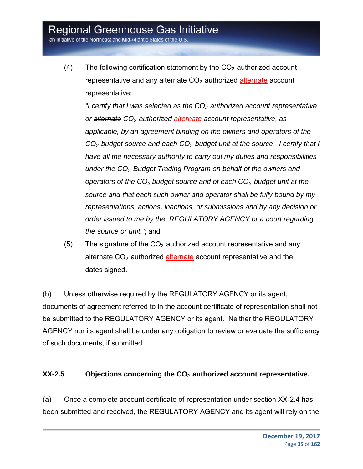an Initiative of the Northeast and Mid-Atlantic States of the U.S.

(4) The following certification statement by the  $CO<sub>2</sub>$  authorized account representative and any alternate  $CO<sub>2</sub>$  authorized alternate account representative:

*"I certify that I was selected as the CO<sub>2</sub> authorized account representative or alternate CO2 authorized alternate account representative, as applicable, by an agreement binding on the owners and operators of the CO2 budget source and each CO2 budget unit at the source. I certify that I have all the necessary authority to carry out my duties and responsibilities under the CO2 Budget Trading Program on behalf of the owners and operators of the CO2 budget source and of each CO2 budget unit at the source and that each such owner and operator shall be fully bound by my representations, actions, inactions, or submissions and by any decision or order issued to me by the REGULATORY AGENCY or a court regarding the source or unit."*; and

(5) The signature of the  $CO<sub>2</sub>$  authorized account representative and any alternate  $CO<sub>2</sub>$  authorized alternate account representative and the dates signed.

(b) Unless otherwise required by the REGULATORY AGENCY or its agent, documents of agreement referred to in the account certificate of representation shall not be submitted to the REGULATORY AGENCY or its agent. Neither the REGULATORY AGENCY nor its agent shall be under any obligation to review or evaluate the sufficiency of such documents, if submitted.

#### **XX-2.5** Objections concerning the CO<sub>2</sub> authorized account representative.

(a) Once a complete account certificate of representation under section XX-2.4 has been submitted and received, the REGULATORY AGENCY and its agent will rely on the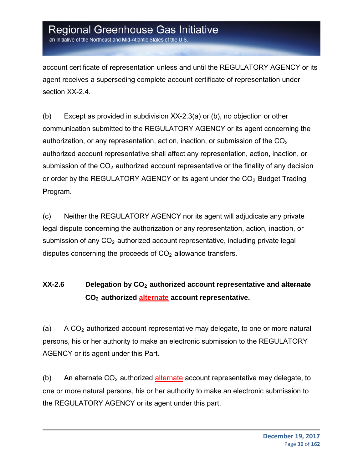an Initiative of the Northeast and Mid-Atlantic States of the U.S

account certificate of representation unless and until the REGULATORY AGENCY or its agent receives a superseding complete account certificate of representation under section XX-2.4.

(b) Except as provided in subdivision XX-2.3(a) or (b), no objection or other communication submitted to the REGULATORY AGENCY or its agent concerning the authorization, or any representation, action, inaction, or submission of the  $CO<sub>2</sub>$ authorized account representative shall affect any representation, action, inaction, or submission of the  $CO<sub>2</sub>$  authorized account representative or the finality of any decision or order by the REGULATORY AGENCY or its agent under the  $CO<sub>2</sub>$  Budget Trading Program.

(c) Neither the REGULATORY AGENCY nor its agent will adjudicate any private legal dispute concerning the authorization or any representation, action, inaction, or submission of any  $CO<sub>2</sub>$  authorized account representative, including private legal disputes concerning the proceeds of  $CO<sub>2</sub>$  allowance transfers.

#### **XX-2.6** Delegation by CO<sub>2</sub> authorized account representative and alternate **CO2 authorized alternate account representative.**

(a) A  $CO<sub>2</sub>$  authorized account representative may delegate, to one or more natural persons, his or her authority to make an electronic submission to the REGULATORY AGENCY or its agent under this Part.

(b) An alternate  $CO<sub>2</sub>$  authorized alternate account representative may delegate, to one or more natural persons, his or her authority to make an electronic submission to the REGULATORY AGENCY or its agent under this part.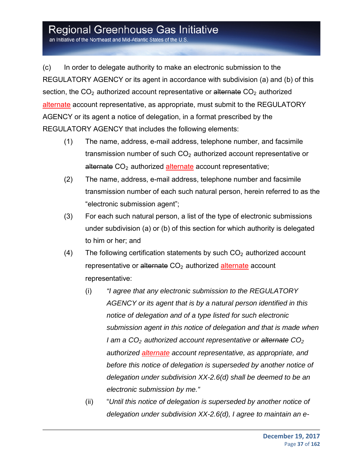an Initiative of the Northeast and Mid-Atlantic States of the U.S.

(c) In order to delegate authority to make an electronic submission to the REGULATORY AGENCY or its agent in accordance with subdivision (a) and (b) of this section, the  $CO<sub>2</sub>$  authorized account representative or alternate  $CO<sub>2</sub>$  authorized alternate account representative, as appropriate, must submit to the REGULATORY AGENCY or its agent a notice of delegation, in a format prescribed by the REGULATORY AGENCY that includes the following elements:

- (1) The name, address, e-mail address, telephone number, and facsimile transmission number of such  $CO<sub>2</sub>$  authorized account representative or alternate CO<sub>2</sub> authorized alternate account representative;
- (2) The name, address, e-mail address, telephone number and facsimile transmission number of each such natural person, herein referred to as the "electronic submission agent";
- (3) For each such natural person, a list of the type of electronic submissions under subdivision (a) or (b) of this section for which authority is delegated to him or her; and
- (4) The following certification statements by such  $CO<sub>2</sub>$  authorized account representative or alternate  $CO<sub>2</sub>$  authorized alternate account representative:
	- (i) *"I agree that any electronic submission to the REGULATORY AGENCY or its agent that is by a natural person identified in this notice of delegation and of a type listed for such electronic submission agent in this notice of delegation and that is made when I* am a CO<sub>2</sub> authorized account representative or alternate CO<sub>2</sub> *authorized alternate account representative, as appropriate, and before this notice of delegation is superseded by another notice of delegation under subdivision XX-2.6(d) shall be deemed to be an electronic submission by me."*
	- (ii) "*Until this notice of delegation is superseded by another notice of delegation under subdivision XX-2.6(d), I agree to maintain an e-*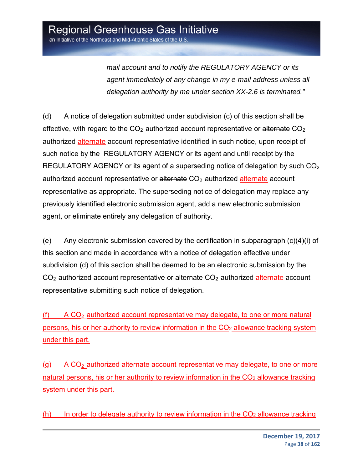*mail account and to notify the REGULATORY AGENCY or its agent immediately of any change in my e-mail address unless all delegation authority by me under section XX-2.6 is terminated."* 

(d) A notice of delegation submitted under subdivision (c) of this section shall be effective, with regard to the  $CO<sub>2</sub>$  authorized account representative or alternate  $CO<sub>2</sub>$ authorized alternate account representative identified in such notice, upon receipt of such notice by the REGULATORY AGENCY or its agent and until receipt by the REGULATORY AGENCY or its agent of a superseding notice of delegation by such  $CO<sub>2</sub>$ authorized account representative or alternate  $CO<sub>2</sub>$  authorized alternate account representative as appropriate. The superseding notice of delegation may replace any previously identified electronic submission agent, add a new electronic submission agent, or eliminate entirely any delegation of authority.

(e) Any electronic submission covered by the certification in subparagraph (c)(4)(i) of this section and made in accordance with a notice of delegation effective under subdivision (d) of this section shall be deemed to be an electronic submission by the  $CO<sub>2</sub>$  authorized account representative or alternate  $CO<sub>2</sub>$  authorized alternate account representative submitting such notice of delegation.

(f)  $A CO<sub>2</sub>$  authorized account representative may delegate, to one or more natural persons, his or her authority to review information in the CO<sub>2</sub> allowance tracking system under this part.

 $(q)$  A CO<sub>2</sub> authorized alternate account representative may delegate, to one or more natural persons, his or her authority to review information in the CO<sub>2</sub> allowance tracking system under this part.

 $(h)$  In order to delegate authority to review information in the  $CO<sub>2</sub>$  allowance tracking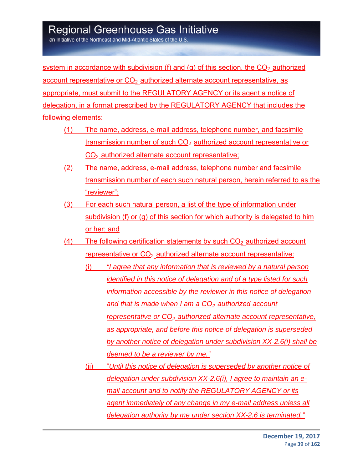an Initiative of the Northeast and Mid-Atlantic States of the U.S

system in accordance with subdivision (f) and (g) of this section, the  $CO<sub>2</sub>$  authorized account representative or  $CO<sub>2</sub>$  authorized alternate account representative, as appropriate, must submit to the REGULATORY AGENCY or its agent a notice of delegation, in a format prescribed by the REGULATORY AGENCY that includes the following elements:

- (1) The name, address, e-mail address, telephone number, and facsimile transmission number of such  $CO<sub>2</sub>$  authorized account representative or  $CO<sub>2</sub>$  authorized alternate account representative;
- (2) The name, address, e-mail address, telephone number and facsimile transmission number of each such natural person, herein referred to as the "reviewer";
- (3) For each such natural person, a list of the type of information under subdivision (f) or (g) of this section for which authority is delegated to him or her; and
- (4) The following certification statements by such  $CO<sub>2</sub>$  authorized account representative or  $CO<sub>2</sub>$  authorized alternate account representative:
	- (i) *"I agree that any information that is reviewed by a natural person identified in this notice of delegation and of a type listed for such information accessible by the reviewer in this notice of delegation*  and that is made when I am a CO<sub>2</sub> authorized account *representative or CO<sub>2</sub> authorized alternate account representative, as appropriate, and before this notice of delegation is superseded by another notice of delegation under subdivision XX-2.6(i) shall be deemed to be a reviewer by me."*
	- (ii) "*Until this notice of delegation is superseded by another notice of delegation under subdivision XX-2.6(i), I agree to maintain an email account and to notify the REGULATORY AGENCY or its agent immediately of any change in my e-mail address unless all delegation authority by me under section XX-2.6 is terminated."*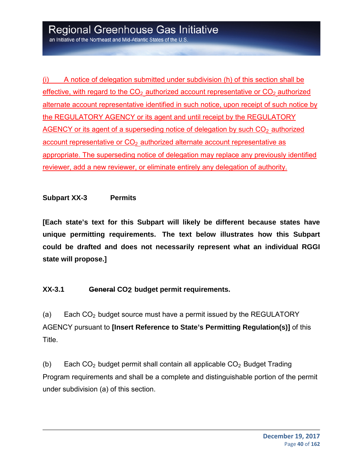(i) A notice of delegation submitted under subdivision (h) of this section shall be effective, with regard to the  $CO<sub>2</sub>$  authorized account representative or  $CO<sub>2</sub>$  authorized alternate account representative identified in such notice, upon receipt of such notice by the REGULATORY AGENCY or its agent and until receipt by the REGULATORY  $AGENCY$  or its agent of a superseding notice of delegation by such  $CO<sub>2</sub>$  authorized account representative or  $CO<sub>2</sub>$  authorized alternate account representative as appropriate. The superseding notice of delegation may replace any previously identified reviewer, add a new reviewer, or eliminate entirely any delegation of authority.

### **Subpart XX-3 Permits**

**[Each state's text for this Subpart will likely be different because states have unique permitting requirements. The text below illustrates how this Subpart could be drafted and does not necessarily represent what an individual RGGI state will propose.]** 

### **XX-3.1 General CO2 budget permit requirements.**

(a) Each  $CO<sub>2</sub>$  budget source must have a permit issued by the REGULATORY AGENCY pursuant to **[Insert Reference to State's Permitting Regulation(s)]** of this Title.

(b) Each  $CO<sub>2</sub>$  budget permit shall contain all applicable  $CO<sub>2</sub>$  Budget Trading Program requirements and shall be a complete and distinguishable portion of the permit under subdivision (a) of this section.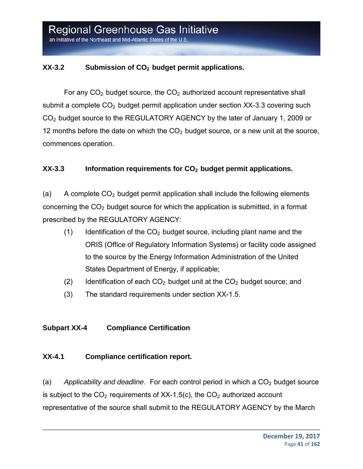### XX-3.2 Submission of CO<sub>2</sub> budget permit applications.

For any  $CO<sub>2</sub>$  budget source, the  $CO<sub>2</sub>$  authorized account representative shall submit a complete  $CO<sub>2</sub>$  budget permit application under section XX-3.3 covering such CO2 budget source to the REGULATORY AGENCY by the later of January 1, 2009 or 12 months before the date on which the  $CO<sub>2</sub>$  budget source, or a new unit at the source, commences operation.

### **XX-3.3** Information requirements for CO<sub>2</sub> budget permit applications.

(a) A complete  $CO<sub>2</sub>$  budget permit application shall include the following elements concerning the  $CO<sub>2</sub>$  budget source for which the application is submitted, in a format prescribed by the REGULATORY AGENCY:

- (1) Identification of the  $CO<sub>2</sub>$  budget source, including plant name and the ORIS (Office of Regulatory Information Systems) or facility code assigned to the source by the Energy Information Administration of the United States Department of Energy, if applicable;
- (2) Identification of each  $CO<sub>2</sub>$  budget unit at the  $CO<sub>2</sub>$  budget source; and
- (3) The standard requirements under section XX-1.5.

### **Subpart XX-4 Compliance Certification**

### **XX-4.1 Compliance certification report.**

(a) Applicability and deadline. For each control period in which a CO<sub>2</sub> budget source is subject to the  $CO<sub>2</sub>$  requirements of XX-1.5(c), the  $CO<sub>2</sub>$  authorized account representative of the source shall submit to the REGULATORY AGENCY by the March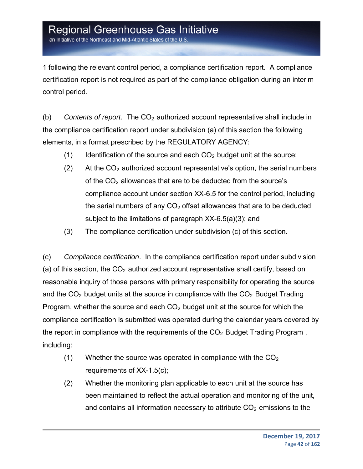an Initiative of the Northeast and Mid-Atlantic States of the U.S.

1 following the relevant control period, a compliance certification report. A compliance certification report is not required as part of the compliance obligation during an interim control period.

(b) *Contents of report*. The CO2 authorized account representative shall include in the compliance certification report under subdivision (a) of this section the following elements, in a format prescribed by the REGULATORY AGENCY:

- (1) Identification of the source and each  $CO<sub>2</sub>$  budget unit at the source;
- (2) At the  $CO<sub>2</sub>$  authorized account representative's option, the serial numbers of the  $CO<sub>2</sub>$  allowances that are to be deducted from the source's compliance account under section XX-6.5 for the control period, including the serial numbers of any  $CO<sub>2</sub>$  offset allowances that are to be deducted subject to the limitations of paragraph XX-6.5(a)(3); and
- (3) The compliance certification under subdivision (c) of this section.

(c) *Compliance certification*. In the compliance certification report under subdivision (a) of this section, the  $CO<sub>2</sub>$  authorized account representative shall certify, based on reasonable inquiry of those persons with primary responsibility for operating the source and the  $CO<sub>2</sub>$  budget units at the source in compliance with the  $CO<sub>2</sub>$  Budget Trading Program, whether the source and each  $CO<sub>2</sub>$  budget unit at the source for which the compliance certification is submitted was operated during the calendar years covered by the report in compliance with the requirements of the  $CO<sub>2</sub>$  Budget Trading Program, including:

- (1) Whether the source was operated in compliance with the  $CO<sub>2</sub>$ requirements of XX-1.5(c);
- (2) Whether the monitoring plan applicable to each unit at the source has been maintained to reflect the actual operation and monitoring of the unit, and contains all information necessary to attribute  $CO<sub>2</sub>$  emissions to the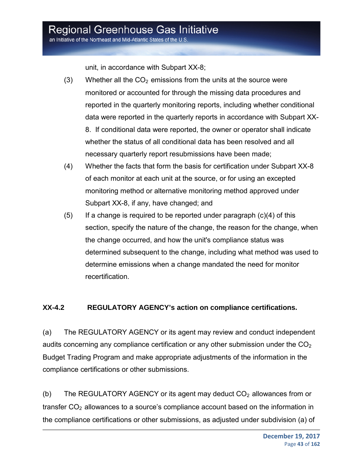an Initiative of the Northeast and Mid-Atlantic States of the U.S.

unit, in accordance with Subpart XX-8;

- (3) Whether all the  $CO<sub>2</sub>$  emissions from the units at the source were monitored or accounted for through the missing data procedures and reported in the quarterly monitoring reports, including whether conditional data were reported in the quarterly reports in accordance with Subpart XX-8. If conditional data were reported, the owner or operator shall indicate whether the status of all conditional data has been resolved and all necessary quarterly report resubmissions have been made;
- (4) Whether the facts that form the basis for certification under Subpart XX-8 of each monitor at each unit at the source, or for using an excepted monitoring method or alternative monitoring method approved under Subpart XX-8, if any, have changed; and
- $(5)$  If a change is required to be reported under paragraph  $(c)(4)$  of this section, specify the nature of the change, the reason for the change, when the change occurred, and how the unit's compliance status was determined subsequent to the change, including what method was used to determine emissions when a change mandated the need for monitor recertification.

### **XX-4.2 REGULATORY AGENCY's action on compliance certifications.**

(a) The REGULATORY AGENCY or its agent may review and conduct independent audits concerning any compliance certification or any other submission under the  $CO<sub>2</sub>$ Budget Trading Program and make appropriate adjustments of the information in the compliance certifications or other submissions.

(b) The REGULATORY AGENCY or its agent may deduct  $CO<sub>2</sub>$  allowances from or transfer  $CO<sub>2</sub>$  allowances to a source's compliance account based on the information in the compliance certifications or other submissions, as adjusted under subdivision (a) of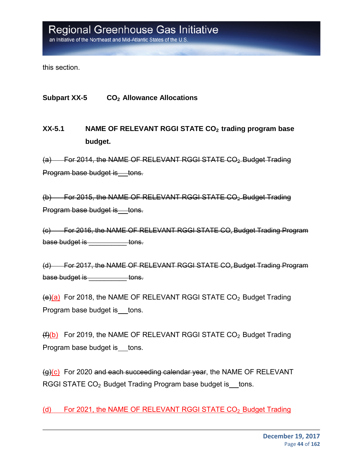this section.

**Subpart XX-5 CO2 Allowance Allocations**

**XX-5.1 NAME OF RELEVANT RGGI STATE CO2 trading program base budget.**

(a) For 2014, the NAME OF RELEVANT RGGI STATE CO<sub>2</sub>-Budget Trading Program base budget is tons.

(b) For 2015, the NAME OF RELEVANT RGGI STATE CO<sub>2</sub>-Budget Trading Program base budget is tons.

(c) For 2016, the NAME OF RELEVANT RGGI STATE CO2 Budget Trading Program base budget is **the set of the set of the set of the set of the set of the set of the set of the set of the set o** 

(d) For 2017, the NAME OF RELEVANT RGGI STATE CO2 Budget Trading Program base budget is \_\_\_\_\_\_\_\_\_\_\_ tons.

 $(e)(a)$  For 2018, the NAME OF RELEVANT RGGI STATE CO<sub>2</sub> Budget Trading Program base budget is tons.

 $(f)(b)$  For 2019, the NAME OF RELEVANT RGGI STATE CO<sub>2</sub> Budget Trading Program base budget is tons.

(g)(c) For 2020 and each succeeding calendar year, the NAME OF RELEVANT RGGI STATE CO<sub>2</sub> Budget Trading Program base budget is tons.

(d) For 2021, the NAME OF RELEVANT RGGI STATE CO<sub>2</sub> Budget Trading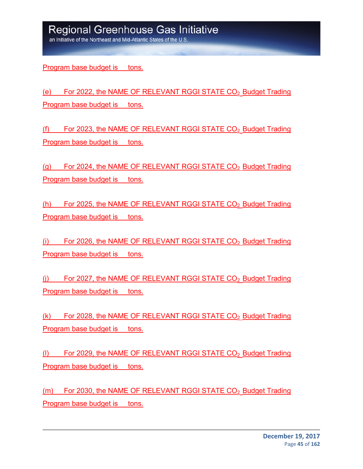an Initiative of the Northeast and Mid-Atlantic States of the U.S

Program base budget is tons.

(e) For 2022, the NAME OF RELEVANT RGGI STATE CO<sub>2</sub> Budget Trading Program base budget is tons.

(f) For 2023, the NAME OF RELEVANT RGGI STATE  $CO<sub>2</sub>$  Budget Trading Program base budget is tons.

(g) For 2024, the NAME OF RELEVANT RGGI STATE  $CO<sub>2</sub>$  Budget Trading Program base budget is tons.

(h) For 2025, the NAME OF RELEVANT RGGI STATE  $CO<sub>2</sub>$  Budget Trading Program base budget is tons.

(i) For 2026, the NAME OF RELEVANT RGGI STATE  $CO<sub>2</sub>$  Budget Trading Program base budget is tons.

(i) For 2027, the NAME OF RELEVANT RGGI STATE  $CO<sub>2</sub>$  Budget Trading Program base budget is tons.

 $(k)$  For 2028, the NAME OF RELEVANT RGGI STATE CO<sub>2</sub> Budget Trading Program base budget is tons.

(I) For 2029, the NAME OF RELEVANT RGGI STATE  $CO<sub>2</sub>$  Budget Trading Program base budget is tons.

 $(m)$  For 2030, the NAME OF RELEVANT RGGI STATE  $CO<sub>2</sub>$  Budget Trading Program base budget is tons.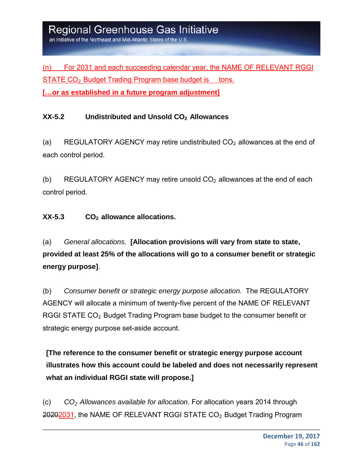(n) For 2031 and each succeeding calendar year, the NAME OF RELEVANT RGGI  $STATE CO<sub>2</sub>$  Budget Trading Program base budget is tons. **[…or as established in a future program adjustment]** 

### **XX-5.2 Undistributed and Unsold CO2 Allowances**

(a) REGULATORY AGENCY may retire undistributed  $CO<sub>2</sub>$  allowances at the end of each control period.

(b) REGULATORY AGENCY may retire unsold  $CO<sub>2</sub>$  allowances at the end of each control period.

### **XX-5.3 CO2 allowance allocations.**

(a) *General allocations*. **[Allocation provisions will vary from state to state, provided at least 25% of the allocations will go to a consumer benefit or strategic energy purpose]**.

(b) *Consumer benefit or strategic energy purpose allocation.* The REGULATORY AGENCY will allocate a minimum of twenty-five percent of the NAME OF RELEVANT RGGI STATE CO<sub>2</sub> Budget Trading Program base budget to the consumer benefit or strategic energy purpose set-aside account.

**[The reference to the consumer benefit or strategic energy purpose account illustrates how this account could be labeled and does not necessarily represent what an individual RGGI state will propose.]** 

(c) *CO2 Allowances available for allocation*. For allocation years 2014 through 20202031, the NAME OF RELEVANT RGGI STATE CO<sub>2</sub> Budget Trading Program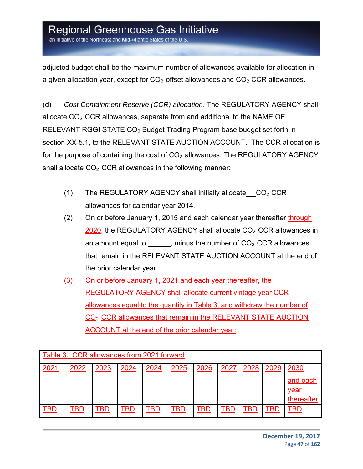an Initiative of the Northeast and Mid-Atlantic States of the U.S

adjusted budget shall be the maximum number of allowances available for allocation in a given allocation year, except for  $CO<sub>2</sub>$  offset allowances and  $CO<sub>2</sub> CCR$  allowances.

(d) *Cost Containment Reserve (CCR) allocation*. The REGULATORY AGENCY shall allocate  $CO<sub>2</sub> CCR$  allowances, separate from and additional to the NAME OF RELEVANT RGGI STATE CO<sub>2</sub> Budget Trading Program base budget set forth in section XX-5.1, to the RELEVANT STATE AUCTION ACCOUNT. The CCR allocation is for the purpose of containing the cost of  $CO<sub>2</sub>$  allowances. The REGULATORY AGENCY shall allocate  $CO<sub>2</sub> CCR$  allowances in the following manner:

- (1) The REGULATORY AGENCY shall initially allocate  $CO<sub>2</sub> CCR$ allowances for calendar year 2014.
- (2) On or before January 1, 2015 and each calendar year thereafter through  $2020$ , the REGULATORY AGENCY shall allocate  $CO<sub>2</sub>$  CCR allowances in an amount equal to  $\frac{1}{\sqrt{1-\frac{1}{\sqrt{1-\frac{1}{\sqrt{1-\frac{1}{\sqrt{1-\frac{1}{\sqrt{1-\frac{1}{\sqrt{1-\frac{1}{\sqrt{1-\frac{1}{\sqrt{1-\frac{1}{\sqrt{1-\frac{1}{\sqrt{1-\frac{1}{\sqrt{1-\frac{1}{\sqrt{1-\frac{1}{\sqrt{1-\frac{1}{\sqrt{1-\frac{1}{\sqrt{1-\frac{1}{\sqrt{1-\frac{1}{\sqrt{1-\frac{1}{\sqrt{1-\frac{1}{\sqrt{1-\frac{1}{\sqrt{1-\frac{1}{\sqrt{1-\frac{1}{\sqrt{1-\frac{$ that remain in the RELEVANT STATE AUCTION ACCOUNT at the end of the prior calendar year.
- (3) On or before January 1, 2021 and each year thereafter, the REGULATORY AGENCY shall allocate current vintage year CCR allowances equal to the quantity in Table 3, and withdraw the number of CO<sub>2</sub> CCR allowances that remain in the RELEVANT STATE AUCTION ACCOUNT at the end of the prior calendar year:

| Table 3. CCR allowances from 2021 forward |      |      |      |      |      |      |      |            |      |            |
|-------------------------------------------|------|------|------|------|------|------|------|------------|------|------------|
| 2021                                      | 2022 | 2023 | 2024 | 2024 | 2025 | 2026 | 2027 | 2028       | 2029 | 2030       |
|                                           |      |      |      |      |      |      |      |            |      | and each   |
|                                           |      |      |      |      |      |      |      |            |      | year       |
|                                           |      |      |      |      |      |      |      |            |      | thereafter |
| TBD                                       | ГBD  | TBD  | TBD  | BD-  | TBD  | TBD  | TBD  | <b>TBD</b> | TBD  | TBD        |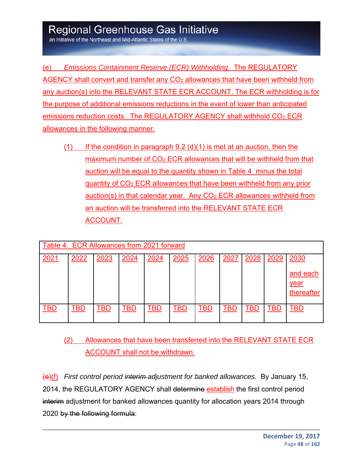an Initiative of the Northeast and Mid-Atlantic States of the U.S

(e) *Emissions Containment Reserve (ECR) Withholding*. The REGULATORY AGENCY shall convert and transfer any CO<sub>2</sub> allowances that have been withheld from any auction(s) into the RELEVANT STATE ECR ACCOUNT. The ECR withholding is for the purpose of additional emissions reductions in the event of lower than anticipated emissions reduction costs. The REGULATORY AGENCY shall withhold CO<sub>2</sub> ECR allowances in the following manner.

 $(1)$  If the condition in paragraph 9.2 (d)(1) is met at an auction, then the maximum number of  $CO<sub>2</sub> ECR$  allowances that will be withheld from that auction will be equal to the quantity shown in Table 4 minus the total quantity of CO2 ECR allowances that have been withheld from any prior auction(s) in that calendar year. Any  $CO<sub>2</sub> ECR$  allowances withheld from an auction will be transferred into the RELEVANT STATE ECR ACCOUNT.

| Table 4. ECR Allowances from 2021 forward |      |      |      |      |      |      |      |      |      |                    |
|-------------------------------------------|------|------|------|------|------|------|------|------|------|--------------------|
| 2021                                      | 2022 | 2023 | 2024 | 2024 | 2025 | 2026 | 2027 | 2028 | 2029 | 2030<br>and each   |
|                                           |      |      |      |      |      |      |      |      |      | year<br>thereafter |
| <b>TBD</b>                                | TBD  | TBD  | TBD  | TBD  | TBD  | TBD  | TBD  | TBD  | TBD  | TBD                |

(2) Allowances that have been transferred into the RELEVANT STATE ECR ACCOUNT shall not be withdrawn.

(e)(f) *First control period interim adjustment for banked allowances.* By January 15, 2014, the REGULATORY AGENCY shall determine establish the first control period interim adjustment for banked allowances quantity for allocation years 2014 through 2020 by the following formula: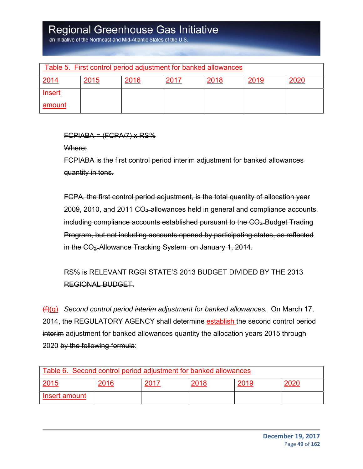an Initiative of the Northeast and Mid-Atlantic States of the U.S

| Table 5. First control period adjustment for banked allowances |      |      |      |      |      |      |  |
|----------------------------------------------------------------|------|------|------|------|------|------|--|
| 2014                                                           | 2015 | 2016 | 2017 | 2018 | 2019 | 2020 |  |
| Insert                                                         |      |      |      |      |      |      |  |
| amount                                                         |      |      |      |      |      |      |  |

 $FCPIABA = (FCPA/7) \times RS\%$ 

Where:

FCPIABA is the first control period interim adjustment for banked allowances quantity in tons.

FCPA, the first control period adjustment, is the total quantity of allocation year  $2009, 2010,$  and  $2011 \text{ CO}_2$  allowances held in general and compliance accounts, including compliance accounts established pursuant to the  $CO<sub>2</sub>$  Budget Trading Program, but not including accounts opened by participating states, as reflected in the CO<sub>2</sub>-Allowance Tracking System on January 1, 2014.

RS% is RELEVANT RGGI STATE'S 2013 BUDGET DIVIDED BY THE 2013 REGIONAL BUDGET.

(f)(g) *Second control period interim adjustment for banked allowances.* On March 17, 2014, the REGULATORY AGENCY shall determine establish the second control period interim adjustment for banked allowances quantity the allocation years 2015 through 2020 by the following formula:

| Table 6. Second control period adjustment for banked allowances |      |      |      |      |  |  |  |
|-----------------------------------------------------------------|------|------|------|------|--|--|--|
| 2015                                                            | 2016 | 2017 | 2018 | 2019 |  |  |  |
| Insert amount                                                   |      |      |      |      |  |  |  |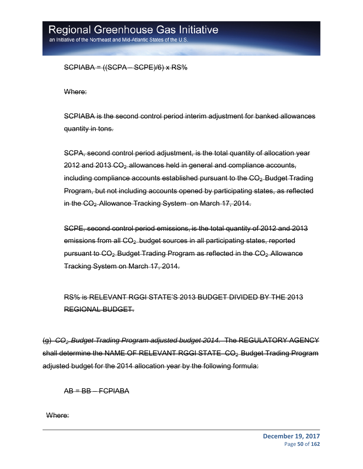an Initiative of the Northeast and Mid-Atlantic States of the U.S

 $SCPIABA = ((SCPA - SCPE)/6) \times RS%$ 

Where:

SCPIABA is the second control period interim adjustment for banked allowances quantity in tons.

SCPA, second control period adjustment, is the total quantity of allocation year 2012 and 2013 CO<sub>2</sub>-allowances held in general and compliance accounts, including compliance accounts established pursuant to the  $CO<sub>2</sub>$ -Budget Trading Program, but not including accounts opened by participating states, as reflected in the CO<sub>2</sub>-Allowance Tracking System on March 17, 2014.

SCPE, second control period emissions, is the total quantity of 2012 and 2013 emissions from all CO<sub>2</sub>-budget sources in all participating states, reported pursuant to CO2 Budget Trading Program as reflected in the CO2 Allowance Tracking System on March 17, 2014.

RS% is RELEVANT RGGI STATE'S 2013 BUDGET DIVIDED BY THE 2013 REGIONAL BUDGET.

(g) *CO2 Budget Trading Program adjusted budget 2014.* The REGULATORY AGENCY shall determine the NAME OF RELEVANT RGGI STATE CO<sub>2</sub> Budget Trading Program adjusted budget for the 2014 allocation year by the following formula:

 $AB = BB - FCPIABA$ 

Where: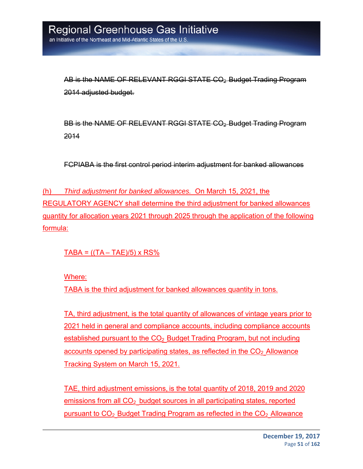AB is the NAME OF RELEVANT RGGI STATE CO2 Budget Trading Program 2014 adjusted budget.

BB is the NAME OF RELEVANT RGGI STATE CO2 Budget Trading Program 2014

FCPIABA is the first control period interim adjustment for banked allowances

(h) *Third adjustment for banked allowances.* On March 15, 2021, the REGULATORY AGENCY shall determine the third adjustment for banked allowances quantity for allocation years 2021 through 2025 through the application of the following formula:

 $TABA = ((TA - TAE)/5) \times RS\%$ 

Where:

TABA is the third adjustment for banked allowances quantity in tons.

TA, third adjustment, is the total quantity of allowances of vintage years prior to 2021 held in general and compliance accounts, including compliance accounts established pursuant to the  $CO<sub>2</sub>$  Budget Trading Program, but not including accounts opened by participating states, as reflected in the  $CO<sub>2</sub>$  Allowance Tracking System on March 15, 2021.

TAE, third adjustment emissions, is the total quantity of 2018, 2019 and 2020 emissions from all  $CO<sub>2</sub>$  budget sources in all participating states, reported pursuant to  $CO<sub>2</sub>$  Budget Trading Program as reflected in the  $CO<sub>2</sub>$  Allowance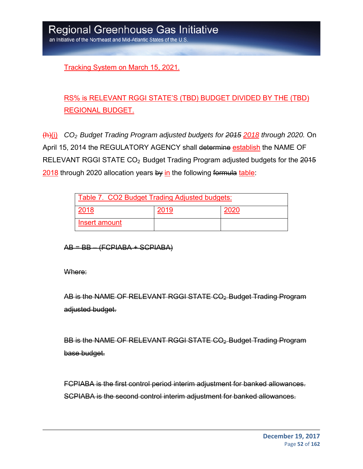Tracking System on March 15, 2021.

### RS% is RELEVANT RGGI STATE'S (TBD) BUDGET DIVIDED BY THE (TBD) REGIONAL BUDGET.

(h)(i) *CO2 Budget Trading Program adjusted budgets for 2015 2018 through 2020.* On April 15, 2014 the REGULATORY AGENCY shall determine establish the NAME OF RELEVANT RGGI STATE CO<sub>2</sub> Budget Trading Program adjusted budgets for the 2015 2018 through 2020 allocation years by in the following formula table:

| Table 7. CO2 Budget Trading Adjusted budgets: |  |      |  |  |
|-----------------------------------------------|--|------|--|--|
| 2018                                          |  | 2020 |  |  |
| Insert amount                                 |  |      |  |  |

AB = BB – (FCPIABA + SCPIABA)

Where:

AB is the NAME OF RELEVANT RGGI STATE CO<sub>2</sub>-Budget Trading Program adjusted budget.

BB is the NAME OF RELEVANT RGGI STATE CO<sub>2</sub>-Budget Trading Program base budget.

FCPIABA is the first control period interim adjustment for banked allowances. SCPIABA is the second control interim adjustment for banked allowances.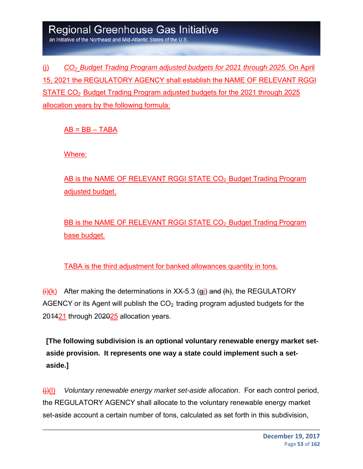an Initiative of the Northeast and Mid-Atlantic States of the U.S

(j) *CO2 Budget Trading Program adjusted budgets for 2021 through 2025.* On April 15, 2021 the REGULATORY AGENCY shall establish the NAME OF RELEVANT RGGI STATE CO2 Budget Trading Program adjusted budgets for the 2021 through 2025 allocation years by the following formula:

 $AB = BB - TABA$ 

Where:

AB is the NAME OF RELEVANT RGGI STATE CO<sub>2</sub> Budget Trading Program adjusted budget.

BB is the NAME OF RELEVANT RGGI STATE CO<sub>2</sub> Budget Trading Program base budget.

TABA is the third adjustment for banked allowances quantity in tons.

 $\frac{H(x)}{B(x)}$  After making the determinations in XX-5.3 (gi) and (h), the REGULATORY AGENCY or its Agent will publish the  $CO<sub>2</sub>$  trading program adjusted budgets for the 204421 through 202025 allocation years.

**[The following subdivision is an optional voluntary renewable energy market setaside provision. It represents one way a state could implement such a setaside.]**

(j)(l) *Voluntary renewable energy market set-aside allocation*. For each control period, the REGULATORY AGENCY shall allocate to the voluntary renewable energy market set-aside account a certain number of tons, calculated as set forth in this subdivision,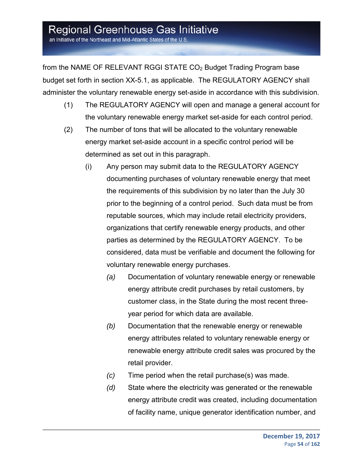an Initiative of the Northeast and Mid-Atlantic States of the U.S.

from the NAME OF RELEVANT RGGI STATE  $CO<sub>2</sub>$  Budget Trading Program base budget set forth in section XX-5.1, as applicable. The REGULATORY AGENCY shall administer the voluntary renewable energy set-aside in accordance with this subdivision.

- (1) The REGULATORY AGENCY will open and manage a general account for the voluntary renewable energy market set-aside for each control period.
- (2) The number of tons that will be allocated to the voluntary renewable energy market set-aside account in a specific control period will be determined as set out in this paragraph.
	- (i) Any person may submit data to the REGULATORY AGENCY documenting purchases of voluntary renewable energy that meet the requirements of this subdivision by no later than the July 30 prior to the beginning of a control period. Such data must be from reputable sources, which may include retail electricity providers, organizations that certify renewable energy products, and other parties as determined by the REGULATORY AGENCY. To be considered, data must be verifiable and document the following for voluntary renewable energy purchases.
		- *(a)* Documentation of voluntary renewable energy or renewable energy attribute credit purchases by retail customers, by customer class, in the State during the most recent threeyear period for which data are available.
		- *(b)* Documentation that the renewable energy or renewable energy attributes related to voluntary renewable energy or renewable energy attribute credit sales was procured by the retail provider.
		- *(c)* Time period when the retail purchase(s) was made.
		- *(d)* State where the electricity was generated or the renewable energy attribute credit was created, including documentation of facility name, unique generator identification number, and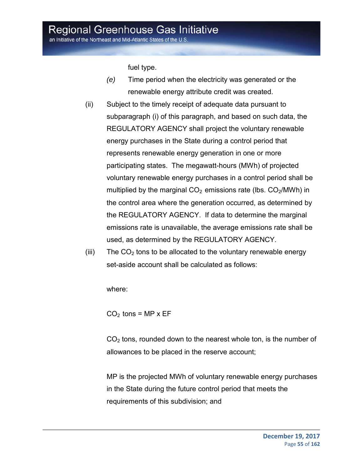an Initiative of the Northeast and Mid-Atlantic States of the U.S.

fuel type.

- *(e)* Time period when the electricity was generated or the renewable energy attribute credit was created.
- (ii) Subject to the timely receipt of adequate data pursuant to subparagraph (i) of this paragraph, and based on such data, the REGULATORY AGENCY shall project the voluntary renewable energy purchases in the State during a control period that represents renewable energy generation in one or more participating states. The megawatt-hours (MWh) of projected voluntary renewable energy purchases in a control period shall be multiplied by the marginal  $CO<sub>2</sub>$  emissions rate (lbs.  $CO<sub>2</sub>/MWh$ ) in the control area where the generation occurred, as determined by the REGULATORY AGENCY. If data to determine the marginal emissions rate is unavailable, the average emissions rate shall be used, as determined by the REGULATORY AGENCY.
- (iii) The  $CO<sub>2</sub>$  tons to be allocated to the voluntary renewable energy set-aside account shall be calculated as follows:

where:

 $CO<sub>2</sub>$  tons = MP x EF

 $CO<sub>2</sub>$  tons, rounded down to the nearest whole ton, is the number of allowances to be placed in the reserve account;

MP is the projected MWh of voluntary renewable energy purchases in the State during the future control period that meets the requirements of this subdivision; and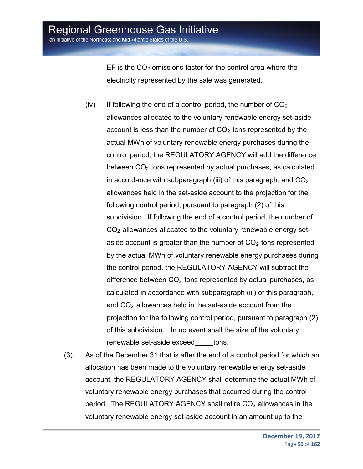an Initiative of the Northeast and Mid-Atlantic States of the U.S.

EF is the  $CO<sub>2</sub>$  emissions factor for the control area where the electricity represented by the sale was generated.

- (iv) If following the end of a control period, the number of  $CO<sub>2</sub>$ allowances allocated to the voluntary renewable energy set-aside account is less than the number of  $CO<sub>2</sub>$  tons represented by the actual MWh of voluntary renewable energy purchases during the control period, the REGULATORY AGENCY will add the difference between  $CO<sub>2</sub>$  tons represented by actual purchases, as calculated in accordance with subparagraph (iii) of this paragraph, and  $CO<sub>2</sub>$ allowances held in the set-aside account to the projection for the following control period, pursuant to paragraph (2) of this subdivision. If following the end of a control period, the number of  $CO<sub>2</sub>$  allowances allocated to the voluntary renewable energy setaside account is greater than the number of  $CO<sub>2</sub>$  tons represented by the actual MWh of voluntary renewable energy purchases during the control period, the REGULATORY AGENCY will subtract the difference between  $CO<sub>2</sub>$  tons represented by actual purchases, as calculated in accordance with subparagraph (iii) of this paragraph, and  $CO<sub>2</sub>$  allowances held in the set-aside account from the projection for the following control period, pursuant to paragraph (2) of this subdivision. In no event shall the size of the voluntary renewable set-aside exceed tons.
- (3) As of the December 31 that is after the end of a control period for which an allocation has been made to the voluntary renewable energy set-aside account, the REGULATORY AGENCY shall determine the actual MWh of voluntary renewable energy purchases that occurred during the control period. The REGULATORY AGENCY shall retire  $CO<sub>2</sub>$  allowances in the voluntary renewable energy set-aside account in an amount up to the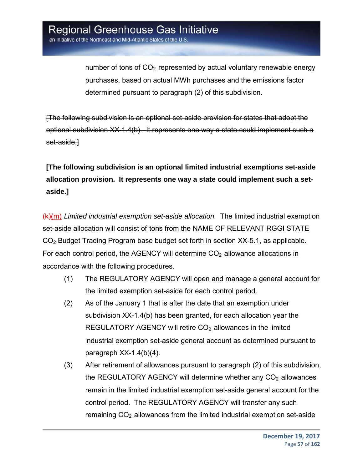number of tons of  $CO<sub>2</sub>$  represented by actual voluntary renewable energy purchases, based on actual MWh purchases and the emissions factor determined pursuant to paragraph (2) of this subdivision.

[The following subdivision is an optional set-aside provision for states that adopt the optional subdivision XX-1.4(b). It represents one way a state could implement such a set-aside.]

**[The following subdivision is an optional limited industrial exemptions set-aside allocation provision. It represents one way a state could implement such a setaside.]** 

(k)(m) *Limited industrial exemption set-aside allocation.* The limited industrial exemption set-aside allocation will consist of tons from the NAME OF RELEVANT RGGI STATE CO2 Budget Trading Program base budget set forth in section XX-5.1, as applicable. For each control period, the AGENCY will determine  $CO<sub>2</sub>$  allowance allocations in accordance with the following procedures.

- (1) The REGULATORY AGENCY will open and manage a general account for the limited exemption set-aside for each control period.
- (2) As of the January 1 that is after the date that an exemption under subdivision XX-1.4(b) has been granted, for each allocation year the REGULATORY AGENCY will retire  $CO<sub>2</sub>$  allowances in the limited industrial exemption set-aside general account as determined pursuant to paragraph XX-1.4(b)(4).
- (3) After retirement of allowances pursuant to paragraph (2) of this subdivision, the REGULATORY AGENCY will determine whether any  $CO<sub>2</sub>$  allowances remain in the limited industrial exemption set-aside general account for the control period. The REGULATORY AGENCY will transfer any such remaining  $CO<sub>2</sub>$  allowances from the limited industrial exemption set-aside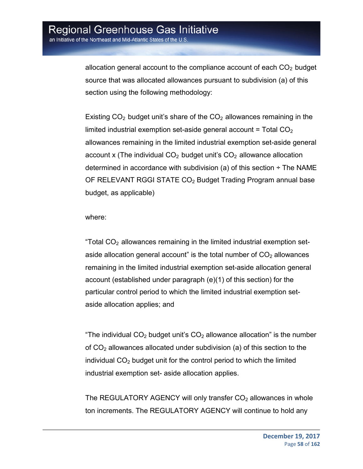allocation general account to the compliance account of each  $CO<sub>2</sub>$  budget source that was allocated allowances pursuant to subdivision (a) of this section using the following methodology:

Existing  $CO<sub>2</sub>$  budget unit's share of the  $CO<sub>2</sub>$  allowances remaining in the limited industrial exemption set-aside general account  $=$  Total CO<sub>2</sub> allowances remaining in the limited industrial exemption set-aside general account x (The individual  $CO<sub>2</sub>$  budget unit's  $CO<sub>2</sub>$  allowance allocation determined in accordance with subdivision (a) of this section  $\div$  The NAME OF RELEVANT RGGI STATE  $CO<sub>2</sub>$  Budget Trading Program annual base budget, as applicable)

where:

"Total  $CO<sub>2</sub>$  allowances remaining in the limited industrial exemption setaside allocation general account" is the total number of  $CO<sub>2</sub>$  allowances remaining in the limited industrial exemption set-aside allocation general account (established under paragraph (e)(1) of this section) for the particular control period to which the limited industrial exemption setaside allocation applies; and

"The individual  $CO<sub>2</sub>$  budget unit's  $CO<sub>2</sub>$  allowance allocation" is the number of  $CO<sub>2</sub>$  allowances allocated under subdivision (a) of this section to the individual  $CO<sub>2</sub>$  budget unit for the control period to which the limited industrial exemption set- aside allocation applies.

The REGULATORY AGENCY will only transfer  $CO<sub>2</sub>$  allowances in whole ton increments. The REGULATORY AGENCY will continue to hold any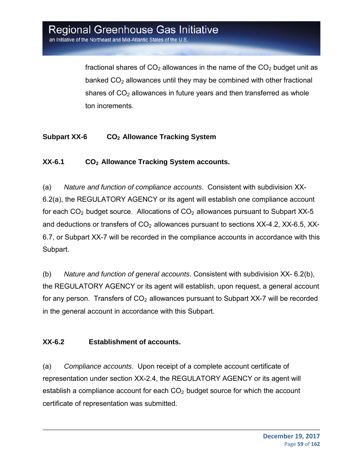fractional shares of  $CO<sub>2</sub>$  allowances in the name of the  $CO<sub>2</sub>$  budget unit as banked  $CO<sub>2</sub>$  allowances until they may be combined with other fractional shares of  $CO<sub>2</sub>$  allowances in future years and then transferred as whole ton increments.

### **Subpart XX-6 CO2 Allowance Tracking System**

### **XX-6.1 CO2 Allowance Tracking System accounts.**

(a) *Nature and function of compliance accounts*. Consistent with subdivision XX-6.2(a), the REGULATORY AGENCY or its agent will establish one compliance account for each  $CO<sub>2</sub>$  budget source. Allocations of  $CO<sub>2</sub>$  allowances pursuant to Subpart XX-5 and deductions or transfers of  $CO<sub>2</sub>$  allowances pursuant to sections XX-4.2, XX-6.5, XX-6.7, or Subpart XX-7 will be recorded in the compliance accounts in accordance with this Subpart.

(b) *Nature and function of general accounts*. Consistent with subdivision XX- 6.2(b), the REGULATORY AGENCY or its agent will establish, upon request, a general account for any person. Transfers of  $CO<sub>2</sub>$  allowances pursuant to Subpart XX-7 will be recorded in the general account in accordance with this Subpart.

### **XX-6.2 Establishment of accounts.**

(a) *Compliance accounts*. Upon receipt of a complete account certificate of representation under section XX-2.4, the REGULATORY AGENCY or its agent will establish a compliance account for each  $CO<sub>2</sub>$  budget source for which the account certificate of representation was submitted.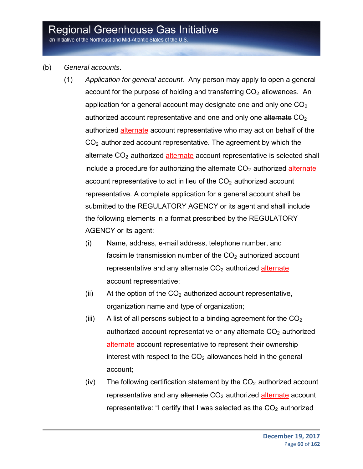an Initiative of the Northeast and Mid-Atlantic States of the U.S.

#### (b) *General accounts*.

- (1) *Application for general account.* Any person may apply to open a general account for the purpose of holding and transferring  $CO<sub>2</sub>$  allowances. An application for a general account may designate one and only one  $CO<sub>2</sub>$ authorized account representative and one and only one alternate  $CO<sub>2</sub>$ authorized alternate account representative who may act on behalf of the  $CO<sub>2</sub>$  authorized account representative. The agreement by which the alternate CO<sub>2</sub> authorized alternate account representative is selected shall include a procedure for authorizing the alternate  $CO<sub>2</sub>$  authorized alternate account representative to act in lieu of the  $CO<sub>2</sub>$  authorized account representative. A complete application for a general account shall be submitted to the REGULATORY AGENCY or its agent and shall include the following elements in a format prescribed by the REGULATORY AGENCY or its agent:
	- (i) Name, address, e-mail address, telephone number, and facsimile transmission number of the  $CO<sub>2</sub>$  authorized account representative and any alternate  $CO<sub>2</sub>$  authorized alternate account representative;
	- (ii) At the option of the  $CO<sub>2</sub>$  authorized account representative, organization name and type of organization;
	- (iii) A list of all persons subject to a binding agreement for the  $CO<sub>2</sub>$ authorized account representative or any alternate  $CO<sub>2</sub>$  authorized alternate account representative to represent their ownership interest with respect to the  $CO<sub>2</sub>$  allowances held in the general account;
	- (iv) The following certification statement by the  $CO<sub>2</sub>$  authorized account representative and any alternate  $CO<sub>2</sub>$  authorized alternate account representative: "I certify that I was selected as the  $CO<sub>2</sub>$  authorized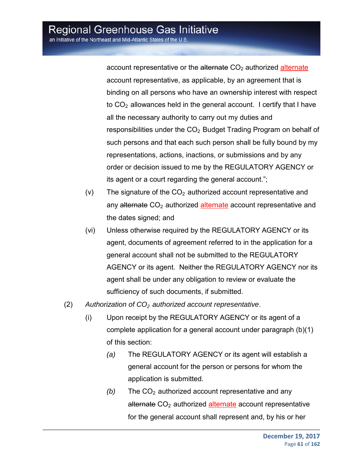account representative or the alternate  $CO<sub>2</sub>$  authorized alternate account representative, as applicable, by an agreement that is binding on all persons who have an ownership interest with respect to  $CO<sub>2</sub>$  allowances held in the general account. I certify that I have all the necessary authority to carry out my duties and responsibilities under the CO<sub>2</sub> Budget Trading Program on behalf of such persons and that each such person shall be fully bound by my representations, actions, inactions, or submissions and by any order or decision issued to me by the REGULATORY AGENCY or its agent or a court regarding the general account.";

- (v) The signature of the  $CO<sub>2</sub>$  authorized account representative and any alternate  $CO<sub>2</sub>$  authorized alternate account representative and the dates signed; and
- (vi) Unless otherwise required by the REGULATORY AGENCY or its agent, documents of agreement referred to in the application for a general account shall not be submitted to the REGULATORY AGENCY or its agent. Neither the REGULATORY AGENCY nor its agent shall be under any obligation to review or evaluate the sufficiency of such documents, if submitted.
- (2) *Authorization of CO2 authorized account representative*.
	- (i) Upon receipt by the REGULATORY AGENCY or its agent of a complete application for a general account under paragraph (b)(1) of this section:
		- *(a)* The REGULATORY AGENCY or its agent will establish a general account for the person or persons for whom the application is submitted.
		- $(b)$  The  $CO<sub>2</sub>$  authorized account representative and any alternate CO<sub>2</sub> authorized alternate account representative for the general account shall represent and, by his or her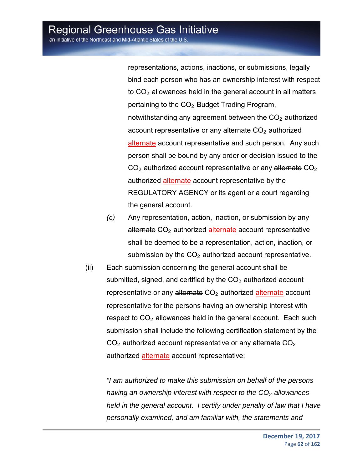representations, actions, inactions, or submissions, legally bind each person who has an ownership interest with respect to  $CO<sub>2</sub>$  allowances held in the general account in all matters pertaining to the  $CO<sub>2</sub>$  Budget Trading Program, notwithstanding any agreement between the  $CO<sub>2</sub>$  authorized account representative or any alternate  $CO<sub>2</sub>$  authorized alternate account representative and such person. Any such person shall be bound by any order or decision issued to the  $CO<sub>2</sub>$  authorized account representative or any alternate  $CO<sub>2</sub>$ authorized alternate account representative by the REGULATORY AGENCY or its agent or a court regarding the general account.

- *(c)* Any representation, action, inaction, or submission by any alternate  $CO<sub>2</sub>$  authorized alternate account representative shall be deemed to be a representation, action, inaction, or submission by the  $CO<sub>2</sub>$  authorized account representative.
- (ii) Each submission concerning the general account shall be submitted, signed, and certified by the  $CO<sub>2</sub>$  authorized account representative or any alternate  $CO<sub>2</sub>$  authorized alternate account representative for the persons having an ownership interest with respect to  $CO<sub>2</sub>$  allowances held in the general account. Each such submission shall include the following certification statement by the  $CO<sub>2</sub>$  authorized account representative or any alternate  $CO<sub>2</sub>$ authorized alternate account representative:

*"I am authorized to make this submission on behalf of the persons having an ownership interest with respect to the CO<sub>2</sub> allowances held in the general account. I certify under penalty of law that I have personally examined, and am familiar with, the statements and*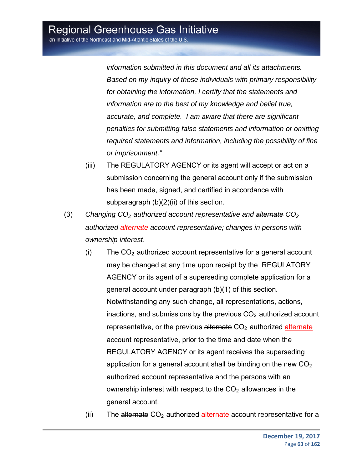*information submitted in this document and all its attachments. Based on my inquiry of those individuals with primary responsibility for obtaining the information, I certify that the statements and information are to the best of my knowledge and belief true, accurate, and complete. I am aware that there are significant penalties for submitting false statements and information or omitting required statements and information, including the possibility of fine or imprisonment."* 

- (iii) The REGULATORY AGENCY or its agent will accept or act on a submission concerning the general account only if the submission has been made, signed, and certified in accordance with subparagraph (b)(2)(ii) of this section.
- (3) *Changing CO2 authorized account representative and alternate CO2 authorized alternate account representative; changes in persons with ownership interest*.
	- $(i)$  The  $CO<sub>2</sub>$  authorized account representative for a general account may be changed at any time upon receipt by the REGULATORY AGENCY or its agent of a superseding complete application for a general account under paragraph (b)(1) of this section. Notwithstanding any such change, all representations, actions, inactions, and submissions by the previous  $CO<sub>2</sub>$  authorized account representative, or the previous alternate  $CO<sub>2</sub>$  authorized alternate account representative, prior to the time and date when the REGULATORY AGENCY or its agent receives the superseding application for a general account shall be binding on the new  $CO<sub>2</sub>$ authorized account representative and the persons with an ownership interest with respect to the  $CO<sub>2</sub>$  allowances in the general account.
	- (ii) The alternate  $CO<sub>2</sub>$  authorized alternate account representative for a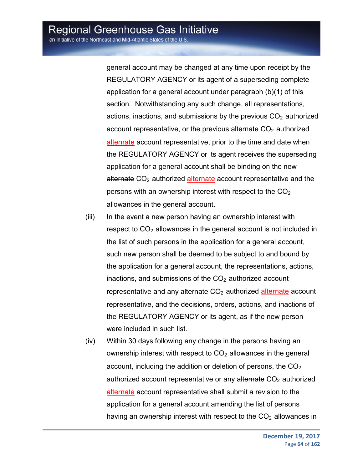general account may be changed at any time upon receipt by the REGULATORY AGENCY or its agent of a superseding complete application for a general account under paragraph (b)(1) of this section. Notwithstanding any such change, all representations, actions, inactions, and submissions by the previous  $CO<sub>2</sub>$  authorized account representative, or the previous alternate  $CO<sub>2</sub>$  authorized alternate account representative, prior to the time and date when the REGULATORY AGENCY or its agent receives the superseding application for a general account shall be binding on the new alternate  $CO<sub>2</sub>$  authorized alternate account representative and the persons with an ownership interest with respect to the  $CO<sub>2</sub>$ allowances in the general account.

- (iii) In the event a new person having an ownership interest with respect to  $CO<sub>2</sub>$  allowances in the general account is not included in the list of such persons in the application for a general account, such new person shall be deemed to be subject to and bound by the application for a general account, the representations, actions, inactions, and submissions of the  $CO<sub>2</sub>$  authorized account representative and any alternate  $CO<sub>2</sub>$  authorized alternate account representative, and the decisions, orders, actions, and inactions of the REGULATORY AGENCY or its agent, as if the new person were included in such list.
- (iv) Within 30 days following any change in the persons having an ownership interest with respect to  $CO<sub>2</sub>$  allowances in the general account, including the addition or deletion of persons, the  $CO<sub>2</sub>$ authorized account representative or any alternate  $CO<sub>2</sub>$  authorized alternate account representative shall submit a revision to the application for a general account amending the list of persons having an ownership interest with respect to the  $CO<sub>2</sub>$  allowances in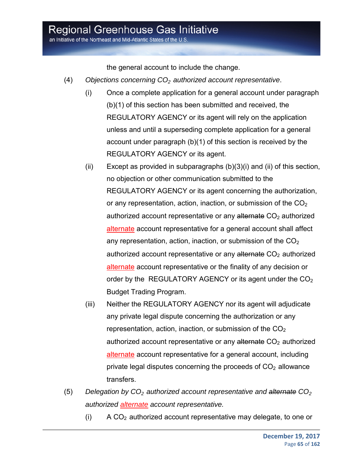an Initiative of the Northeast and Mid-Atlantic States of the U.S.

the general account to include the change.

- (4) *Objections concerning CO2 authorized account representative*.
	- (i) Once a complete application for a general account under paragraph (b)(1) of this section has been submitted and received, the REGULATORY AGENCY or its agent will rely on the application unless and until a superseding complete application for a general account under paragraph (b)(1) of this section is received by the REGULATORY AGENCY or its agent.
	- (ii) Except as provided in subparagraphs  $(b)(3)(i)$  and (ii) of this section, no objection or other communication submitted to the REGULATORY AGENCY or its agent concerning the authorization, or any representation, action, inaction, or submission of the  $CO<sub>2</sub>$ authorized account representative or any alternate  $CO<sub>2</sub>$  authorized alternate account representative for a general account shall affect any representation, action, inaction, or submission of the  $CO<sub>2</sub>$ authorized account representative or any alternate  $CO<sub>2</sub>$  authorized alternate account representative or the finality of any decision or order by the REGULATORY AGENCY or its agent under the  $CO<sub>2</sub>$ Budget Trading Program.
	- (iii) Neither the REGULATORY AGENCY nor its agent will adjudicate any private legal dispute concerning the authorization or any representation, action, inaction, or submission of the  $CO<sub>2</sub>$ authorized account representative or any alternate  $CO<sub>2</sub>$  authorized alternate account representative for a general account, including private legal disputes concerning the proceeds of  $CO<sub>2</sub>$  allowance transfers.
- (5) *Delegation by CO<sub>2</sub> authorized account representative and alternate CO<sub>2</sub> authorized alternate account representative.*
	- $(i)$  A CO<sub>2</sub> authorized account representative may delegate, to one or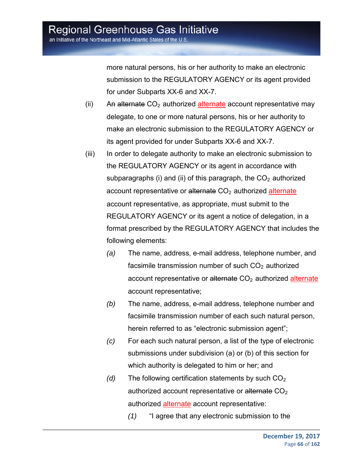more natural persons, his or her authority to make an electronic submission to the REGULATORY AGENCY or its agent provided for under Subparts XX-6 and XX-7.

- (ii) An alternate  $CO<sub>2</sub>$  authorized alternate account representative may delegate, to one or more natural persons, his or her authority to make an electronic submission to the REGULATORY AGENCY or its agent provided for under Subparts XX-6 and XX-7.
- (iii) In order to delegate authority to make an electronic submission to the REGULATORY AGENCY or its agent in accordance with subparagraphs (i) and (ii) of this paragraph, the  $CO<sub>2</sub>$  authorized account representative or alternate  $CO<sub>2</sub>$  authorized alternate account representative, as appropriate, must submit to the REGULATORY AGENCY or its agent a notice of delegation, in a format prescribed by the REGULATORY AGENCY that includes the following elements:
	- *(a)* The name, address, e-mail address, telephone number, and facsimile transmission number of such  $CO<sub>2</sub>$  authorized account representative or alternate  $CO<sub>2</sub>$  authorized alternate account representative;
	- *(b)* The name, address, e-mail address, telephone number and facsimile transmission number of each such natural person, herein referred to as "electronic submission agent";
	- *(c)* For each such natural person, a list of the type of electronic submissions under subdivision (a) or (b) of this section for which authority is delegated to him or her; and
	- $(d)$  The following certification statements by such  $CO<sub>2</sub>$ authorized account representative or alternate  $CO<sub>2</sub>$ authorized alternate account representative:
		- *(1)* "I agree that any electronic submission to the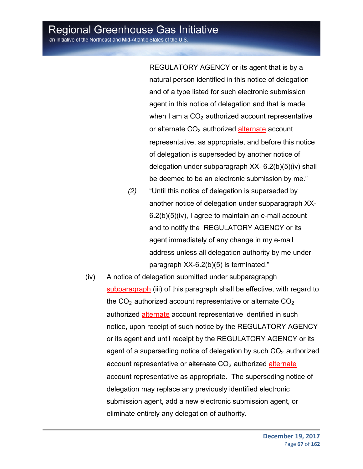an Initiative of the Northeast and Mid-Atlantic States of the U.S.

REGULATORY AGENCY or its agent that is by a natural person identified in this notice of delegation and of a type listed for such electronic submission agent in this notice of delegation and that is made when I am a  $CO<sub>2</sub>$  authorized account representative or alternate  $CO<sub>2</sub>$  authorized alternate account representative, as appropriate, and before this notice of delegation is superseded by another notice of delegation under subparagraph XX- 6.2(b)(5)(iv) shall be deemed to be an electronic submission by me."

- *(2)* "Until this notice of delegation is superseded by another notice of delegation under subparagraph XX-6.2(b)(5)(iv), I agree to maintain an e-mail account and to notify the REGULATORY AGENCY or its agent immediately of any change in my e-mail address unless all delegation authority by me under paragraph XX-6.2(b)(5) is terminated."
- (iv) A notice of delegation submitted under subparagrapgh subparagraph (iii) of this paragraph shall be effective, with regard to the  $CO<sub>2</sub>$  authorized account representative or alternate  $CO<sub>2</sub>$ authorized alternate account representative identified in such notice, upon receipt of such notice by the REGULATORY AGENCY or its agent and until receipt by the REGULATORY AGENCY or its agent of a superseding notice of delegation by such  $CO<sub>2</sub>$  authorized account representative or alternate  $CO<sub>2</sub>$  authorized alternate account representative as appropriate. The superseding notice of delegation may replace any previously identified electronic submission agent, add a new electronic submission agent, or eliminate entirely any delegation of authority.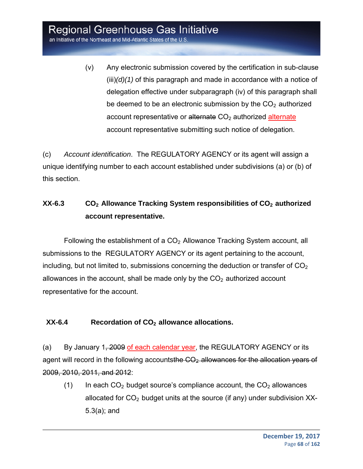an Initiative of the Northeast and Mid-Atlantic States of the U.S.

(v) Any electronic submission covered by the certification in sub-clause (iii)*(d)(1)* of this paragraph and made in accordance with a notice of delegation effective under subparagraph (iv) of this paragraph shall be deemed to be an electronic submission by the  $CO<sub>2</sub>$  authorized account representative or  $\frac{a}{b}$  atternate CO<sub>2</sub> authorized alternate account representative submitting such notice of delegation.

(c) *Account identification*. The REGULATORY AGENCY or its agent will assign a unique identifying number to each account established under subdivisions (a) or (b) of this section.

### **XX-6.3** CO<sub>2</sub> Allowance Tracking System responsibilities of CO<sub>2</sub> authorized **account representative.**

Following the establishment of a  $CO<sub>2</sub>$  Allowance Tracking System account, all submissions to the REGULATORY AGENCY or its agent pertaining to the account, including, but not limited to, submissions concerning the deduction or transfer of  $CO<sub>2</sub>$ allowances in the account, shall be made only by the  $CO<sub>2</sub>$  authorized account representative for the account.

### XX-6.4 Recordation of CO<sub>2</sub> allowance allocations.

(a) By January 1, 2009 of each calendar year, the REGULATORY AGENCY or its agent will record in the following accountsthe CO<sub>2</sub>-allowances for the allocation years of 2009, 2010, 2011, and 2012:

(1) In each  $CO<sub>2</sub>$  budget source's compliance account, the  $CO<sub>2</sub>$  allowances allocated for  $CO<sub>2</sub>$  budget units at the source (if any) under subdivision XX-5.3(a); and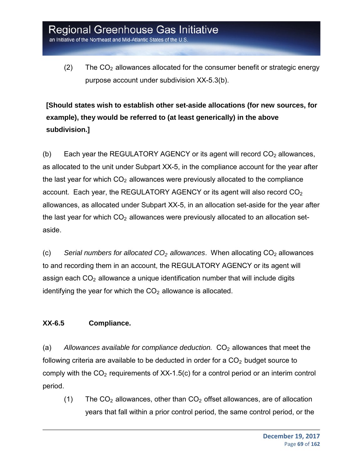(2) The  $CO<sub>2</sub>$  allowances allocated for the consumer benefit or strategic energy purpose account under subdivision XX-5.3(b).

**[Should states wish to establish other set-aside allocations (for new sources, for example), they would be referred to (at least generically) in the above subdivision.]**

(b) Each year the REGULATORY AGENCY or its agent will record  $CO<sub>2</sub>$  allowances, as allocated to the unit under Subpart XX-5, in the compliance account for the year after the last year for which  $CO<sub>2</sub>$  allowances were previously allocated to the compliance account. Each year, the REGULATORY AGENCY or its agent will also record CO<sub>2</sub> allowances, as allocated under Subpart XX-5, in an allocation set-aside for the year after the last year for which  $CO<sub>2</sub>$  allowances were previously allocated to an allocation setaside.

(c) *Serial numbers for allocated CO2 allowances*. When allocating CO2 allowances to and recording them in an account, the REGULATORY AGENCY or its agent will assign each  $CO<sub>2</sub>$  allowance a unique identification number that will include digits identifying the year for which the  $CO<sub>2</sub>$  allowance is allocated.

### **XX-6.5 Compliance.**

(a) Allowances available for compliance deduction. CO<sub>2</sub> allowances that meet the following criteria are available to be deducted in order for a  $CO<sub>2</sub>$  budget source to comply with the  $CO<sub>2</sub>$  requirements of XX-1.5(c) for a control period or an interim control period.

(1) The  $CO<sub>2</sub>$  allowances, other than  $CO<sub>2</sub>$  offset allowances, are of allocation years that fall within a prior control period, the same control period, or the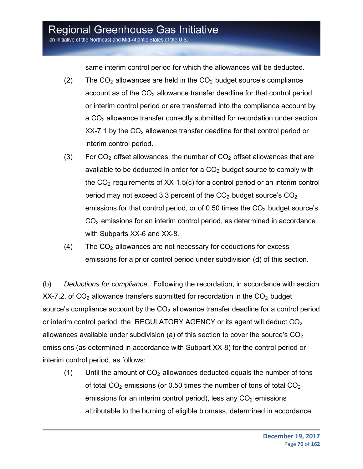an Initiative of the Northeast and Mid-Atlantic States of the U.S.

same interim control period for which the allowances will be deducted.

- (2) The  $CO<sub>2</sub>$  allowances are held in the  $CO<sub>2</sub>$  budget source's compliance account as of the  $CO<sub>2</sub>$  allowance transfer deadline for that control period or interim control period or are transferred into the compliance account by a CO<sub>2</sub> allowance transfer correctly submitted for recordation under section  $XX-7.1$  by the  $CO<sub>2</sub>$  allowance transfer deadline for that control period or interim control period.
- (3) For  $CO<sub>2</sub>$  offset allowances, the number of  $CO<sub>2</sub>$  offset allowances that are available to be deducted in order for a  $CO<sub>2</sub>$  budget source to comply with the  $CO<sub>2</sub>$  requirements of XX-1.5(c) for a control period or an interim control period may not exceed 3.3 percent of the  $CO<sub>2</sub>$  budget source's  $CO<sub>2</sub>$ emissions for that control period, or of 0.50 times the  $CO<sub>2</sub>$  budget source's  $CO<sub>2</sub>$  emissions for an interim control period, as determined in accordance with Subparts XX-6 and XX-8.
- $(4)$  The CO<sub>2</sub> allowances are not necessary for deductions for excess emissions for a prior control period under subdivision (d) of this section.

(b) *Deductions for compliance*. Following the recordation, in accordance with section  $XX$ -7.2, of  $CO<sub>2</sub>$  allowance transfers submitted for recordation in the  $CO<sub>2</sub>$  budget source's compliance account by the  $CO<sub>2</sub>$  allowance transfer deadline for a control period or interim control period, the REGULATORY AGENCY or its agent will deduct  $CO<sub>2</sub>$ allowances available under subdivision (a) of this section to cover the source's  $CO<sub>2</sub>$ emissions (as determined in accordance with Subpart XX-8) for the control period or interim control period, as follows:

(1) Until the amount of  $CO<sub>2</sub>$  allowances deducted equals the number of tons of total  $CO<sub>2</sub>$  emissions (or 0.50 times the number of tons of total  $CO<sub>2</sub>$ emissions for an interim control period), less any  $CO<sub>2</sub>$  emissions attributable to the burning of eligible biomass, determined in accordance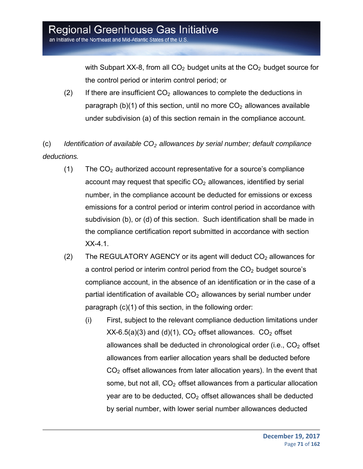with Subpart XX-8, from all  $CO<sub>2</sub>$  budget units at the  $CO<sub>2</sub>$  budget source for the control period or interim control period; or

(2) If there are insufficient  $CO<sub>2</sub>$  allowances to complete the deductions in paragraph (b)(1) of this section, until no more  $CO<sub>2</sub>$  allowances available under subdivision (a) of this section remain in the compliance account.

(c) *Identification of available CO2 allowances by serial number; default compliance deductions.* 

- (1) The  $CO<sub>2</sub>$  authorized account representative for a source's compliance account may request that specific  $CO<sub>2</sub>$  allowances, identified by serial number, in the compliance account be deducted for emissions or excess emissions for a control period or interim control period in accordance with subdivision (b), or (d) of this section. Such identification shall be made in the compliance certification report submitted in accordance with section XX-4.1.
- (2) The REGULATORY AGENCY or its agent will deduct  $CO<sub>2</sub>$  allowances for a control period or interim control period from the  $CO<sub>2</sub>$  budget source's compliance account, in the absence of an identification or in the case of a partial identification of available  $CO<sub>2</sub>$  allowances by serial number under paragraph (c)(1) of this section, in the following order:
	- (i) First, subject to the relevant compliance deduction limitations under  $XX-6.5(a)(3)$  and (d)(1),  $CO<sub>2</sub>$  offset allowances.  $CO<sub>2</sub>$  offset allowances shall be deducted in chronological order (i.e.,  $CO<sub>2</sub>$  offset allowances from earlier allocation years shall be deducted before  $CO<sub>2</sub>$  offset allowances from later allocation years). In the event that some, but not all,  $CO<sub>2</sub>$  offset allowances from a particular allocation year are to be deducted,  $CO<sub>2</sub>$  offset allowances shall be deducted by serial number, with lower serial number allowances deducted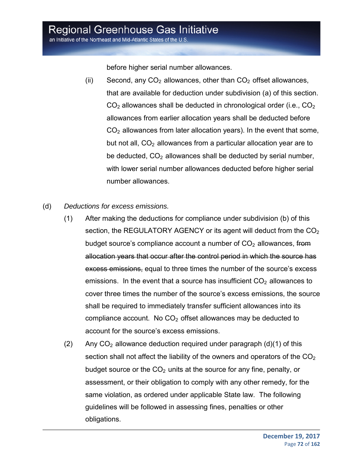an Initiative of the Northeast and Mid-Atlantic States of the U.S.

before higher serial number allowances.

- (ii) Second, any  $CO<sub>2</sub>$  allowances, other than  $CO<sub>2</sub>$  offset allowances, that are available for deduction under subdivision (a) of this section.  $CO<sub>2</sub>$  allowances shall be deducted in chronological order (i.e.,  $CO<sub>2</sub>$ ) allowances from earlier allocation years shall be deducted before  $CO<sub>2</sub>$  allowances from later allocation years). In the event that some, but not all,  $CO<sub>2</sub>$  allowances from a particular allocation year are to be deducted,  $CO<sub>2</sub>$  allowances shall be deducted by serial number, with lower serial number allowances deducted before higher serial number allowances.
- (d) *Deductions for excess emissions.*
	- (1) After making the deductions for compliance under subdivision (b) of this section, the REGULATORY AGENCY or its agent will deduct from the  $CO<sub>2</sub>$ budget source's compliance account a number of  $CO<sub>2</sub>$  allowances, from allocation years that occur after the control period in which the source has excess emissions, equal to three times the number of the source's excess emissions. In the event that a source has insufficient  $CO<sub>2</sub>$  allowances to cover three times the number of the source's excess emissions, the source shall be required to immediately transfer sufficient allowances into its compliance account. No  $CO<sub>2</sub>$  offset allowances may be deducted to account for the source's excess emissions.
	- $(2)$  Any CO<sub>2</sub> allowance deduction required under paragraph  $(d)(1)$  of this section shall not affect the liability of the owners and operators of the  $CO<sub>2</sub>$ budget source or the  $CO<sub>2</sub>$  units at the source for any fine, penalty, or assessment, or their obligation to comply with any other remedy, for the same violation, as ordered under applicable State law. The following guidelines will be followed in assessing fines, penalties or other obligations.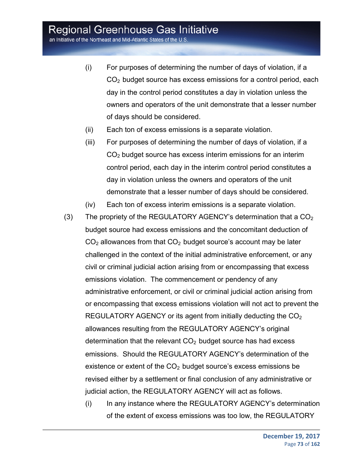an Initiative of the Northeast and Mid-Atlantic States of the U.S.

- (i) For purposes of determining the number of days of violation, if a CO2 budget source has excess emissions for a control period, each day in the control period constitutes a day in violation unless the owners and operators of the unit demonstrate that a lesser number of days should be considered.
- (ii) Each ton of excess emissions is a separate violation.
- (iii) For purposes of determining the number of days of violation, if a CO2 budget source has excess interim emissions for an interim control period, each day in the interim control period constitutes a day in violation unless the owners and operators of the unit demonstrate that a lesser number of days should be considered.
- (iv) Each ton of excess interim emissions is a separate violation.
- (3) The propriety of the REGULATORY AGENCY's determination that a  $CO<sub>2</sub>$ budget source had excess emissions and the concomitant deduction of  $CO<sub>2</sub>$  allowances from that  $CO<sub>2</sub>$  budget source's account may be later challenged in the context of the initial administrative enforcement, or any civil or criminal judicial action arising from or encompassing that excess emissions violation. The commencement or pendency of any administrative enforcement, or civil or criminal judicial action arising from or encompassing that excess emissions violation will not act to prevent the REGULATORY AGENCY or its agent from initially deducting the  $CO<sub>2</sub>$ allowances resulting from the REGULATORY AGENCY's original determination that the relevant  $CO<sub>2</sub>$  budget source has had excess emissions. Should the REGULATORY AGENCY's determination of the existence or extent of the  $CO<sub>2</sub>$  budget source's excess emissions be revised either by a settlement or final conclusion of any administrative or judicial action, the REGULATORY AGENCY will act as follows.
	- (i) In any instance where the REGULATORY AGENCY's determination of the extent of excess emissions was too low, the REGULATORY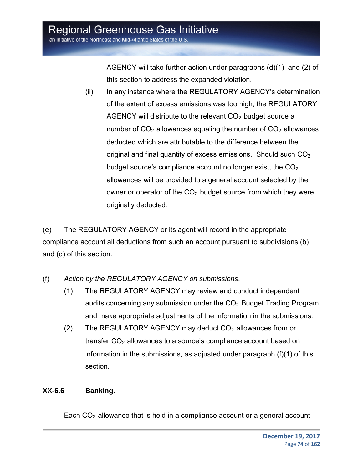AGENCY will take further action under paragraphs (d)(1) and (2) of this section to address the expanded violation.

(ii) In any instance where the REGULATORY AGENCY's determination of the extent of excess emissions was too high, the REGULATORY AGENCY will distribute to the relevant  $CO<sub>2</sub>$  budget source a number of  $CO<sub>2</sub>$  allowances equaling the number of  $CO<sub>2</sub>$  allowances deducted which are attributable to the difference between the original and final quantity of excess emissions. Should such  $CO<sub>2</sub>$ budget source's compliance account no longer exist, the  $CO<sub>2</sub>$ allowances will be provided to a general account selected by the owner or operator of the  $CO<sub>2</sub>$  budget source from which they were originally deducted.

(e) The REGULATORY AGENCY or its agent will record in the appropriate compliance account all deductions from such an account pursuant to subdivisions (b) and (d) of this section.

- (f) *Action by the REGULATORY AGENCY on submissions*.
	- (1) The REGULATORY AGENCY may review and conduct independent audits concerning any submission under the  $CO<sub>2</sub>$  Budget Trading Program and make appropriate adjustments of the information in the submissions.
	- (2) The REGULATORY AGENCY may deduct  $CO<sub>2</sub>$  allowances from or transfer  $CO<sub>2</sub>$  allowances to a source's compliance account based on information in the submissions, as adjusted under paragraph (f)(1) of this section.

#### **XX-6.6 Banking.**

Each  $CO<sub>2</sub>$  allowance that is held in a compliance account or a general account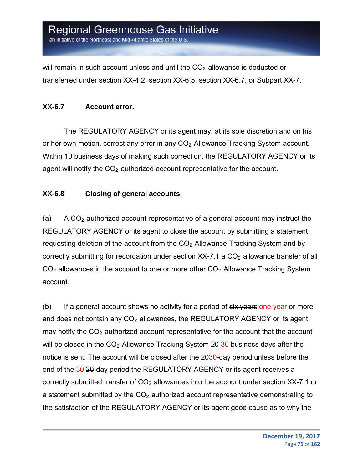will remain in such account unless and until the  $CO<sub>2</sub>$  allowance is deducted or transferred under section XX-4.2, section XX-6.5, section XX-6.7, or Subpart XX-7.

#### **XX-6.7 Account error.**

The REGULATORY AGENCY or its agent may, at its sole discretion and on his or her own motion, correct any error in any  $CO<sub>2</sub>$  Allowance Tracking System account. Within 10 business days of making such correction, the REGULATORY AGENCY or its agent will notify the  $CO<sub>2</sub>$  authorized account representative for the account.

#### **XX-6.8 Closing of general accounts.**

(a) A  $CO<sub>2</sub>$  authorized account representative of a general account may instruct the REGULATORY AGENCY or its agent to close the account by submitting a statement requesting deletion of the account from the  $CO<sub>2</sub>$  Allowance Tracking System and by correctly submitting for recordation under section  $XX$ -7.1 a  $CO<sub>2</sub>$  allowance transfer of all  $CO<sub>2</sub>$  allowances in the account to one or more other  $CO<sub>2</sub>$  Allowance Tracking System account.

(b) If a general account shows no activity for a period of  $s$ ix years one year or more and does not contain any  $CO<sub>2</sub>$  allowances, the REGULATORY AGENCY or its agent may notify the  $CO<sub>2</sub>$  authorized account representative for the account that the account will be closed in the  $CO<sub>2</sub>$  Allowance Tracking System  $20\overline{30}$  business days after the notice is sent. The account will be closed after the 2030-day period unless before the end of the 30 20-day period the REGULATORY AGENCY or its agent receives a correctly submitted transfer of  $CO<sub>2</sub>$  allowances into the account under section XX-7.1 or a statement submitted by the  $CO<sub>2</sub>$  authorized account representative demonstrating to the satisfaction of the REGULATORY AGENCY or its agent good cause as to why the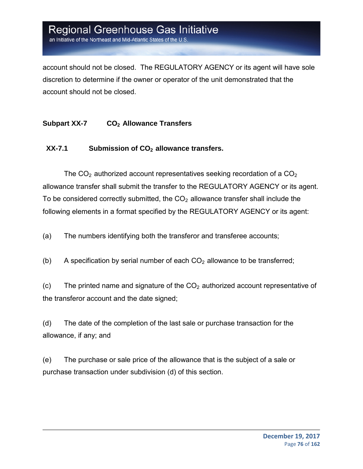an Initiative of the Northeast and Mid-Atlantic States of the U.S

account should not be closed. The REGULATORY AGENCY or its agent will have sole discretion to determine if the owner or operator of the unit demonstrated that the account should not be closed.

#### **Subpart XX-7 CO2 Allowance Transfers**

#### XX-7.1 Submission of CO<sub>2</sub> allowance transfers.

The  $CO<sub>2</sub>$  authorized account representatives seeking recordation of a  $CO<sub>2</sub>$ allowance transfer shall submit the transfer to the REGULATORY AGENCY or its agent. To be considered correctly submitted, the  $CO<sub>2</sub>$  allowance transfer shall include the following elements in a format specified by the REGULATORY AGENCY or its agent:

(a) The numbers identifying both the transferor and transferee accounts;

(b) A specification by serial number of each  $CO<sub>2</sub>$  allowance to be transferred;

(c) The printed name and signature of the  $CO<sub>2</sub>$  authorized account representative of the transferor account and the date signed;

(d) The date of the completion of the last sale or purchase transaction for the allowance, if any; and

(e) The purchase or sale price of the allowance that is the subject of a sale or purchase transaction under subdivision (d) of this section.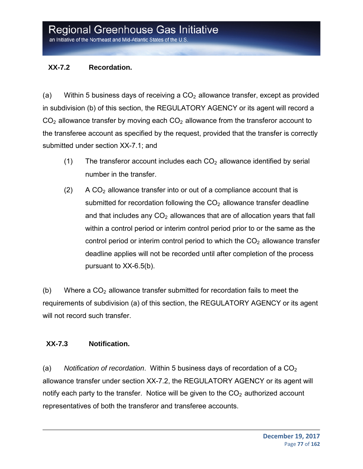#### **XX-7.2 Recordation.**

(a) Within 5 business days of receiving a  $CO<sub>2</sub>$  allowance transfer, except as provided in subdivision (b) of this section, the REGULATORY AGENCY or its agent will record a  $CO<sub>2</sub>$  allowance transfer by moving each  $CO<sub>2</sub>$  allowance from the transferor account to the transferee account as specified by the request, provided that the transfer is correctly submitted under section XX-7.1; and

- (1) The transferor account includes each  $CO<sub>2</sub>$  allowance identified by serial number in the transfer.
- $(2)$  A CO<sub>2</sub> allowance transfer into or out of a compliance account that is submitted for recordation following the  $CO<sub>2</sub>$  allowance transfer deadline and that includes any  $CO<sub>2</sub>$  allowances that are of allocation years that fall within a control period or interim control period prior to or the same as the control period or interim control period to which the  $CO<sub>2</sub>$  allowance transfer deadline applies will not be recorded until after completion of the process pursuant to XX-6.5(b).

(b) Where a  $CO<sub>2</sub>$  allowance transfer submitted for recordation fails to meet the requirements of subdivision (a) of this section, the REGULATORY AGENCY or its agent will not record such transfer.

#### **XX-7.3 Notification.**

(a) *Notification of recordation.* Within 5 business days of recordation of a  $CO<sub>2</sub>$ allowance transfer under section XX-7.2, the REGULATORY AGENCY or its agent will notify each party to the transfer. Notice will be given to the  $CO<sub>2</sub>$  authorized account representatives of both the transferor and transferee accounts.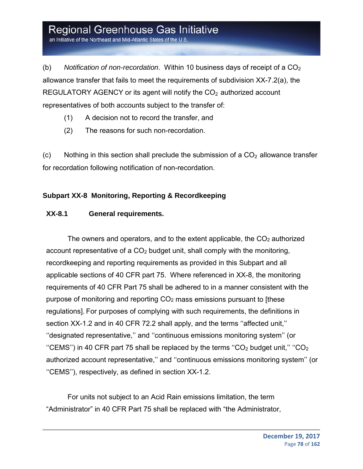an Initiative of the Northeast and Mid-Atlantic States of the U.S.

(b) Notification of non-recordation. Within 10 business days of receipt of a CO<sub>2</sub> allowance transfer that fails to meet the requirements of subdivision XX-7.2(a), the REGULATORY AGENCY or its agent will notify the  $CO<sub>2</sub>$  authorized account representatives of both accounts subject to the transfer of:

- (1) A decision not to record the transfer, and
- (2) The reasons for such non-recordation.

 $(c)$  Nothing in this section shall preclude the submission of a  $CO<sub>2</sub>$  allowance transfer for recordation following notification of non-recordation.

#### **Subpart XX-8 Monitoring, Reporting & Recordkeeping**

#### **XX-8.1 General requirements.**

The owners and operators, and to the extent applicable, the  $CO<sub>2</sub>$  authorized account representative of a  $CO<sub>2</sub>$  budget unit, shall comply with the monitoring, recordkeeping and reporting requirements as provided in this Subpart and all applicable sections of 40 CFR part 75. Where referenced in XX-8, the monitoring requirements of 40 CFR Part 75 shall be adhered to in a manner consistent with the purpose of monitoring and reporting CO2 mass emissions pursuant to [these regulations]. For purposes of complying with such requirements, the definitions in section XX-1.2 and in 40 CFR 72.2 shall apply, and the terms ''affected unit,'' ''designated representative,'' and ''continuous emissions monitoring system'' (or "CEMS") in 40 CFR part 75 shall be replaced by the terms "CO<sub>2</sub> budget unit," "CO<sub>2</sub> authorized account representative,'' and ''continuous emissions monitoring system'' (or ''CEMS''), respectively, as defined in section XX-1.2.

For units not subject to an Acid Rain emissions limitation, the term "Administrator" in 40 CFR Part 75 shall be replaced with "the Administrator,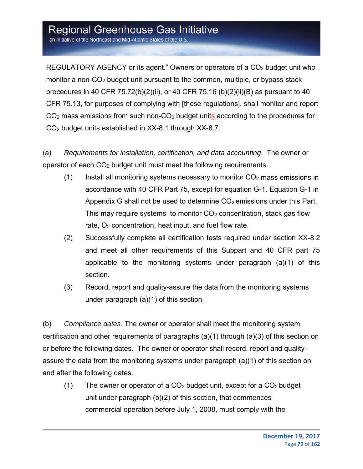an Initiative of the Northeast and Mid-Atlantic States of the U.S.

REGULATORY AGENCY or its agent." Owners or operators of a  $CO<sub>2</sub>$  budget unit who monitor a non- $CO<sub>2</sub>$  budget unit pursuant to the common, multiple, or bypass stack procedures in 40 CFR 75.72(b)(2)(ii), or 40 CFR 75.16 (b)(2)(ii)(B) as pursuant to 40 CFR 75.13, for purposes of complying with [these regulations], shall monitor and report CO2 mass emissions from such non-CO2 budget units according to the procedures for CO2 budget units established in XX-8.1 through XX-8.7.

(a) *Requirements for installation, certification, and data accounting*. The owner or operator of each CO2 budget unit must meet the following requirements.

- (1) Install all monitoring systems necessary to monitor  $CO<sub>2</sub>$  mass emissions in accordance with 40 CFR Part 75, except for equation G-1. Equation G-1 in Appendix G shall not be used to determine  $CO<sub>2</sub>$  emissions under this Part. This may require systems to monitor  $CO<sub>2</sub>$  concentration, stack gas flow rate,  $O<sub>2</sub>$  concentration, heat input, and fuel flow rate.
- (2) Successfully complete all certification tests required under section XX-8.2 and meet all other requirements of this Subpart and 40 CFR part 75 applicable to the monitoring systems under paragraph (a)(1) of this section.
- (3) Record, report and quality-assure the data from the monitoring systems under paragraph (a)(1) of this section.

(b) *Compliance dates*. The owner or operator shall meet the monitoring system certification and other requirements of paragraphs (a)(1) through (a)(3) of this section on or before the following dates. The owner or operator shall record, report and qualityassure the data from the monitoring systems under paragraph (a)(1) of this section on and after the following dates.

(1) The owner or operator of a  $CO<sub>2</sub>$  budget unit, except for a  $CO<sub>2</sub>$  budget unit under paragraph (b)(2) of this section, that commences commercial operation before July 1, 2008, must comply with the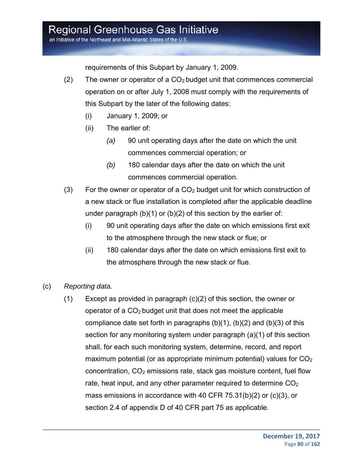an Initiative of the Northeast and Mid-Atlantic States of the U.S.

requirements of this Subpart by January 1, 2009.

- (2) The owner or operator of a  $CO<sub>2</sub>$  budget unit that commences commercial operation on or after July 1, 2008 must comply with the requirements of this Subpart by the later of the following dates:
	- (i) January 1, 2009; or
	- (ii) The earlier of:
		- *(a)* 90 unit operating days after the date on which the unit commences commercial operation; or
		- *(b)* 180 calendar days after the date on which the unit commences commercial operation.
- (3) For the owner or operator of a  $CO<sub>2</sub>$  budget unit for which construction of a new stack or flue installation is completed after the applicable deadline under paragraph (b)(1) or (b)(2) of this section by the earlier of:
	- (i) 90 unit operating days after the date on which emissions first exit to the atmosphere through the new stack or flue; or
	- (ii) 180 calendar days after the date on which emissions first exit to the atmosphere through the new stack or flue.
- (c) *Reporting data.*
	- (1) Except as provided in paragraph (c)(2) of this section, the owner or operator of a  $CO<sub>2</sub>$  budget unit that does not meet the applicable compliance date set forth in paragraphs (b)(1), (b)(2) and (b)(3) of this section for any monitoring system under paragraph (a)(1) of this section shall, for each such monitoring system, determine, record, and report maximum potential (or as appropriate minimum potential) values for  $CO<sub>2</sub>$  $concentration, CO<sub>2</sub> emissions rate, stack gas moisture content, fuel flow$ rate, heat input, and any other parameter required to determine  $CO<sub>2</sub>$ mass emissions in accordance with 40 CFR 75.31(b)(2) or (c)(3), or section 2.4 of appendix D of 40 CFR part 75 as applicable.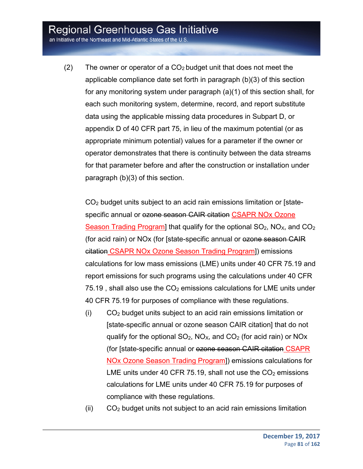an Initiative of the Northeast and Mid-Atlantic States of the U.S.

(2) The owner or operator of a  $CO<sub>2</sub>$  budget unit that does not meet the applicable compliance date set forth in paragraph (b)(3) of this section for any monitoring system under paragraph (a)(1) of this section shall, for each such monitoring system, determine, record, and report substitute data using the applicable missing data procedures in Subpart D, or appendix D of 40 CFR part 75, in lieu of the maximum potential (or as appropriate minimum potential) values for a parameter if the owner or operator demonstrates that there is continuity between the data streams for that parameter before and after the construction or installation under paragraph (b)(3) of this section.

CO2 budget units subject to an acid rain emissions limitation or [statespecific annual or ezone season CAIR citation CSAPR NOx Ozone Season Trading Program] that qualify for the optional  $SO_2$ ,  $NO<sub>X</sub>$ , and  $CO<sub>2</sub>$ (for acid rain) or NOx (for [state-specific annual or ozone season CAIR citation CSAPR NOx Ozone Season Trading Program]) emissions calculations for low mass emissions (LME) units under 40 CFR 75.19 and report emissions for such programs using the calculations under 40 CFR 75.19, shall also use the  $CO<sub>2</sub>$  emissions calculations for LME units under 40 CFR 75.19 for purposes of compliance with these regulations.

- (i) CO2 budget units subject to an acid rain emissions limitation or [state-specific annual or ozone season CAIR citation] that do not qualify for the optional  $SO_2$ ,  $NO_{X}$ , and  $CO_2$  (for acid rain) or  $NO_{X}$ (for [state-specific annual or ozone season CAIR citation CSAPR NOx Ozone Season Trading Program]) emissions calculations for LME units under 40 CFR 75.19, shall not use the  $CO<sub>2</sub>$  emissions calculations for LME units under 40 CFR 75.19 for purposes of compliance with these regulations.
- (ii) CO2 budget units not subject to an acid rain emissions limitation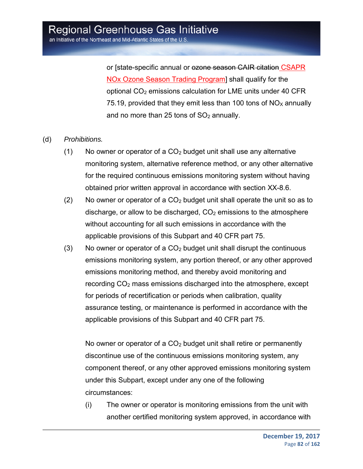or [state-specific annual or ozone season CAIR citation CSAPR NOx Ozone Season Trading Program] shall qualify for the optional CO2 emissions calculation for LME units under 40 CFR 75.19, provided that they emit less than 100 tons of  $NO<sub>X</sub>$  annually and no more than 25 tons of  $SO<sub>2</sub>$  annually.

#### (d) *Prohibitions.*

- $(1)$  No owner or operator of a CO<sub>2</sub> budget unit shall use any alternative monitoring system, alternative reference method, or any other alternative for the required continuous emissions monitoring system without having obtained prior written approval in accordance with section XX-8.6.
- (2) No owner or operator of a  $CO<sub>2</sub>$  budget unit shall operate the unit so as to discharge, or allow to be discharged,  $CO<sub>2</sub>$  emissions to the atmosphere without accounting for all such emissions in accordance with the applicable provisions of this Subpart and 40 CFR part 75.
- (3) No owner or operator of a  $CO<sub>2</sub>$  budget unit shall disrupt the continuous emissions monitoring system, any portion thereof, or any other approved emissions monitoring method, and thereby avoid monitoring and recording  $CO<sub>2</sub>$  mass emissions discharged into the atmosphere, except for periods of recertification or periods when calibration, quality assurance testing, or maintenance is performed in accordance with the applicable provisions of this Subpart and 40 CFR part 75.

No owner or operator of a  $CO<sub>2</sub>$  budget unit shall retire or permanently discontinue use of the continuous emissions monitoring system, any component thereof, or any other approved emissions monitoring system under this Subpart, except under any one of the following circumstances:

(i) The owner or operator is monitoring emissions from the unit with another certified monitoring system approved, in accordance with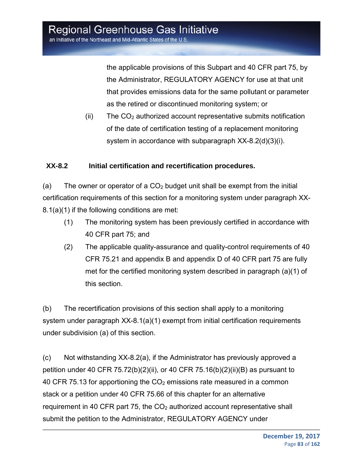the applicable provisions of this Subpart and 40 CFR part 75, by the Administrator, REGULATORY AGENCY for use at that unit that provides emissions data for the same pollutant or parameter as the retired or discontinued monitoring system; or

 $(i)$  The  $CO<sub>2</sub>$  authorized account representative submits notification of the date of certification testing of a replacement monitoring system in accordance with subparagraph XX-8.2(d)(3)(i).

#### **XX-8.2 Initial certification and recertification procedures.**

(a) The owner or operator of a  $CO<sub>2</sub>$  budget unit shall be exempt from the initial certification requirements of this section for a monitoring system under paragraph XX-8.1(a)(1) if the following conditions are met:

- (1) The monitoring system has been previously certified in accordance with 40 CFR part 75; and
- (2) The applicable quality-assurance and quality-control requirements of 40 CFR 75.21 and appendix B and appendix D of 40 CFR part 75 are fully met for the certified monitoring system described in paragraph (a)(1) of this section.

(b) The recertification provisions of this section shall apply to a monitoring system under paragraph XX-8.1(a)(1) exempt from initial certification requirements under subdivision (a) of this section.

(c) Not withstanding XX-8.2(a), if the Administrator has previously approved a petition under 40 CFR 75.72(b)(2)(ii), or 40 CFR 75.16(b)(2)(ii)(B) as pursuant to 40 CFR 75.13 for apportioning the  $CO<sub>2</sub>$  emissions rate measured in a common stack or a petition under 40 CFR 75.66 of this chapter for an alternative requirement in 40 CFR part 75, the  $CO<sub>2</sub>$  authorized account representative shall submit the petition to the Administrator, REGULATORY AGENCY under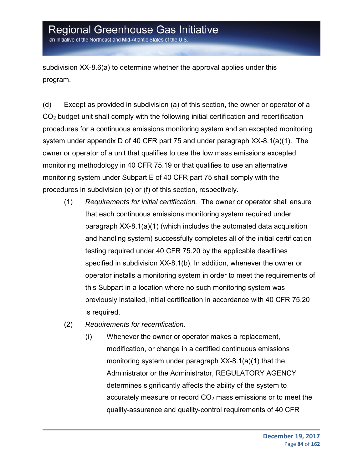an Initiative of the Northeast and Mid-Atlantic States of the U.S.

subdivision XX-8.6(a) to determine whether the approval applies under this program.

(d) Except as provided in subdivision (a) of this section, the owner or operator of a CO2 budget unit shall comply with the following initial certification and recertification procedures for a continuous emissions monitoring system and an excepted monitoring system under appendix D of 40 CFR part 75 and under paragraph XX-8.1(a)(1). The owner or operator of a unit that qualifies to use the low mass emissions excepted monitoring methodology in 40 CFR 75.19 or that qualifies to use an alternative monitoring system under Subpart E of 40 CFR part 75 shall comply with the procedures in subdivision (e) or (f) of this section, respectively.

- (1) *Requirements for initial certification.* The owner or operator shall ensure that each continuous emissions monitoring system required under paragraph XX-8.1(a)(1) (which includes the automated data acquisition and handling system) successfully completes all of the initial certification testing required under 40 CFR 75.20 by the applicable deadlines specified in subdivision XX-8.1(b). In addition, whenever the owner or operator installs a monitoring system in order to meet the requirements of this Subpart in a location where no such monitoring system was previously installed, initial certification in accordance with 40 CFR 75.20 is required.
- (2) *Requirements for recertification.*
	- (i) Whenever the owner or operator makes a replacement, modification, or change in a certified continuous emissions monitoring system under paragraph XX-8.1(a)(1) that the Administrator or the Administrator, REGULATORY AGENCY determines significantly affects the ability of the system to accurately measure or record CO<sub>2</sub> mass emissions or to meet the quality-assurance and quality-control requirements of 40 CFR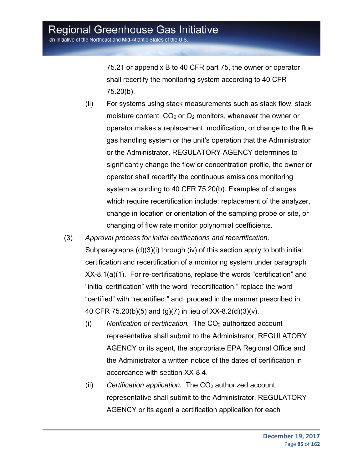75.21 or appendix B to 40 CFR part 75, the owner or operator shall recertify the monitoring system according to 40 CFR 75.20(b).

- (ii) For systems using stack measurements such as stack flow, stack moisture content,  $CO<sub>2</sub>$  or  $O<sub>2</sub>$  monitors, whenever the owner or operator makes a replacement, modification, or change to the flue gas handling system or the unit's operation that the Administrator or the Administrator, REGULATORY AGENCY determines to significantly change the flow or concentration profile, the owner or operator shall recertify the continuous emissions monitoring system according to 40 CFR 75.20(b). Examples of changes which require recertification include: replacement of the analyzer, change in location or orientation of the sampling probe or site, or changing of flow rate monitor polynomial coefficients.
- (3) *Approval process for initial certifications and recertification*. Subparagraphs (d)(3)(i) through (iv) of this section apply to both initial certification and recertification of a monitoring system under paragraph XX-8.1(a)(1). For re-certifications, replace the words "certification" and "initial certification" with the word "recertification," replace the word "certified" with "recertified," and proceed in the manner prescribed in 40 CFR 75.20(b)(5) and (g)(7) in lieu of XX-8.2(d)(3)(v).
	- (i) Notification of certification. The CO<sub>2</sub> authorized account representative shall submit to the Administrator, REGULATORY AGENCY or its agent, the appropriate EPA Regional Office and the Administrator a written notice of the dates of certification in accordance with section XX-8.4.
	- (ii) *Certification application.* The CO<sub>2</sub> authorized account representative shall submit to the Administrator, REGULATORY AGENCY or its agent a certification application for each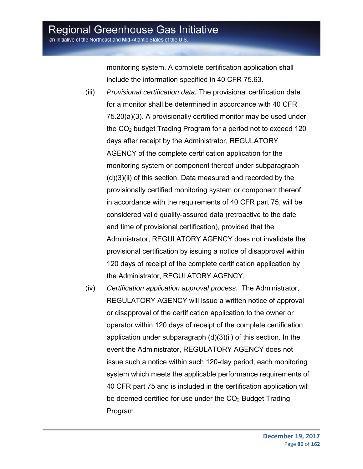an Initiative of the Northeast and Mid-Atlantic States of the U.S.

monitoring system. A complete certification application shall include the information specified in 40 CFR 75.63.

- (iii) *Provisional certification data.* The provisional certification date for a monitor shall be determined in accordance with 40 CFR 75.20(a)(3). A provisionally certified monitor may be used under the CO2 budget Trading Program for a period not to exceed 120 days after receipt by the Administrator, REGULATORY AGENCY of the complete certification application for the monitoring system or component thereof under subparagraph (d)(3)(ii) of this section. Data measured and recorded by the provisionally certified monitoring system or component thereof, in accordance with the requirements of 40 CFR part 75, will be considered valid quality-assured data (retroactive to the date and time of provisional certification), provided that the Administrator, REGULATORY AGENCY does not invalidate the provisional certification by issuing a notice of disapproval within 120 days of receipt of the complete certification application by the Administrator, REGULATORY AGENCY.
- (iv) *Certification application approval process.* The Administrator, REGULATORY AGENCY will issue a written notice of approval or disapproval of the certification application to the owner or operator within 120 days of receipt of the complete certification application under subparagraph (d)(3)(ii) of this section. In the event the Administrator, REGULATORY AGENCY does not issue such a notice within such 120-day period, each monitoring system which meets the applicable performance requirements of 40 CFR part 75 and is included in the certification application will be deemed certified for use under the  $CO<sub>2</sub>$  Budget Trading Program.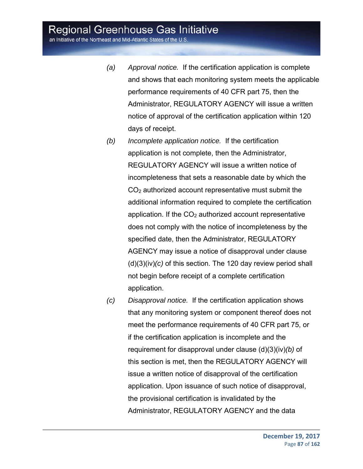an Initiative of the Northeast and Mid-Atlantic States of the U.S.

- *(a) Approval notice.* If the certification application is complete and shows that each monitoring system meets the applicable performance requirements of 40 CFR part 75, then the Administrator, REGULATORY AGENCY will issue a written notice of approval of the certification application within 120 days of receipt.
- *(b) Incomplete application notice.* If the certification application is not complete, then the Administrator, REGULATORY AGENCY will issue a written notice of incompleteness that sets a reasonable date by which the CO2 authorized account representative must submit the additional information required to complete the certification application. If the  $CO<sub>2</sub>$  authorized account representative does not comply with the notice of incompleteness by the specified date, then the Administrator, REGULATORY AGENCY may issue a notice of disapproval under clause (d)(3)(iv)*(c)* of this section. The 120 day review period shall not begin before receipt of a complete certification application.
- *(c) Disapproval notice.* If the certification application shows that any monitoring system or component thereof does not meet the performance requirements of 40 CFR part 75, or if the certification application is incomplete and the requirement for disapproval under clause (d)(3)(iv)*(b)* of this section is met, then the REGULATORY AGENCY will issue a written notice of disapproval of the certification application. Upon issuance of such notice of disapproval, the provisional certification is invalidated by the Administrator, REGULATORY AGENCY and the data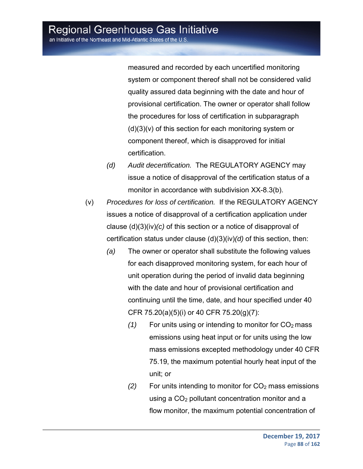measured and recorded by each uncertified monitoring system or component thereof shall not be considered valid quality assured data beginning with the date and hour of provisional certification. The owner or operator shall follow the procedures for loss of certification in subparagraph (d)(3)(v) of this section for each monitoring system or component thereof, which is disapproved for initial certification.

- *(d) Audit decertification.* The REGULATORY AGENCY may issue a notice of disapproval of the certification status of a monitor in accordance with subdivision XX-8.3(b).
- (v) *Procedures for loss of certification.* If the REGULATORY AGENCY issues a notice of disapproval of a certification application under clause (d)(3)(iv)*(c)* of this section or a notice of disapproval of certification status under clause (d)(3)(iv)*(d)* of this section, then:
	- *(a)* The owner or operator shall substitute the following values for each disapproved monitoring system, for each hour of unit operation during the period of invalid data beginning with the date and hour of provisional certification and continuing until the time, date, and hour specified under 40 CFR 75.20(a)(5)(i) or 40 CFR 75.20(g)(7):
		- $(1)$  For units using or intending to monitor for  $CO<sub>2</sub>$  mass emissions using heat input or for units using the low mass emissions excepted methodology under 40 CFR 75.19, the maximum potential hourly heat input of the unit; or
		- $(2)$  For units intending to monitor for  $CO<sub>2</sub>$  mass emissions using a CO<sub>2</sub> pollutant concentration monitor and a flow monitor, the maximum potential concentration of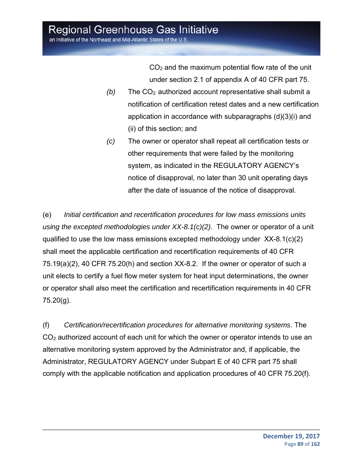$CO<sub>2</sub>$  and the maximum potential flow rate of the unit under section 2.1 of appendix A of 40 CFR part 75.

- $(b)$  The  $CO<sub>2</sub>$  authorized account representative shall submit a notification of certification retest dates and a new certification application in accordance with subparagraphs (d)(3)(i) and (ii) of this section; and
- *(c)* The owner or operator shall repeat all certification tests or other requirements that were failed by the monitoring system, as indicated in the REGULATORY AGENCY's notice of disapproval, no later than 30 unit operating days after the date of issuance of the notice of disapproval.

(e) *Initial certification and recertification procedures for low mass emissions units using the excepted methodologies under XX-8.1(c)(2)*. The owner or operator of a unit qualified to use the low mass emissions excepted methodology under  $XX-8.1(c)(2)$ shall meet the applicable certification and recertification requirements of 40 CFR 75.19(a)(2), 40 CFR 75.20(h) and section XX-8.2. If the owner or operator of such a unit elects to certify a fuel flow meter system for heat input determinations, the owner or operator shall also meet the certification and recertification requirements in 40 CFR 75.20(g).

(f) *Certification/recertification procedures for alternative monitoring systems*. The CO2 authorized account of each unit for which the owner or operator intends to use an alternative monitoring system approved by the Administrator and, if applicable, the Administrator, REGULATORY AGENCY under Subpart E of 40 CFR part 75 shall comply with the applicable notification and application procedures of 40 CFR 75.20(f).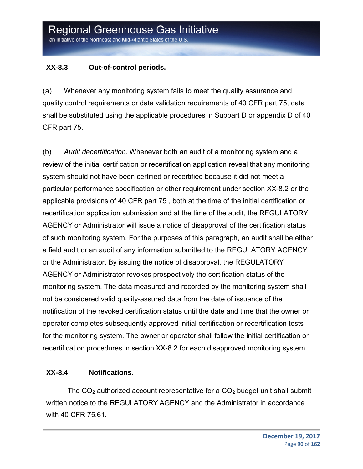#### **XX-8.3 Out-of-control periods.**

(a) Whenever any monitoring system fails to meet the quality assurance and quality control requirements or data validation requirements of 40 CFR part 75, data shall be substituted using the applicable procedures in Subpart D or appendix D of 40 CFR part 75.

(b) *Audit decertification.* Whenever both an audit of a monitoring system and a review of the initial certification or recertification application reveal that any monitoring system should not have been certified or recertified because it did not meet a particular performance specification or other requirement under section XX-8.2 or the applicable provisions of 40 CFR part 75 , both at the time of the initial certification or recertification application submission and at the time of the audit, the REGULATORY AGENCY or Administrator will issue a notice of disapproval of the certification status of such monitoring system. For the purposes of this paragraph, an audit shall be either a field audit or an audit of any information submitted to the REGULATORY AGENCY or the Administrator. By issuing the notice of disapproval, the REGULATORY AGENCY or Administrator revokes prospectively the certification status of the monitoring system. The data measured and recorded by the monitoring system shall not be considered valid quality-assured data from the date of issuance of the notification of the revoked certification status until the date and time that the owner or operator completes subsequently approved initial certification or recertification tests for the monitoring system. The owner or operator shall follow the initial certification or recertification procedures in section XX-8.2 for each disapproved monitoring system.

#### **XX-8.4 Notifications.**

The  $CO<sub>2</sub>$  authorized account representative for a  $CO<sub>2</sub>$  budget unit shall submit written notice to the REGULATORY AGENCY and the Administrator in accordance with 40 CFR 75.61.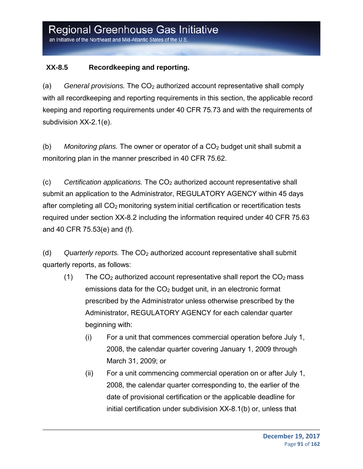#### **XX-8.5 Recordkeeping and reporting.**

(a) *General provisions.* The CO2 authorized account representative shall comply with all recordkeeping and reporting requirements in this section, the applicable record keeping and reporting requirements under 40 CFR 75.73 and with the requirements of subdivision XX-2.1(e).

(b) *Monitoring plans.* The owner or operator of a CO<sub>2</sub> budget unit shall submit a monitoring plan in the manner prescribed in 40 CFR 75.62.

(c) *Certification applications.* The CO2 authorized account representative shall submit an application to the Administrator, REGULATORY AGENCY within 45 days after completing all  $CO<sub>2</sub>$  monitoring system initial certification or recertification tests required under section XX-8.2 including the information required under 40 CFR 75.63 and 40 CFR 75.53(e) and (f).

(d) *Quarterly reports.* The CO2 authorized account representative shall submit quarterly reports, as follows:

- (1) The  $CO<sub>2</sub>$  authorized account representative shall report the  $CO<sub>2</sub>$  mass emissions data for the  $CO<sub>2</sub>$  budget unit, in an electronic format prescribed by the Administrator unless otherwise prescribed by the Administrator, REGULATORY AGENCY for each calendar quarter beginning with:
	- (i) For a unit that commences commercial operation before July 1, 2008, the calendar quarter covering January 1, 2009 through March 31, 2009; or
	- (ii) For a unit commencing commercial operation on or after July 1, 2008, the calendar quarter corresponding to, the earlier of the date of provisional certification or the applicable deadline for initial certification under subdivision XX-8.1(b) or, unless that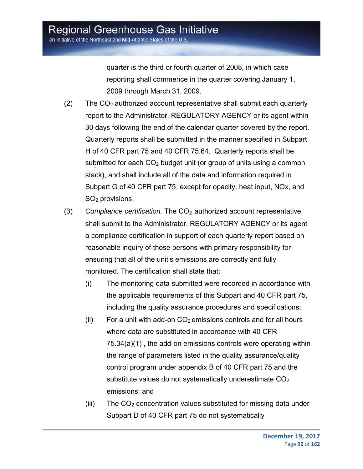quarter is the third or fourth quarter of 2008, in which case reporting shall commence in the quarter covering January 1, 2009 through March 31, 2009.

- $(2)$  The CO<sub>2</sub> authorized account representative shall submit each quarterly report to the Administrator, REGULATORY AGENCY or its agent within 30 days following the end of the calendar quarter covered by the report. Quarterly reports shall be submitted in the manner specified in Subpart H of 40 CFR part 75 and 40 CFR 75.64. Quarterly reports shall be submitted for each  $CO<sub>2</sub>$  budget unit (or group of units using a common stack), and shall include all of the data and information required in Subpart G of 40 CFR part 75, except for opacity, heat input, NOx, and SO2 provisions.
- (3) *Compliance certification.* The CO<sub>2</sub> authorized account representative shall submit to the Administrator, REGULATORY AGENCY or its agent a compliance certification in support of each quarterly report based on reasonable inquiry of those persons with primary responsibility for ensuring that all of the unit's emissions are correctly and fully monitored. The certification shall state that:
	- (i) The monitoring data submitted were recorded in accordance with the applicable requirements of this Subpart and 40 CFR part 75, including the quality assurance procedures and specifications;
	- (ii) For a unit with add-on  $CO<sub>2</sub>$  emissions controls and for all hours where data are substituted in accordance with 40 CFR 75.34(a)(1) , the add-on emissions controls were operating within the range of parameters listed in the quality assurance/quality control program under appendix B of 40 CFR part 75 and the substitute values do not systematically underestimate CO<sub>2</sub> emissions; and
	- $(iii)$  The  $CO<sub>2</sub>$  concentration values substituted for missing data under Subpart D of 40 CFR part 75 do not systematically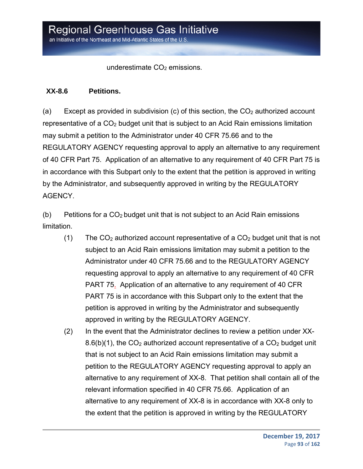underestimate  $CO<sub>2</sub>$  emissions.

#### **XX-8.6 Petitions.**

(a) Except as provided in subdivision (c) of this section, the  $CO<sub>2</sub>$  authorized account representative of a  $CO<sub>2</sub>$  budget unit that is subject to an Acid Rain emissions limitation may submit a petition to the Administrator under 40 CFR 75.66 and to the REGULATORY AGENCY requesting approval to apply an alternative to any requirement of 40 CFR Part 75. Application of an alternative to any requirement of 40 CFR Part 75 is in accordance with this Subpart only to the extent that the petition is approved in writing by the Administrator, and subsequently approved in writing by the REGULATORY AGENCY.

(b) Petitions for a  $CO<sub>2</sub>$  budget unit that is not subject to an Acid Rain emissions limitation.

- (1) The  $CO<sub>2</sub>$  authorized account representative of a  $CO<sub>2</sub>$  budget unit that is not subject to an Acid Rain emissions limitation may submit a petition to the Administrator under 40 CFR 75.66 and to the REGULATORY AGENCY requesting approval to apply an alternative to any requirement of 40 CFR PART 75. Application of an alternative to any requirement of 40 CFR PART 75 is in accordance with this Subpart only to the extent that the petition is approved in writing by the Administrator and subsequently approved in writing by the REGULATORY AGENCY.
- (2) In the event that the Administrator declines to review a petition under XX-8.6(b)(1), the  $CO<sub>2</sub>$  authorized account representative of a  $CO<sub>2</sub>$  budget unit that is not subject to an Acid Rain emissions limitation may submit a petition to the REGULATORY AGENCY requesting approval to apply an alternative to any requirement of XX-8. That petition shall contain all of the relevant information specified in 40 CFR 75.66. Application of an alternative to any requirement of XX-8 is in accordance with XX-8 only to the extent that the petition is approved in writing by the REGULATORY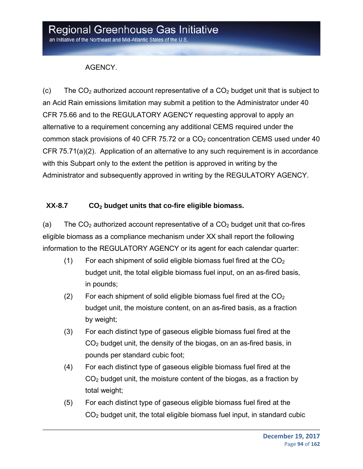#### AGENCY.

(c) The  $CO<sub>2</sub>$  authorized account representative of a  $CO<sub>2</sub>$  budget unit that is subject to an Acid Rain emissions limitation may submit a petition to the Administrator under 40 CFR 75.66 and to the REGULATORY AGENCY requesting approval to apply an alternative to a requirement concerning any additional CEMS required under the common stack provisions of 40 CFR 75.72 or a  $CO<sub>2</sub>$  concentration CEMS used under 40 CFR 75.71(a)(2). Application of an alternative to any such requirement is in accordance with this Subpart only to the extent the petition is approved in writing by the Administrator and subsequently approved in writing by the REGULATORY AGENCY.

#### XX-8.7 CO<sub>2</sub> budget units that co-fire eligible biomass.

(a) The  $CO<sub>2</sub>$  authorized account representative of a  $CO<sub>2</sub>$  budget unit that co-fires eligible biomass as a compliance mechanism under XX shall report the following information to the REGULATORY AGENCY or its agent for each calendar quarter:

- (1) For each shipment of solid eligible biomass fuel fired at the  $CO<sub>2</sub>$ budget unit, the total eligible biomass fuel input, on an as-fired basis, in pounds;
- (2) For each shipment of solid eligible biomass fuel fired at the  $CO<sub>2</sub>$ budget unit, the moisture content, on an as-fired basis, as a fraction by weight;
- (3) For each distinct type of gaseous eligible biomass fuel fired at the CO2 budget unit, the density of the biogas, on an as-fired basis, in pounds per standard cubic foot;
- (4) For each distinct type of gaseous eligible biomass fuel fired at the CO2 budget unit, the moisture content of the biogas, as a fraction by total weight;
- (5) For each distinct type of gaseous eligible biomass fuel fired at the  $CO<sub>2</sub>$  budget unit, the total eligible biomass fuel input, in standard cubic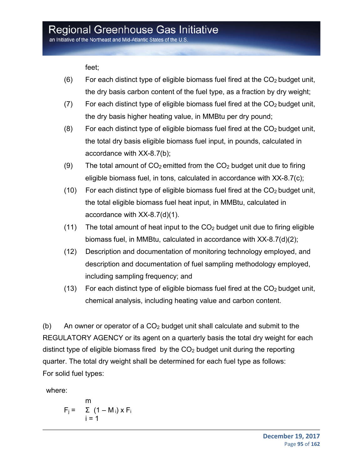an Initiative of the Northeast and Mid-Atlantic States of the U.S.

feet;

- $(6)$  For each distinct type of eligible biomass fuel fired at the  $CO<sub>2</sub>$  budget unit, the dry basis carbon content of the fuel type, as a fraction by dry weight;
- (7) For each distinct type of eligible biomass fuel fired at the  $CO<sub>2</sub>$  budget unit, the dry basis higher heating value, in MMBtu per dry pound;
- (8) For each distinct type of eligible biomass fuel fired at the  $CO<sub>2</sub>$  budget unit, the total dry basis eligible biomass fuel input, in pounds, calculated in accordance with XX-8.7(b);
- (9) The total amount of  $CO<sub>2</sub>$  emitted from the  $CO<sub>2</sub>$  budget unit due to firing eligible biomass fuel, in tons, calculated in accordance with XX-8.7(c);
- (10) For each distinct type of eligible biomass fuel fired at the  $CO<sub>2</sub>$  budget unit, the total eligible biomass fuel heat input, in MMBtu, calculated in accordance with XX-8.7(d)(1).
- (11) The total amount of heat input to the  $CO<sub>2</sub>$  budget unit due to firing eligible biomass fuel, in MMBtu, calculated in accordance with XX-8.7(d)(2);
- (12) Description and documentation of monitoring technology employed, and description and documentation of fuel sampling methodology employed, including sampling frequency; and
- (13) For each distinct type of eligible biomass fuel fired at the  $CO<sub>2</sub>$  budget unit, chemical analysis, including heating value and carbon content.

(b) An owner or operator of a  $CO<sub>2</sub>$  budget unit shall calculate and submit to the REGULATORY AGENCY or its agent on a quarterly basis the total dry weight for each distinct type of eligible biomass fired by the  $CO<sub>2</sub>$  budget unit during the reporting quarter. The total dry weight shall be determined for each fuel type as follows: For solid fuel types:

where:

$$
F_j = \sum_{i=1}^{m} (1 - M_i) \times F_i
$$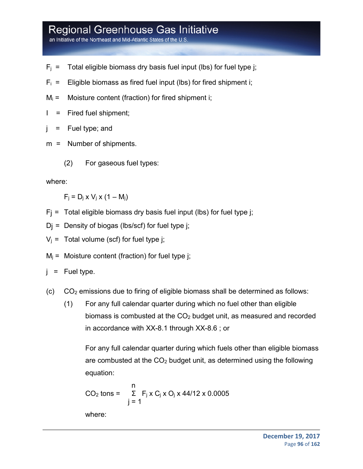an Initiative of the Northeast and Mid-Atlantic States of the U.S

- $F_i$  = Total eligible biomass dry basis fuel input (lbs) for fuel type j;
- $F_i$  = Eligible biomass as fired fuel input (lbs) for fired shipment i;
- $M_i$  = Moisture content (fraction) for fired shipment i;
- I = Fired fuel shipment;
- j = Fuel type; and
- m = Number of shipments.
	- (2) For gaseous fuel types:

#### where:

 $F_i = D_i \times V_i \times (1 - M_i)$ 

- $F_i$  = Total eligible biomass dry basis fuel input (lbs) for fuel type j;
- $D_i$  = Density of biogas (lbs/scf) for fuel type j;
- $V_i$  = Total volume (scf) for fuel type j;
- $M_i$  = Moisture content (fraction) for fuel type j;
- $j =$  Fuel type.
- (c)  $CO<sub>2</sub>$  emissions due to firing of eligible biomass shall be determined as follows:
	- (1) For any full calendar quarter during which no fuel other than eligible biomass is combusted at the CO2 budget unit, as measured and recorded in accordance with XX-8.1 through XX-8.6 ; or

For any full calendar quarter during which fuels other than eligible biomass are combusted at the  $CO<sub>2</sub>$  budget unit, as determined using the following equation:

$$
CO2 tons = \sum_{j=1}^{n} F_j x C_j x O_j x 44/12 x 0.0005
$$

where: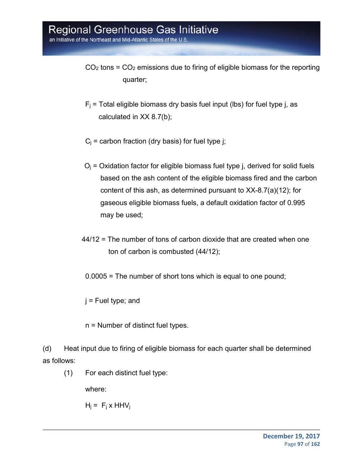an Initiative of the Northeast and Mid-Atlantic States of the U.S

- $CO<sub>2</sub>$  tons =  $CO<sub>2</sub>$  emissions due to firing of eligible biomass for the reporting quarter;
- $F_i$  = Total eligible biomass dry basis fuel input (lbs) for fuel type j, as calculated in XX 8.7(b);
- $C_i$  = carbon fraction (dry basis) for fuel type j;
- $O_i$  = Oxidation factor for eligible biomass fuel type j, derived for solid fuels based on the ash content of the eligible biomass fired and the carbon content of this ash, as determined pursuant to XX-8.7(a)(12); for gaseous eligible biomass fuels, a default oxidation factor of 0.995 may be used;
- 44/12 = The number of tons of carbon dioxide that are created when one ton of carbon is combusted (44/12);
	- 0.0005 = The number of short tons which is equal to one pound;
- $j$  = Fuel type; and
- n = Number of distinct fuel types.
- (d) Heat input due to firing of eligible biomass for each quarter shall be determined as follows:
	- (1) For each distinct fuel type:

where:

 $H_i = F_i x HHV_i$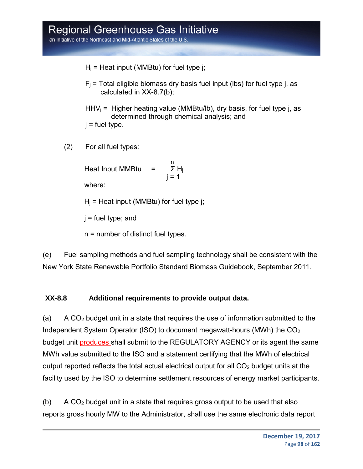$H_i$  = Heat input (MMBtu) for fuel type j;

 $F_i$  = Total eligible biomass dry basis fuel input (lbs) for fuel type j, as calculated in XX-8.7(b);

 $HHV_i = Higher heating value (MMBtu/lb)$ , dry basis, for fuel type j, as determined through chemical analysis; and  $i =$  fuel type.

(2) For all fuel types:

na ann an t-Iomraid ann an t-Iomraid ann an t-Iomraid ann an t-Iomraid ann an t-Iomraid ann an t-Iomraid ann a<br>Tha an t-Iomraid ann an t-Iomraid ann an t-Iomraid ann an t-Iomraid ann an t-Iomraid ann an t-Iomraid ann an t Heat Input MMBtu =  $\Sigma H_i$  $i = 1$ where:

 $H<sub>i</sub>$  = Heat input (MMBtu) for fuel type j;

 $j$  = fuel type; and

n = number of distinct fuel types.

(e) Fuel sampling methods and fuel sampling technology shall be consistent with the New York State Renewable Portfolio Standard Biomass Guidebook, September 2011.

#### **XX-8.8 Additional requirements to provide output data.**

(a) A  $CO<sub>2</sub>$  budget unit in a state that requires the use of information submitted to the Independent System Operator (ISO) to document megawatt-hours (MWh) the CO2 budget unit produces shall submit to the REGULATORY AGENCY or its agent the same MWh value submitted to the ISO and a statement certifying that the MWh of electrical output reported reflects the total actual electrical output for all  $CO<sub>2</sub>$  budget units at the facility used by the ISO to determine settlement resources of energy market participants.

(b) A  $CO<sub>2</sub>$  budget unit in a state that requires gross output to be used that also reports gross hourly MW to the Administrator, shall use the same electronic data report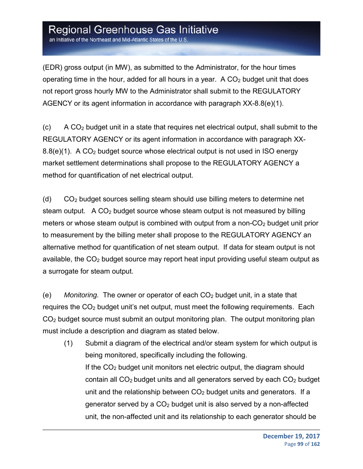an Initiative of the Northeast and Mid-Atlantic States of the U.S.

(EDR) gross output (in MW), as submitted to the Administrator, for the hour times operating time in the hour, added for all hours in a year. A  $CO<sub>2</sub>$  budget unit that does not report gross hourly MW to the Administrator shall submit to the REGULATORY AGENCY or its agent information in accordance with paragraph XX-8.8(e)(1).

 $(0)$  A CO<sub>2</sub> budget unit in a state that requires net electrical output, shall submit to the REGULATORY AGENCY or its agent information in accordance with paragraph XX- $8.8(e)(1)$ . A CO<sub>2</sub> budget source whose electrical output is not used in ISO energy market settlement determinations shall propose to the REGULATORY AGENCY a method for quantification of net electrical output.

 $(d)$   $CO<sub>2</sub>$  budget sources selling steam should use billing meters to determine net steam output. A  $CO<sub>2</sub>$  budget source whose steam output is not measured by billing meters or whose steam output is combined with output from a non- $CO<sub>2</sub>$  budget unit prior to measurement by the billing meter shall propose to the REGULATORY AGENCY an alternative method for quantification of net steam output. If data for steam output is not available, the CO<sub>2</sub> budget source may report heat input providing useful steam output as a surrogate for steam output.

(e) *Monitoring.* The owner or operator of each CO2 budget unit, in a state that requires the  $CO<sub>2</sub>$  budget unit's net output, must meet the following requirements. Each CO2 budget source must submit an output monitoring plan. The output monitoring plan must include a description and diagram as stated below.

(1) Submit a diagram of the electrical and/or steam system for which output is being monitored, specifically including the following. If the  $CO<sub>2</sub>$  budget unit monitors net electric output, the diagram should contain all  $CO<sub>2</sub>$  budget units and all generators served by each  $CO<sub>2</sub>$  budget unit and the relationship between  $CO<sub>2</sub>$  budget units and generators. If a generator served by a  $CO<sub>2</sub>$  budget unit is also served by a non-affected unit, the non-affected unit and its relationship to each generator should be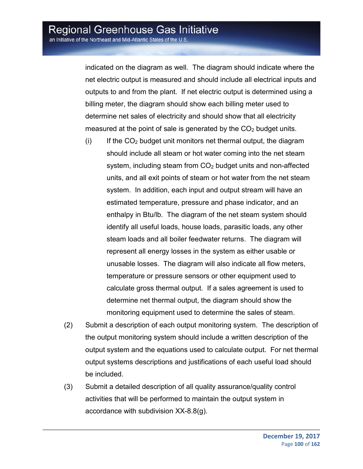indicated on the diagram as well. The diagram should indicate where the net electric output is measured and should include all electrical inputs and outputs to and from the plant. If net electric output is determined using a billing meter, the diagram should show each billing meter used to determine net sales of electricity and should show that all electricity measured at the point of sale is generated by the  $CO<sub>2</sub>$  budget units.

- $(i)$  If the  $CO<sub>2</sub>$  budget unit monitors net thermal output, the diagram should include all steam or hot water coming into the net steam system, including steam from CO<sub>2</sub> budget units and non-affected units, and all exit points of steam or hot water from the net steam system. In addition, each input and output stream will have an estimated temperature, pressure and phase indicator, and an enthalpy in Btu/lb. The diagram of the net steam system should identify all useful loads, house loads, parasitic loads, any other steam loads and all boiler feedwater returns. The diagram will represent all energy losses in the system as either usable or unusable losses. The diagram will also indicate all flow meters, temperature or pressure sensors or other equipment used to calculate gross thermal output. If a sales agreement is used to determine net thermal output, the diagram should show the monitoring equipment used to determine the sales of steam.
- (2) Submit a description of each output monitoring system. The description of the output monitoring system should include a written description of the output system and the equations used to calculate output. For net thermal output systems descriptions and justifications of each useful load should be included.
- (3) Submit a detailed description of all quality assurance/quality control activities that will be performed to maintain the output system in accordance with subdivision XX-8.8(g).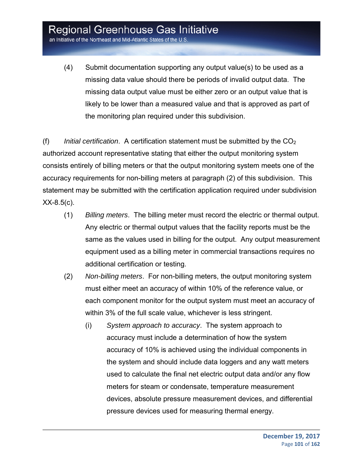an Initiative of the Northeast and Mid-Atlantic States of the U.S.

(4) Submit documentation supporting any output value(s) to be used as a missing data value should there be periods of invalid output data. The missing data output value must be either zero or an output value that is likely to be lower than a measured value and that is approved as part of the monitoring plan required under this subdivision.

(f) *Initial certification*. A certification statement must be submitted by the CO2 authorized account representative stating that either the output monitoring system consists entirely of billing meters or that the output monitoring system meets one of the accuracy requirements for non-billing meters at paragraph (2) of this subdivision. This statement may be submitted with the certification application required under subdivision  $XX-8.5(c)$ .

- (1) *Billing meters*. The billing meter must record the electric or thermal output. Any electric or thermal output values that the facility reports must be the same as the values used in billing for the output. Any output measurement equipment used as a billing meter in commercial transactions requires no additional certification or testing.
- (2) *Non-billing meters*. For non-billing meters, the output monitoring system must either meet an accuracy of within 10% of the reference value, or each component monitor for the output system must meet an accuracy of within 3% of the full scale value, whichever is less stringent.
	- (i) *System approach to accuracy*. The system approach to accuracy must include a determination of how the system accuracy of 10% is achieved using the individual components in the system and should include data loggers and any watt meters used to calculate the final net electric output data and/or any flow meters for steam or condensate, temperature measurement devices, absolute pressure measurement devices, and differential pressure devices used for measuring thermal energy.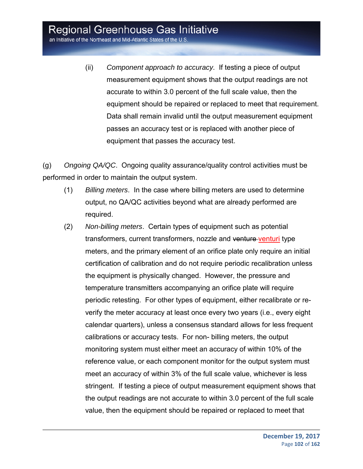an Initiative of the Northeast and Mid-Atlantic States of the U.S.

(ii) *Component approach to accuracy*. If testing a piece of output measurement equipment shows that the output readings are not accurate to within 3.0 percent of the full scale value, then the equipment should be repaired or replaced to meet that requirement. Data shall remain invalid until the output measurement equipment passes an accuracy test or is replaced with another piece of equipment that passes the accuracy test.

(g) *Ongoing QA/QC*. Ongoing quality assurance/quality control activities must be performed in order to maintain the output system.

- (1) *Billing meters*. In the case where billing meters are used to determine output, no QA/QC activities beyond what are already performed are required.
- (2) *Non-billing meters*. Certain types of equipment such as potential transformers, current transformers, nozzle and venture venturi type meters, and the primary element of an orifice plate only require an initial certification of calibration and do not require periodic recalibration unless the equipment is physically changed. However, the pressure and temperature transmitters accompanying an orifice plate will require periodic retesting. For other types of equipment, either recalibrate or reverify the meter accuracy at least once every two years (i.e., every eight calendar quarters), unless a consensus standard allows for less frequent calibrations or accuracy tests. For non- billing meters, the output monitoring system must either meet an accuracy of within 10% of the reference value, or each component monitor for the output system must meet an accuracy of within 3% of the full scale value, whichever is less stringent. If testing a piece of output measurement equipment shows that the output readings are not accurate to within 3.0 percent of the full scale value, then the equipment should be repaired or replaced to meet that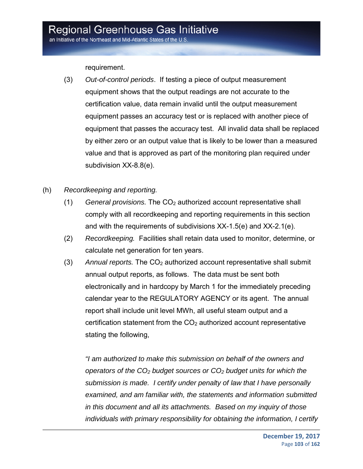requirement.

- (3) *Out-of-control periods*. If testing a piece of output measurement equipment shows that the output readings are not accurate to the certification value, data remain invalid until the output measurement equipment passes an accuracy test or is replaced with another piece of equipment that passes the accuracy test. All invalid data shall be replaced by either zero or an output value that is likely to be lower than a measured value and that is approved as part of the monitoring plan required under subdivision XX-8.8(e).
- (h) *Recordkeeping and reporting.*
	- (1) *General provisions.* The CO2 authorized account representative shall comply with all recordkeeping and reporting requirements in this section and with the requirements of subdivisions XX-1.5(e) and XX-2.1(e).
	- (2) *Recordkeeping.* Facilities shall retain data used to monitor, determine, or calculate net generation for ten years.
	- (3) *Annual reports.* The CO2 authorized account representative shall submit annual output reports, as follows. The data must be sent both electronically and in hardcopy by March 1 for the immediately preceding calendar year to the REGULATORY AGENCY or its agent. The annual report shall include unit level MWh, all useful steam output and a certification statement from the  $CO<sub>2</sub>$  authorized account representative stating the following,

*"I am authorized to make this submission on behalf of the owners and operators of the CO2 budget sources or CO2 budget units for which the submission is made. I certify under penalty of law that I have personally examined, and am familiar with, the statements and information submitted in this document and all its attachments. Based on my inquiry of those individuals with primary responsibility for obtaining the information, I certify*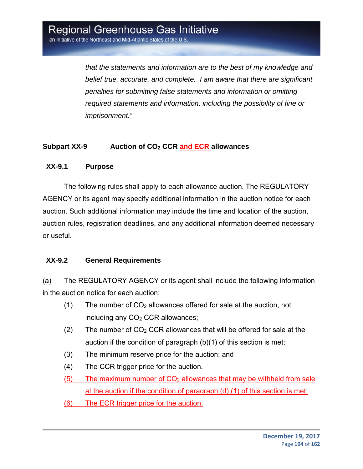*that the statements and information are to the best of my knowledge and belief true, accurate, and complete. I am aware that there are significant penalties for submitting false statements and information or omitting required statements and information, including the possibility of fine or imprisonment."* 

#### Subpart XX-9 Auction of CO<sub>2</sub> CCR and ECR allowances

#### **XX-9.1 Purpose**

The following rules shall apply to each allowance auction. The REGULATORY AGENCY or its agent may specify additional information in the auction notice for each auction. Such additional information may include the time and location of the auction, auction rules, registration deadlines, and any additional information deemed necessary or useful.

#### **XX-9.2 General Requirements**

(a) The REGULATORY AGENCY or its agent shall include the following information in the auction notice for each auction:

- $(1)$  The number of CO<sub>2</sub> allowances offered for sale at the auction, not including any  $CO<sub>2</sub> CCR$  allowances;
- (2) The number of  $CO<sub>2</sub> CCR$  allowances that will be offered for sale at the auction if the condition of paragraph (b)(1) of this section is met;
- (3) The minimum reserve price for the auction; and
- (4) The CCR trigger price for the auction.
- $(5)$  The maximum number of  $CO<sub>2</sub>$  allowances that may be withheld from sale at the auction if the condition of paragraph (d) (1) of this section is met;
- (6) The ECR trigger price for the auction.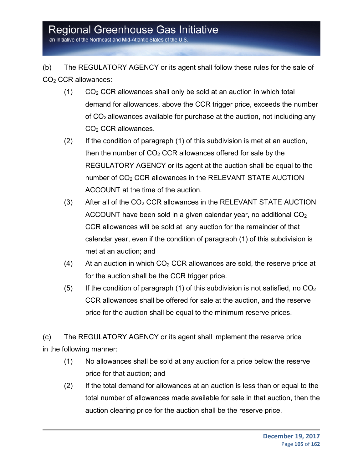an Initiative of the Northeast and Mid-Atlantic States of the U.S

(b) The REGULATORY AGENCY or its agent shall follow these rules for the sale of CO<sub>2</sub> CCR allowances:

- $(1)$   $CO<sub>2</sub> CCR$  allowances shall only be sold at an auction in which total demand for allowances, above the CCR trigger price, exceeds the number of  $CO<sub>2</sub>$  allowances available for purchase at the auction, not including any CO2 CCR allowances.
- (2) If the condition of paragraph (1) of this subdivision is met at an auction, then the number of  $CO<sub>2</sub> CCR$  allowances offered for sale by the REGULATORY AGENCY or its agent at the auction shall be equal to the number of CO<sub>2</sub> CCR allowances in the RELEVANT STATE AUCTION ACCOUNT at the time of the auction.
- $(3)$  After all of the CO<sub>2</sub> CCR allowances in the RELEVANT STATE AUCTION ACCOUNT have been sold in a given calendar year, no additional CO2 CCR allowances will be sold at any auction for the remainder of that calendar year, even if the condition of paragraph (1) of this subdivision is met at an auction; and
- (4) At an auction in which  $CO<sub>2</sub> CCR$  allowances are sold, the reserve price at for the auction shall be the CCR trigger price.
- (5) If the condition of paragraph (1) of this subdivision is not satisfied, no  $CO<sub>2</sub>$ CCR allowances shall be offered for sale at the auction, and the reserve price for the auction shall be equal to the minimum reserve prices.

(c) The REGULATORY AGENCY or its agent shall implement the reserve price in the following manner:

- (1) No allowances shall be sold at any auction for a price below the reserve price for that auction; and
- (2) If the total demand for allowances at an auction is less than or equal to the total number of allowances made available for sale in that auction, then the auction clearing price for the auction shall be the reserve price.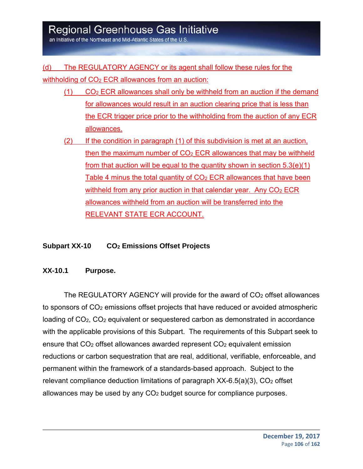an Initiative of the Northeast and Mid-Atlantic States of the U.S

#### (d) The REGULATORY AGENCY or its agent shall follow these rules for the

withholding of  $CO<sub>2</sub> ECR$  allowances from an auction:

- $(1)$  CO<sub>2</sub> ECR allowances shall only be withheld from an auction if the demand for allowances would result in an auction clearing price that is less than the ECR trigger price prior to the withholding from the auction of any ECR allowances.
- (2) If the condition in paragraph (1) of this subdivision is met at an auction, then the maximum number of  $CO<sub>2</sub> ECR$  allowances that may be withheld from that auction will be equal to the quantity shown in section  $5.3(e)(1)$ Table 4 minus the total quantity of CO<sub>2</sub> ECR allowances that have been withheld from any prior auction in that calendar year. Any  $CO<sub>2</sub> ECR$ allowances withheld from an auction will be transferred into the RELEVANT STATE ECR ACCOUNT.

#### **Subpart XX-10 CO2 Emissions Offset Projects**

#### **XX-10.1 Purpose.**

The REGULATORY AGENCY will provide for the award of CO<sub>2</sub> offset allowances to sponsors of CO2 emissions offset projects that have reduced or avoided atmospheric loading of CO<sub>2</sub>, CO<sub>2</sub> equivalent or sequestered carbon as demonstrated in accordance with the applicable provisions of this Subpart. The requirements of this Subpart seek to ensure that  $CO<sub>2</sub>$  offset allowances awarded represent  $CO<sub>2</sub>$  equivalent emission reductions or carbon sequestration that are real, additional, verifiable, enforceable, and permanent within the framework of a standards-based approach. Subject to the relevant compliance deduction limitations of paragraph  $XX-6.5(a)(3)$ ,  $CO<sub>2</sub>$  offset allowances may be used by any CO2 budget source for compliance purposes.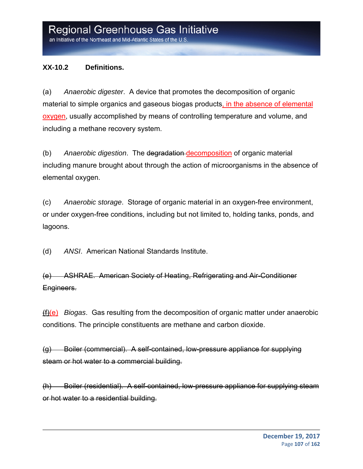#### **XX-10.2 Definitions.**

(a) *Anaerobic digester*. A device that promotes the decomposition of organic material to simple organics and gaseous biogas products, in the absence of elemental oxygen, usually accomplished by means of controlling temperature and volume, and including a methane recovery system.

(b) *Anaerobic digestion*. The degradation decomposition of organic material including manure brought about through the action of microorganisms in the absence of elemental oxygen.

(c) *Anaerobic storage*. Storage of organic material in an oxygen-free environment, or under oxygen-free conditions, including but not limited to, holding tanks, ponds, and lagoons.

(d) *ANSI*. American National Standards Institute.

(e) ASHRAE. American Society of Heating, Refrigerating and Air-Conditioner Engineers.

(f)(e) *Biogas*. Gas resulting from the decomposition of organic matter under anaerobic conditions. The principle constituents are methane and carbon dioxide.

(g) Boiler (commercial). A self-contained, low-pressure appliance for supplying steam or hot water to a commercial building.

(h) Boiler (residential). A self-contained, low-pressure appliance for supplying steam or hot water to a residential building.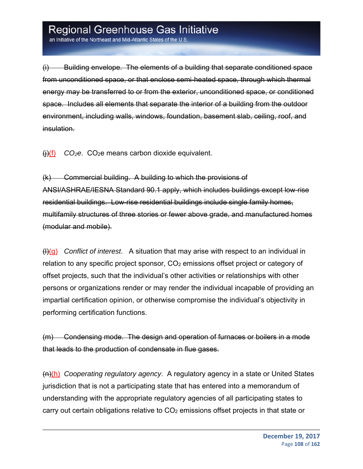an Initiative of the Northeast and Mid-Atlantic States of the U.S

(i) Building envelope. The elements of a building that separate conditioned space from unconditioned space, or that enclose semi-heated space, through which thermal energy may be transferred to or from the exterior, unconditioned space, or conditioned space. Includes all elements that separate the interior of a building from the outdoor environment, including walls, windows, foundation, basement slab, ceiling, roof, and insulation.

(j)(f) *CO2e*. CO2e means carbon dioxide equivalent.

(k) Commercial building. A building to which the provisions of ANSI/ASHRAE/IESNA Standard 90.1 apply, which includes buildings except low-rise residential buildings. Low-rise residential buildings include single family homes, multifamily structures of three stories or fewer above grade, and manufactured homes (modular and mobile).

(l)(g) *Conflict of interest*. A situation that may arise with respect to an individual in relation to any specific project sponsor, CO2 emissions offset project or category of offset projects, such that the individual's other activities or relationships with other persons or organizations render or may render the individual incapable of providing an impartial certification opinion, or otherwise compromise the individual's objectivity in performing certification functions.

(m) Condensing mode. The design and operation of furnaces or boilers in a mode that leads to the production of condensate in flue gases.

(n)(h) *Cooperating regulatory agency*. A regulatory agency in a state or United States jurisdiction that is not a participating state that has entered into a memorandum of understanding with the appropriate regulatory agencies of all participating states to carry out certain obligations relative to CO2 emissions offset projects in that state or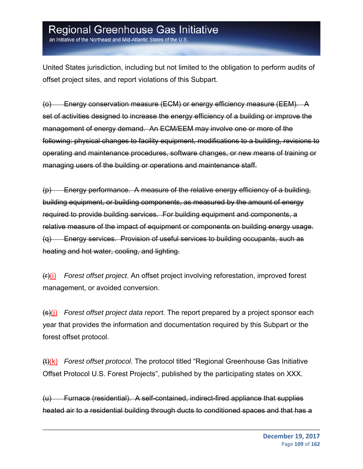an Initiative of the Northeast and Mid-Atlantic States of the U.S

United States jurisdiction, including but not limited to the obligation to perform audits of offset project sites, and report violations of this Subpart.

(o) Energy conservation measure (ECM) or energy efficiency measure (EEM). A set of activities designed to increase the energy efficiency of a building or improve the management of energy demand. An ECM/EEM may involve one or more of the following: physical changes to facility equipment, modifications to a building, revisions to operating and maintenance procedures, software changes, or new means of training or managing users of the building or operations and maintenance staff.

(p) Energy performance. A measure of the relative energy efficiency of a building, building equipment, or building components, as measured by the amount of energy required to provide building services. For building equipment and components, a relative measure of the impact of equipment or components on building energy usage. (q) Energy services. Provision of useful services to building occupants, such as heating and hot water, cooling, and lighting.

(r)(i) *Forest offset project*. An offset project involving reforestation, improved forest management, or avoided conversion.

(s)(j) *Forest offset project data report*. The report prepared by a project sponsor each year that provides the information and documentation required by this Subpart or the forest offset protocol.

(t)(k) *Forest offset protocol*. The protocol titled "Regional Greenhouse Gas Initiative Offset Protocol U.S. Forest Projects", published by the participating states on XXX.

(u) Furnace (residential). A self-contained, indirect-fired appliance that supplies heated air to a residential building through ducts to conditioned spaces and that has a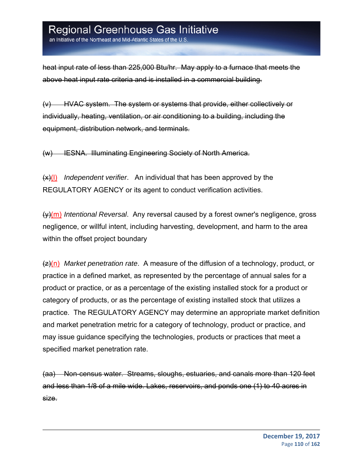an Initiative of the Northeast and Mid-Atlantic States of the U.S

heat input rate of less than 225,000 Btu/hr. May apply to a furnace that meets the above heat input rate criteria and is installed in a commercial building.

(v) HVAC system. The system or systems that provide, either collectively or individually, heating, ventilation, or air conditioning to a building, including the equipment, distribution network, and terminals.

(w) IESNA. Illuminating Engineering Society of North America.

(x)(l) *Independent verifier*. An individual that has been approved by the REGULATORY AGENCY or its agent to conduct verification activities.

(y)(m) *Intentional Reversal*. Any reversal caused by a forest owner's negligence, gross negligence, or willful intent, including harvesting, development, and harm to the area within the offset project boundary

(z)(n) *Market penetration rate*. A measure of the diffusion of a technology, product, or practice in a defined market, as represented by the percentage of annual sales for a product or practice, or as a percentage of the existing installed stock for a product or category of products, or as the percentage of existing installed stock that utilizes a practice. The REGULATORY AGENCY may determine an appropriate market definition and market penetration metric for a category of technology, product or practice, and may issue guidance specifying the technologies, products or practices that meet a specified market penetration rate.

(aa) Non-census water. Streams, sloughs, estuaries, and canals more than 120 feet and less than 1/8 of a mile wide. Lakes, reservoirs, and ponds one (1) to 40 acres in size.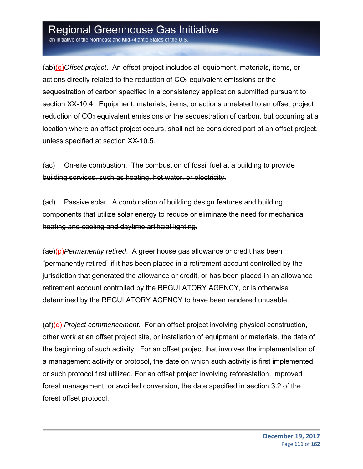an Initiative of the Northeast and Mid-Atlantic States of the U.S

(ab)(o)*Offset project*. An offset project includes all equipment, materials, items, or actions directly related to the reduction of  $CO<sub>2</sub>$  equivalent emissions or the sequestration of carbon specified in a consistency application submitted pursuant to section XX-10.4. Equipment, materials, items, or actions unrelated to an offset project reduction of CO<sub>2</sub> equivalent emissions or the sequestration of carbon, but occurring at a location where an offset project occurs, shall not be considered part of an offset project, unless specified at section XX-10.5.

(ac) On-site combustion. The combustion of fossil fuel at a building to provide building services, such as heating, hot water, or electricity.

(ad) Passive solar. A combination of building design features and building components that utilize solar energy to reduce or eliminate the need for mechanical heating and cooling and daytime artificial lighting.

(ae)(p)*Permanently retired*. A greenhouse gas allowance or credit has been "permanently retired" if it has been placed in a retirement account controlled by the jurisdiction that generated the allowance or credit, or has been placed in an allowance retirement account controlled by the REGULATORY AGENCY, or is otherwise determined by the REGULATORY AGENCY to have been rendered unusable.

(af)(q) *Project commencement*. For an offset project involving physical construction, other work at an offset project site, or installation of equipment or materials, the date of the beginning of such activity. For an offset project that involves the implementation of a management activity or protocol, the date on which such activity is first implemented or such protocol first utilized. For an offset project involving reforestation, improved forest management, or avoided conversion, the date specified in section 3.2 of the forest offset protocol.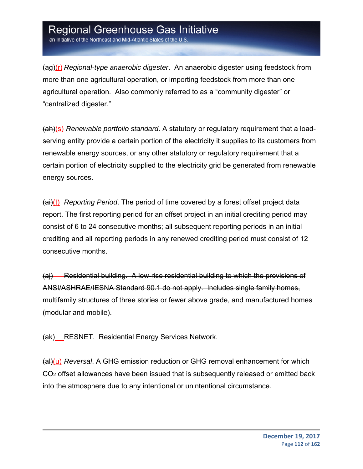(ag)(r) *Regional-type anaerobic digester*. An anaerobic digester using feedstock from more than one agricultural operation, or importing feedstock from more than one agricultural operation. Also commonly referred to as a "community digester" or "centralized digester."

(ah)(s) *Renewable portfolio standard*. A statutory or regulatory requirement that a loadserving entity provide a certain portion of the electricity it supplies to its customers from renewable energy sources, or any other statutory or regulatory requirement that a certain portion of electricity supplied to the electricity grid be generated from renewable energy sources.

(ai)(t) *Reporting Period*. The period of time covered by a forest offset project data report. The first reporting period for an offset project in an initial crediting period may consist of 6 to 24 consecutive months; all subsequent reporting periods in an initial crediting and all reporting periods in any renewed crediting period must consist of 12 consecutive months.

(aj) Residential building. A low-rise residential building to which the provisions of ANSI/ASHRAE/IESNA Standard 90.1 do not apply. Includes single family homes, multifamily structures of three stories or fewer above grade, and manufactured homes (modular and mobile).

(ak) RESNET. Residential Energy Services Network.

(al)(u) *Reversal*. A GHG emission reduction or GHG removal enhancement for which CO2 offset allowances have been issued that is subsequently released or emitted back into the atmosphere due to any intentional or unintentional circumstance.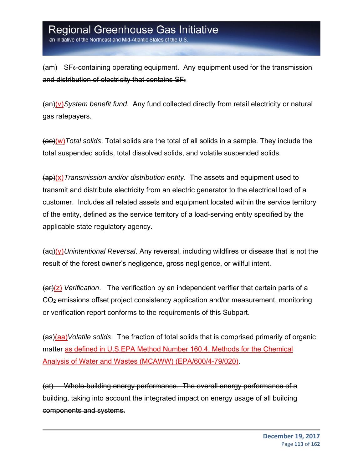an Initiative of the Northeast and Mid-Atlantic States of the U.S

(am) SF<sub>6</sub>-containing operating equipment. Any equipment used for the transmission and distribution of electricity that contains  $SF<sub>6</sub>$ .

(an)(v)*System benefit fund*. Any fund collected directly from retail electricity or natural gas ratepayers.

(ao)(w)*Total solids*. Total solids are the total of all solids in a sample. They include the total suspended solids, total dissolved solids, and volatile suspended solids.

(ap)(x)*Transmission and/or distribution entity*. The assets and equipment used to transmit and distribute electricity from an electric generator to the electrical load of a customer. Includes all related assets and equipment located within the service territory of the entity, defined as the service territory of a load-serving entity specified by the applicable state regulatory agency.

(aq)(y)*Unintentional Reversal*. Any reversal, including wildfires or disease that is not the result of the forest owner's negligence, gross negligence, or willful intent.

(ar)(z) *Verification*. The verification by an independent verifier that certain parts of a CO2 emissions offset project consistency application and/or measurement, monitoring or verification report conforms to the requirements of this Subpart.

(as)(aa)*Volatile solids*. The fraction of total solids that is comprised primarily of organic matter as defined in U.S.EPA Method Number 160.4, Methods for the Chemical Analysis of Water and Wastes (MCAWW) (EPA/600/4-79/020).

(at) Whole-building energy performance. The overall energy performance of a building, taking into account the integrated impact on energy usage of all building components and systems.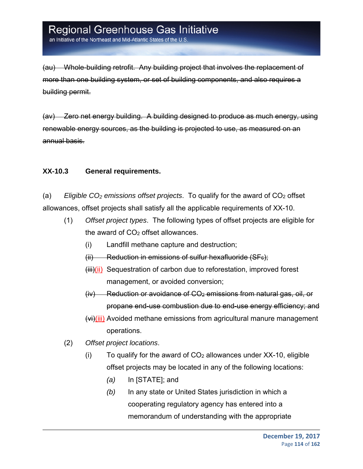an Initiative of the Northeast and Mid-Atlantic States of the U.S

(au) Whole-building retrofit. Any building project that involves the replacement of more than one building system, or set of building components, and also requires a building permit.

(av) Zero net energy building. A building designed to produce as much energy, using renewable energy sources, as the building is projected to use, as measured on an annual basis.

#### **XX-10.3 General requirements.**

(a) *Eligible CO2 emissions offset projects*. To qualify for the award of CO2 offset allowances, offset projects shall satisfy all the applicable requirements of XX-10.

- (1) *Offset project types*. The following types of offset projects are eligible for the award of  $CO<sub>2</sub>$  offset allowances.
	- (i) Landfill methane capture and destruction;
	- $(i)$  Reduction in emissions of sulfur hexafluoride (SF $_{6}$ );
	- $(iii)(ii)$  Sequestration of carbon due to reforestation, improved forest management, or avoided conversion;
	- $(iv)$  Reduction or avoidance of  $CO<sub>2</sub>$  emissions from natural gas, oil, or propane end-use combustion due to end-use energy efficiency; and
	- (vi)(iii) Avoided methane emissions from agricultural manure management operations.
- (2) *Offset project locations*.
	- (i) To qualify for the award of  $CO<sub>2</sub>$  allowances under XX-10, eligible offset projects may be located in any of the following locations:
		- *(a)* In [STATE]; and
		- *(b)* In any state or United States jurisdiction in which a cooperating regulatory agency has entered into a memorandum of understanding with the appropriate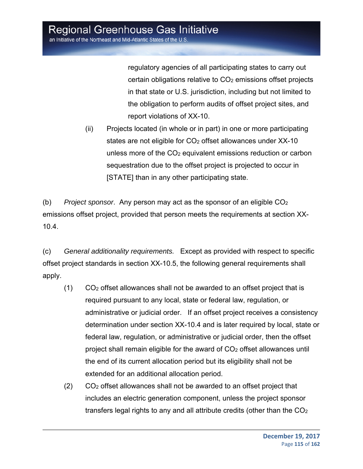regulatory agencies of all participating states to carry out certain obligations relative to  $CO<sub>2</sub>$  emissions offset projects in that state or U.S. jurisdiction, including but not limited to the obligation to perform audits of offset project sites, and report violations of XX-10.

(ii) Projects located (in whole or in part) in one or more participating states are not eligible for  $CO<sub>2</sub>$  offset allowances under  $XX-10$ unless more of the  $CO<sub>2</sub>$  equivalent emissions reduction or carbon sequestration due to the offset project is projected to occur in [STATE] than in any other participating state.

(b) *Project sponsor*. Any person may act as the sponsor of an eligible CO2 emissions offset project, provided that person meets the requirements at section XX-10.4.

(c) *General additionality requirements.* Except as provided with respect to specific offset project standards in section XX-10.5, the following general requirements shall apply.

- (1) CO2 offset allowances shall not be awarded to an offset project that is required pursuant to any local, state or federal law, regulation, or administrative or judicial order. If an offset project receives a consistency determination under section XX-10.4 and is later required by local, state or federal law, regulation, or administrative or judicial order, then the offset project shall remain eligible for the award of CO2 offset allowances until the end of its current allocation period but its eligibility shall not be extended for an additional allocation period.
- (2) CO2 offset allowances shall not be awarded to an offset project that includes an electric generation component, unless the project sponsor transfers legal rights to any and all attribute credits (other than the  $CO<sub>2</sub>$ )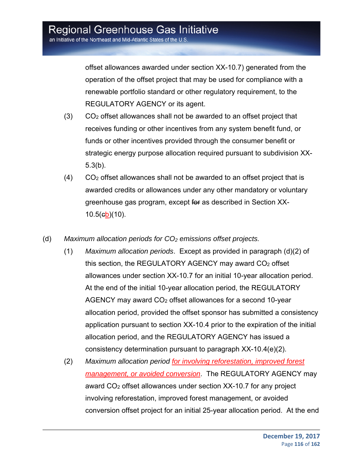offset allowances awarded under section XX-10.7) generated from the operation of the offset project that may be used for compliance with a renewable portfolio standard or other regulatory requirement, to the REGULATORY AGENCY or its agent.

- (3) CO2 offset allowances shall not be awarded to an offset project that receives funding or other incentives from any system benefit fund, or funds or other incentives provided through the consumer benefit or strategic energy purpose allocation required pursuant to subdivision XX-5.3(b).
- $(4)$  CO<sub>2</sub> offset allowances shall not be awarded to an offset project that is awarded credits or allowances under any other mandatory or voluntary greenhouse gas program, except for as described in Section XX-10.5(cb)(10).
- (d) Maximum allocation periods for CO<sub>2</sub> emissions offset projects.
	- (1) *Maximum allocation periods*. Except as provided in paragraph (d)(2) of this section, the REGULATORY AGENCY may award CO2 offset allowances under section XX-10.7 for an initial 10-year allocation period. At the end of the initial 10-year allocation period, the REGULATORY AGENCY may award CO2 offset allowances for a second 10-year allocation period, provided the offset sponsor has submitted a consistency application pursuant to section XX-10.4 prior to the expiration of the initial allocation period, and the REGULATORY AGENCY has issued a consistency determination pursuant to paragraph XX-10.4(e)(2).
	- (2) *Maximum allocation period for involving reforestation, improved forest management, or avoided conversion*. The REGULATORY AGENCY may award CO2 offset allowances under section XX-10.7 for any project involving reforestation, improved forest management, or avoided conversion offset project for an initial 25-year allocation period. At the end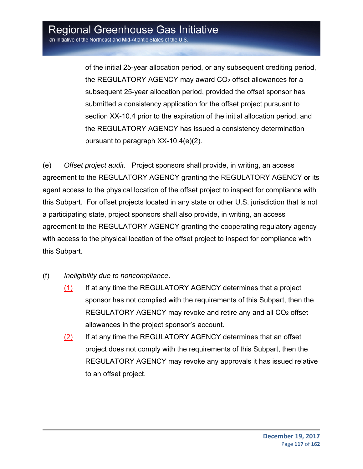of the initial 25-year allocation period, or any subsequent crediting period, the REGULATORY AGENCY may award  $CO<sub>2</sub>$  offset allowances for a subsequent 25-year allocation period, provided the offset sponsor has submitted a consistency application for the offset project pursuant to section XX-10.4 prior to the expiration of the initial allocation period, and the REGULATORY AGENCY has issued a consistency determination pursuant to paragraph XX-10.4(e)(2).

(e) *Offset project audit*. Project sponsors shall provide, in writing, an access agreement to the REGULATORY AGENCY granting the REGULATORY AGENCY or its agent access to the physical location of the offset project to inspect for compliance with this Subpart. For offset projects located in any state or other U.S. jurisdiction that is not a participating state, project sponsors shall also provide, in writing, an access agreement to the REGULATORY AGENCY granting the cooperating regulatory agency with access to the physical location of the offset project to inspect for compliance with this Subpart.

- (f) *Ineligibility due to noncompliance*.
	- (1) If at any time the REGULATORY AGENCY determines that a project sponsor has not complied with the requirements of this Subpart, then the REGULATORY AGENCY may revoke and retire any and all CO<sub>2</sub> offset allowances in the project sponsor's account.
	- (2) If at any time the REGULATORY AGENCY determines that an offset project does not comply with the requirements of this Subpart, then the REGULATORY AGENCY may revoke any approvals it has issued relative to an offset project.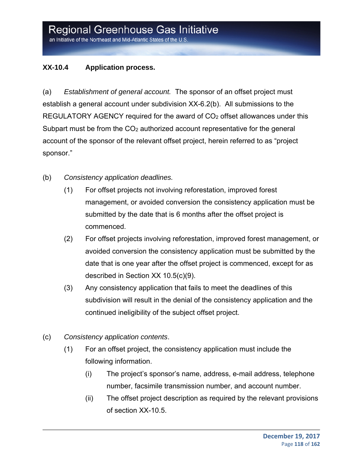### **XX-10.4 Application process.**

(a) *Establishment of general account.* The sponsor of an offset project must establish a general account under subdivision XX-6.2(b). All submissions to the REGULATORY AGENCY required for the award of CO<sub>2</sub> offset allowances under this Subpart must be from the CO<sub>2</sub> authorized account representative for the general account of the sponsor of the relevant offset project, herein referred to as "project sponsor."

- (b) *Consistency application deadlines.*
	- (1) For offset projects not involving reforestation, improved forest management, or avoided conversion the consistency application must be submitted by the date that is 6 months after the offset project is commenced.
	- (2) For offset projects involving reforestation, improved forest management, or avoided conversion the consistency application must be submitted by the date that is one year after the offset project is commenced, except for as described in Section XX 10.5(c)(9).
	- (3) Any consistency application that fails to meet the deadlines of this subdivision will result in the denial of the consistency application and the continued ineligibility of the subject offset project.
- (c) *Consistency application contents*.
	- (1) For an offset project, the consistency application must include the following information.
		- (i) The project's sponsor's name, address, e-mail address, telephone number, facsimile transmission number, and account number.
		- (ii) The offset project description as required by the relevant provisions of section XX-10.5.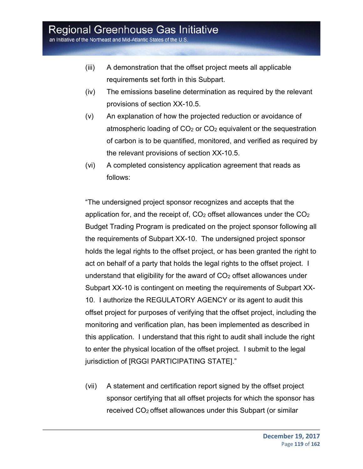an Initiative of the Northeast and Mid-Atlantic States of the U.S.

- (iii) A demonstration that the offset project meets all applicable requirements set forth in this Subpart.
- (iv) The emissions baseline determination as required by the relevant provisions of section XX-10.5.
- (v) An explanation of how the projected reduction or avoidance of atmospheric loading of CO2 or CO2 equivalent or the sequestration of carbon is to be quantified, monitored, and verified as required by the relevant provisions of section XX-10.5.
- (vi) A completed consistency application agreement that reads as follows:

"The undersigned project sponsor recognizes and accepts that the application for, and the receipt of,  $CO<sub>2</sub>$  offset allowances under the  $CO<sub>2</sub>$ Budget Trading Program is predicated on the project sponsor following all the requirements of Subpart XX-10. The undersigned project sponsor holds the legal rights to the offset project, or has been granted the right to act on behalf of a party that holds the legal rights to the offset project. I understand that eligibility for the award of  $CO<sub>2</sub>$  offset allowances under Subpart XX-10 is contingent on meeting the requirements of Subpart XX-10. I authorize the REGULATORY AGENCY or its agent to audit this offset project for purposes of verifying that the offset project, including the monitoring and verification plan, has been implemented as described in this application. I understand that this right to audit shall include the right to enter the physical location of the offset project. I submit to the legal jurisdiction of [RGGI PARTICIPATING STATE]."

(vii) A statement and certification report signed by the offset project sponsor certifying that all offset projects for which the sponsor has received CO2 offset allowances under this Subpart (or similar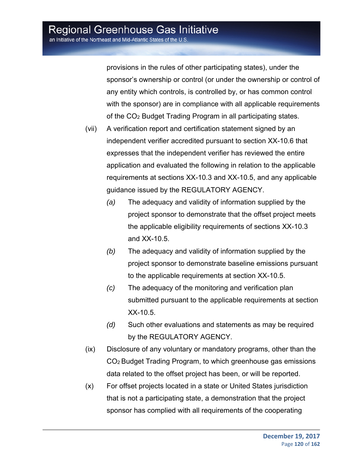provisions in the rules of other participating states), under the sponsor's ownership or control (or under the ownership or control of any entity which controls, is controlled by, or has common control with the sponsor) are in compliance with all applicable requirements of the CO2 Budget Trading Program in all participating states.

- (vii) A verification report and certification statement signed by an independent verifier accredited pursuant to section XX-10.6 that expresses that the independent verifier has reviewed the entire application and evaluated the following in relation to the applicable requirements at sections XX-10.3 and XX-10.5, and any applicable guidance issued by the REGULATORY AGENCY.
	- *(a)* The adequacy and validity of information supplied by the project sponsor to demonstrate that the offset project meets the applicable eligibility requirements of sections XX-10.3 and XX-10.5.
	- *(b)* The adequacy and validity of information supplied by the project sponsor to demonstrate baseline emissions pursuant to the applicable requirements at section XX-10.5.
	- *(c)* The adequacy of the monitoring and verification plan submitted pursuant to the applicable requirements at section XX-10.5.
	- *(d)* Such other evaluations and statements as may be required by the REGULATORY AGENCY.
- (ix) Disclosure of any voluntary or mandatory programs, other than the CO2 Budget Trading Program, to which greenhouse gas emissions data related to the offset project has been, or will be reported.
- (x) For offset projects located in a state or United States jurisdiction that is not a participating state, a demonstration that the project sponsor has complied with all requirements of the cooperating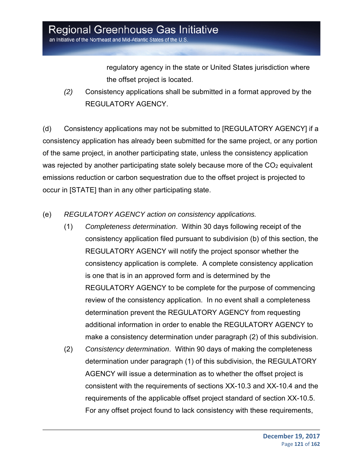regulatory agency in the state or United States jurisdiction where the offset project is located.

*(2)* Consistency applications shall be submitted in a format approved by the REGULATORY AGENCY.

(d) Consistency applications may not be submitted to [REGULATORY AGENCY] if a consistency application has already been submitted for the same project, or any portion of the same project, in another participating state, unless the consistency application was rejected by another participating state solely because more of the CO<sub>2</sub> equivalent emissions reduction or carbon sequestration due to the offset project is projected to occur in [STATE] than in any other participating state.

- (e) *REGULATORY AGENCY action on consistency applications.*
	- (1) *Completeness determination*. Within 30 days following receipt of the consistency application filed pursuant to subdivision (b) of this section, the REGULATORY AGENCY will notify the project sponsor whether the consistency application is complete. A complete consistency application is one that is in an approved form and is determined by the REGULATORY AGENCY to be complete for the purpose of commencing review of the consistency application. In no event shall a completeness determination prevent the REGULATORY AGENCY from requesting additional information in order to enable the REGULATORY AGENCY to make a consistency determination under paragraph (2) of this subdivision.
	- (2) *Consistency determination*. Within 90 days of making the completeness determination under paragraph (1) of this subdivision, the REGULATORY AGENCY will issue a determination as to whether the offset project is consistent with the requirements of sections XX-10.3 and XX-10.4 and the requirements of the applicable offset project standard of section XX-10.5. For any offset project found to lack consistency with these requirements,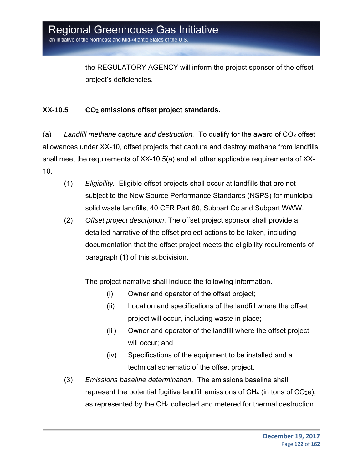the REGULATORY AGENCY will inform the project sponsor of the offset project's deficiencies.

### **XX-10.5 CO2 emissions offset project standards.**

(a) *Landfill methane capture and destruction.* To qualify for the award of CO2 offset allowances under XX-10, offset projects that capture and destroy methane from landfills shall meet the requirements of XX-10.5(a) and all other applicable requirements of XX-10.

- (1) *Eligibility.* Eligible offset projects shall occur at landfills that are not subject to the New Source Performance Standards (NSPS) for municipal solid waste landfills, 40 CFR Part 60, Subpart Cc and Subpart WWW.
- (2) *Offset project description*. The offset project sponsor shall provide a detailed narrative of the offset project actions to be taken, including documentation that the offset project meets the eligibility requirements of paragraph (1) of this subdivision.

The project narrative shall include the following information.

- (i) Owner and operator of the offset project;
- (ii) Location and specifications of the landfill where the offset project will occur, including waste in place;
- (iii) Owner and operator of the landfill where the offset project will occur; and
- (iv) Specifications of the equipment to be installed and a technical schematic of the offset project.
- (3) *Emissions baseline determination*. The emissions baseline shall represent the potential fugitive landfill emissions of  $CH_4$  (in tons of  $CO_2e$ ), as represented by the CH4 collected and metered for thermal destruction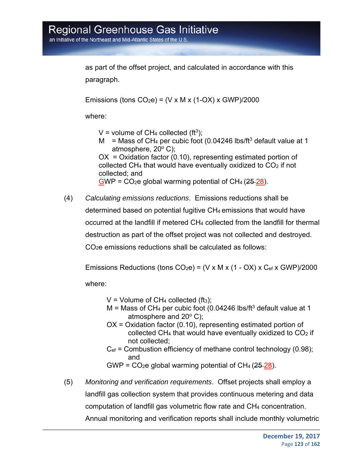as part of the offset project, and calculated in accordance with this paragraph.

Emissions (tons  $CO<sub>2</sub>e$ ) = (V x M x (1-OX) x GWP)/2000

where:

V = volume of  $CH_4$  collected (ft<sup>3</sup>);

M = Mass of CH<sub>4</sub> per cubic foot (0.04246 lbs/ft<sup>3</sup> default value at 1 atmosphere,  $20^{\circ}$  C);

OX = Oxidation factor (0.10), representing estimated portion of collected CH4 that would have eventually oxidized to CO2 if not collected; and

 $GWP = CO<sub>2</sub>e global warming potential of CH<sub>4</sub> (25-28).$ 

(4) *Calculating emissions reductions*. Emissions reductions shall be determined based on potential fugitive CH4 emissions that would have occurred at the landfill if metered CH4 collected from the landfill for thermal destruction as part of the offset project was not collected and destroyed. CO2e emissions reductions shall be calculated as follows:

Emissions Reductions (tons  $CO<sub>2</sub>e$ ) = (V x M x (1 - OX) x  $C<sub>ef</sub>$  x GWP)/2000

where:

 $V =$  Volume of CH<sub>4</sub> collected (ft<sub>3</sub>);

- $M =$  Mass of CH<sub>4</sub> per cubic foot (0.04246 lbs/ft<sup>3</sup> default value at 1 atmosphere and  $20^{\circ}$  C);
- OX = Oxidation factor (0.10), representing estimated portion of collected CH4 that would have eventually oxidized to CO2 if not collected;
- $C_{\text{ef}}$  = Combustion efficiency of methane control technology (0.98); and

GWP =  $CO<sub>2</sub>e$  global warming potential of  $CH<sub>4</sub>$  (25-28).

(5) *Monitoring and verification requirements*. Offset projects shall employ a landfill gas collection system that provides continuous metering and data computation of landfill gas volumetric flow rate and CH4 concentration. Annual monitoring and verification reports shall include monthly volumetric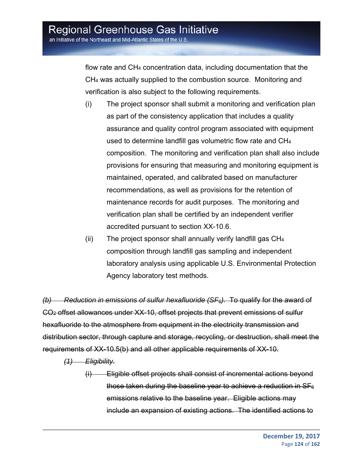flow rate and CH4 concentration data, including documentation that the CH4 was actually supplied to the combustion source. Monitoring and verification is also subject to the following requirements.

- (i) The project sponsor shall submit a monitoring and verification plan as part of the consistency application that includes a quality assurance and quality control program associated with equipment used to determine landfill gas volumetric flow rate and CH4 composition. The monitoring and verification plan shall also include provisions for ensuring that measuring and monitoring equipment is maintained, operated, and calibrated based on manufacturer recommendations, as well as provisions for the retention of maintenance records for audit purposes. The monitoring and verification plan shall be certified by an independent verifier accredited pursuant to section XX-10.6.
- (ii) The project sponsor shall annually verify landfill gas CH4 composition through landfill gas sampling and independent laboratory analysis using applicable U.S. Environmental Protection Agency laboratory test methods.

*(b) Reduction in emissions of sulfur hexafluoride (SF6).* To qualify for the award of CO2 offset allowances under XX-10, offset projects that prevent emissions of sulfur hexafluoride to the atmosphere from equipment in the electricity transmission and distribution sector, through capture and storage, recycling, or destruction, shall meet the requirements of XX-10.5(b) and all other applicable requirements of XX-10.

*(1) Eligibility.*

<sup>(</sup>i) Eligible offset projects shall consist of incremental actions beyond those taken during the baseline year to achieve a reduction in  $SF<sub>6</sub>$ emissions relative to the baseline year. Eligible actions may include an expansion of existing actions. The identified actions to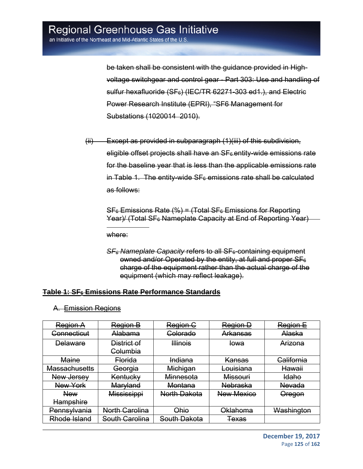be taken shall be consistent with the guidance provided in Highvoltage switchgear and control gear - Part 303: Use and handling of sulfur hexafluoride (SF<sub>6</sub>) (IEC/TR 62271-303 ed1.), and Electric Power Research Institute (EPRI), "SF6 Management for Substations (1020014 2010).

(ii) Except as provided in subparagraph (1)(iii) of this subdivision, eligible offset projects shall have an SF<sub>6</sub> entity-wide emissions rate for the baseline year that is less than the applicable emissions rate in Table 1. The entity-wide  $SF<sub>6</sub>$  emissions rate shall be calculated as follows:

 $SF<sub>6</sub>$  Emissions Rate (%) = (Total SF $<sub>6</sub>$  Emissions for Reporting</sub> Year)/ (Total SF<sub>6</sub> Nameplate Capacity at End of Reporting Year)

where:

 $\overline{a}$ 

*SF6 Nameplate Capacity* refers to all SF6-containing equipment owned and/or Operated by the entity, at full and proper SF<sub>6</sub> charge of the equipment rather than the actual charge of the equipment (which may reflect leakage).

#### **Table 1: SF6 Emissions Rate Performance Standards**

| Region A               | Region B              | Region C                | Region D<br>Region E             |            |  |
|------------------------|-----------------------|-------------------------|----------------------------------|------------|--|
| <del>Connecticut</del> | Alabama               | Colorado                | Alaska<br>Arkansas               |            |  |
| <b>Delaware</b>        | District of           | <b>Illinois</b>         | <del>lowa</del>                  | Arizona    |  |
|                        | <b>Columbia</b>       |                         |                                  |            |  |
| <b>Maine</b>           | <b>Florida</b>        | Indiana                 | California<br><b>Kansas</b>      |            |  |
| Massachusetts          | Georgia               | Michigan                | Louisiana                        | Hawaii     |  |
| New Jersey             | Kentucky              | Minnesota               | <b>Idaho</b><br>Missouri         |            |  |
| New York               | Maryland              | Montana                 | <b>Nebraska</b><br><b>Nevada</b> |            |  |
| <b>New</b>             | Mississippi           | <b>North Dakota</b>     | <b>New Mexico</b>                | Oregon     |  |
| <b>Hampshire</b>       |                       |                         |                                  |            |  |
| <u>Pennsylvania</u>    | <b>North Carolina</b> | Ohio                    | Oklahoma                         | Washington |  |
| Rhode Island           | South Carolina        | <del>South Dakota</del> | <b>Texas</b>                     |            |  |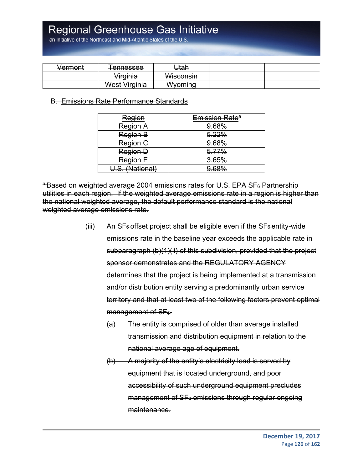an Initiative of the Northeast and Mid-Atlantic States of the U.S

| Vermont | <del>Tennessee</del>                            | Utah                          |  |
|---------|-------------------------------------------------|-------------------------------|--|
|         | Virginia                                        | Wisconsin                     |  |
|         | <i>Maet Virginia</i><br><del>wcət virgima</del> | Wyoming<br><del>vvvonmu</del> |  |

#### B. Emissions Rate Performance Standards

| Region          | Emission Rate <sup>a</sup> |  |
|-----------------|----------------------------|--|
| <b>Region A</b> | 9.68%                      |  |
| Region B        | 5.22%                      |  |
| Region C        | 9.68%                      |  |
| <b>Region D</b> | 5.77%                      |  |
| Region E        | 3.65%                      |  |
| (National)      |                            |  |

a Based on weighted average 2004 emissions rates for U.S. EPA SF<sub>6</sub> Partnership utilities in each region. If the weighted average emissions rate in a region is higher than the national weighted average, the default performance standard is the national weighted average emissions rate.

- $(iii)$  An SF<sub>6</sub> offset project shall be eligible even if the SF<sub>6</sub> entity-wide emissions rate in the baseline year exceeds the applicable rate in subparagraph (b)(1)(ii) of this subdivision, provided that the project sponsor demonstrates and the REGULATORY AGENCY determines that the project is being implemented at a transmission and/or distribution entity serving a predominantly urban service territory and that at least two of the following factors prevent optimal management of SF<sub>6</sub>.
	- (a) The entity is comprised of older than average installed transmission and distribution equipment in relation to the national average age of equipment.
	- (b) A majority of the entity's electricity load is served by equipment that is located underground, and poor accessibility of such underground equipment precludes  $m$ anagement of  $SF<sub>6</sub>$  emissions through regular ongoing maintenance.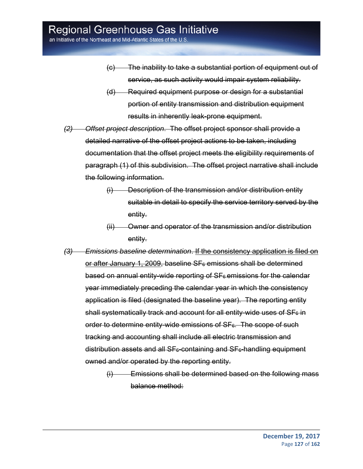an Initiative of the Northeast and Mid-Atlantic States of the U.S

- (c) The inability to take a substantial portion of equipment out of service, as such activity would impair system reliability.
- (d) Required equipment purpose or design for a substantial portion of entity transmission and distribution equipment results in inherently leak-prone equipment.
- *(2) Offset project description*. The offset project sponsor shall provide a detailed narrative of the offset project actions to be taken, including documentation that the offset project meets the eligibility requirements of paragraph (1) of this subdivision. The offset project narrative shall include the following information.
	- (i) Description of the transmission and/or distribution entity suitable in detail to specify the service territory served by the entity.
	- (ii) Owner and operator of the transmission and/or distribution entity.
- *(3) Emissions baseline determination*. If the consistency application is filed on or after January 1, 2009, baseline SF<sub>6</sub> emissions shall be determined based on annual entity-wide reporting of  $SF<sub>6</sub>$  emissions for the calendar year immediately preceding the calendar year in which the consistency application is filed (designated the baseline year). The reporting entity shall systematically track and account for all entity-wide uses of  $SF<sub>6</sub>$  in order to determine entity-wide emissions of  $SF<sub>6</sub>$ . The scope of such tracking and accounting shall include all electric transmission and distribution assets and all SF<sub>6</sub>-containing and SF<sub>6</sub>-handling equipment owned and/or operated by the reporting entity.
	- (i) Emissions shall be determined based on the following mass balance method: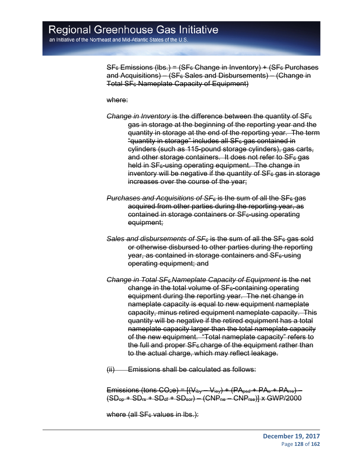$SF<sub>6</sub>$  Emissions (lbs.) = (SF<sub>6</sub> Change in Inventory) + (SF<sub>6</sub> Purchases and Acquisitions) – (SF $6$  Sales and Disbursements) – (Change in Total SF<sub>6</sub> Nameplate Capacity of Equipment)

where:

- *Change in Inventory* is the difference between the quantity of SF<sub>6</sub> gas in storage at the beginning of the reporting year and the quantity in storage at the end of the reporting year. The term "quantity in storage" includes all SF6 gas contained in cylinders (such as 115-pound storage cylinders), gas carts, and other storage containers. It does not refer to  $SF<sub>6</sub>$  gas held in SF<sub>6</sub>-using operating equipment. The change in inventory will be negative if the quantity of  $SF<sub>6</sub>$  gas in storage increases over the course of the year;
- *Purchases and Acquisitions of SF<sub>6</sub> is the sum of all the SF<sub>6</sub> gas* acquired from other parties during the reporting year, as  $contained$  in storage containers or  $SF<sub>6</sub>$ -using operating equipment;
- **Sales and disbursements of SF**<sub>6</sub> is the sum of all the SF<sub>6</sub> gas sold or otherwise disbursed to other parties during the reporting  $year, as contained in storage containers and SF<sub>6</sub>-using$ operating equipment; and
- *Change in Total SF6 Nameplate Capacity of Equipment* is the net change in the total volume of  $SF<sub>6</sub>$ -containing operating equipment during the reporting year. The net change in nameplate capacity is equal to new equipment nameplate capacity, minus retired equipment nameplate capacity. This quantity will be negative if the retired equipment has a total nameplate capacity larger than the total nameplate capacity of the new equipment. "Total nameplate capacity" refers to the full and proper  $SF<sub>6</sub>$  charge of the equipment rather than to the actual charge, which may reflect leakage.
- (ii) Emissions shall be calculated as follows:

Emissions (tons  $CO_2e$ ) =  $[(V_{\text{iby}} - V_{\text{iey}}) + (PA_{\text{psd}} + PA_{\text{e}} + PA_{\text{rre}}) (SD<sub>00</sub> + SD<sub>15</sub> + SD<sub>44</sub> + SD<sub>001</sub>) - (CNP<sub>102</sub> - CNP<sub>rse</sub>) + V GWP/2000$ 

where  $(all SF<sub>6</sub>$  values in lbs.):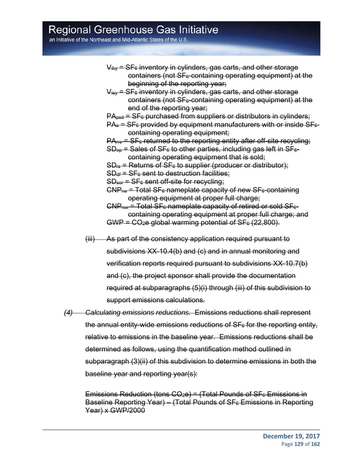an Initiative of the Northeast and Mid-Atlantic States of the U.S.

- $V_{\text{iby}}$  = SF $_{6}$  inventory in cylinders, gas carts, and other storage containers (not SF6-containing operating equipment) at the beginning of the reporting year;
- $V_{\text{lev}}$  = SF<sub>6</sub> inventory in cylinders, gas carts, and other storage  $contains$  (not  $SF<sub>6</sub>-containing operating equipment$ ) at the end of the reporting year;
- $PA<sub>psd</sub> = SF<sub>6</sub>$  purchased from suppliers or distributors in cylinders;
- $PA_e = SF_e$  provided by equipment manufacturers with or inside  $SF_e$ containing operating equipment;
- $PA<sub>rec</sub> = SF<sub>6</sub>$  returned to the reporting entity after off-site recycling;
- $SD<sub>op</sub>$  = Sales of SF $<sub>6</sub>$  to other parties, including gas left in SF $<sub>6</sub>$ -</sub></sub> containing operating equipment that is sold;
- $SD_{fs}$  = Returns of SF $_{6}$  to supplier (producer or distributor);
- $SD_{df} = SF<sub>6</sub>$  sent to destruction facilities;
- $SD<sub>ser</sub> = SF<sub>6</sub> sent off-site for recycling;$
- $CNP<sub>ne</sub>$  = Total SF<sub>6</sub> nameplate capacity of new SF<sub>6</sub>-containing operating equipment at proper full charge;
- $CNP<sub>rse</sub>$  = Total SF<sub>6</sub> nameplate capacity of retired or sold SF<sub>6</sub>containing operating equipment at proper full charge; and  $GWP = CO<sub>2</sub>e$  global warming potential of  $SF<sub>6</sub> (22,800)$ .
- (iii) As part of the consistency application required pursuant to subdivisions XX-10.4(b) and (c) and in annual monitoring and verification reports required pursuant to subdivisions XX-10.7(b) and (c), the project sponsor shall provide the documentation required at subparagraphs (5)(i) through (iii) of this subdivision to support emissions calculations.
- *(4) Calculating emissions reductions*. Emissions reductions shall represent the annual entity-wide emissions reductions of SF<sub>6</sub> for the reporting entity, relative to emissions in the baseline year. Emissions reductions shall be determined as follows, using the quantification method outlined in subparagraph (3)(ii) of this subdivision to determine emissions in both the baseline year and reporting year(s):

Emissions Reduction (tons  $CO<sub>2</sub>e$ ) = (Total Pounds of SF $<sub>6</sub>$  Emissions in</sub> Baseline Reporting Year) – (Total Pounds of  $SF<sub>6</sub>$  Emissions in Reporting Year) x GWP/2000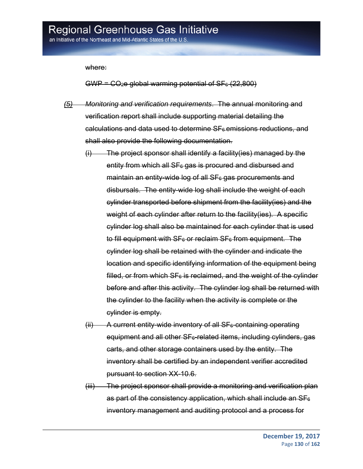an Initiative of the Northeast and Mid-Atlantic States of the U.S

where:

 $GWP = CO<sub>2</sub>e$  global warming potential of  $SF<sub>6</sub> (22,800)$ 

- *(5) Monitoring and verification requirements*. The annual monitoring and verification report shall include supporting material detailing the  $calations$  and data used to determine  $SF<sub>6</sub>$  emissions reductions, and shall also provide the following documentation.
	- (i) The project sponsor shall identify a facility(ies) managed by the entity from which all  $SF<sub>6</sub>$  gas is procured and disbursed and maintain an entity-wide log of all  $SF<sub>6</sub>$  gas procurements and disbursals. The entity-wide log shall include the weight of each cylinder transported before shipment from the facility(ies) and the weight of each cylinder after return to the facility (ies). A specific cylinder log shall also be maintained for each cylinder that is used to fill equipment with  $SF<sub>6</sub>$  or reclaim  $SF<sub>6</sub>$  from equipment. The cylinder log shall be retained with the cylinder and indicate the location and specific identifying information of the equipment being filled, or from which  $SF<sub>6</sub>$  is reclaimed, and the weight of the cylinder before and after this activity. The cylinder log shall be returned with the cylinder to the facility when the activity is complete or the cylinder is empty.
	- $(i)$  A current entity-wide inventory of all SF $_{6}$ -containing operating equipment and all other  $SF<sub>6</sub>-related items, including cylinders, gas$ carts, and other storage containers used by the entity. The inventory shall be certified by an independent verifier accredited pursuant to section XX-10.6.
	- (iii) The project sponsor shall provide a monitoring and verification plan as part of the consistency application, which shall include an  $SF<sub>6</sub>$ inventory management and auditing protocol and a process for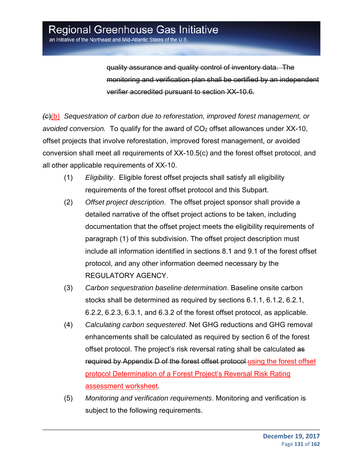quality assurance and quality control of inventory data. The monitoring and verification plan shall be certified by an independent verifier accredited pursuant to section XX-10.6.

*(c*)(b) *Sequestration of carbon due to reforestation, improved forest management, or*  avoided conversion. To qualify for the award of CO<sub>2</sub> offset allowances under XX-10, offset projects that involve reforestation, improved forest management, or avoided conversion shall meet all requirements of XX-10.5(c) and the forest offset protocol, and all other applicable requirements of XX-10.

- (1) *Eligibility*. Eligible forest offset projects shall satisfy all eligibility requirements of the forest offset protocol and this Subpart.
- (2) *Offset project description*. The offset project sponsor shall provide a detailed narrative of the offset project actions to be taken, including documentation that the offset project meets the eligibility requirements of paragraph (1) of this subdivision. The offset project description must include all information identified in sections 8.1 and 9.1 of the forest offset protocol, and any other information deemed necessary by the REGULATORY AGENCY.
- (3) *Carbon sequestration baseline determination*. Baseline onsite carbon stocks shall be determined as required by sections 6.1.1, 6.1.2, 6.2.1, 6.2.2, 6.2.3, 6.3.1, and 6.3.2 of the forest offset protocol, as applicable.
- (4) *Calculating carbon sequestered*. Net GHG reductions and GHG removal enhancements shall be calculated as required by section 6 of the forest offset protocol. The project's risk reversal rating shall be calculated as required by Appendix D of the forest offset protocol using the forest offset protocol Determination of a Forest Project's Reversal Risk Rating assessment worksheet.
- (5) *Monitoring and verification requirements*. Monitoring and verification is subject to the following requirements.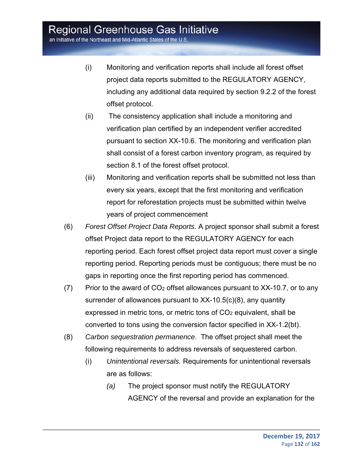an Initiative of the Northeast and Mid-Atlantic States of the U.S.

- (i) Monitoring and verification reports shall include all forest offset project data reports submitted to the REGULATORY AGENCY, including any additional data required by section 9.2.2 of the forest offset protocol.
- (ii) The consistency application shall include a monitoring and verification plan certified by an independent verifier accredited pursuant to section XX-10.6. The monitoring and verification plan shall consist of a forest carbon inventory program, as required by section 8.1 of the forest offset protocol.
- (iii) Monitoring and verification reports shall be submitted not less than every six years, except that the first monitoring and verification report for reforestation projects must be submitted within twelve years of project commencement
- (6) *Forest Offset Project Data Reports*. A project sponsor shall submit a forest offset Project data report to the REGULATORY AGENCY for each reporting period. Each forest offset project data report must cover a single reporting period. Reporting periods must be contiguous; there must be no gaps in reporting once the first reporting period has commenced.
- $(7)$  Prior to the award of CO<sub>2</sub> offset allowances pursuant to XX-10.7, or to any surrender of allowances pursuant to XX-10.5(c)(8), any quantity expressed in metric tons, or metric tons of CO<sub>2</sub> equivalent, shall be converted to tons using the conversion factor specified in XX-1.2(bt).
- (8) *Carbon sequestration permanence*. The offset project shall meet the following requirements to address reversals of sequestered carbon.
	- (i) *Unintentional reversals.* Requirements for unintentional reversals are as follows:
		- *(a)* The project sponsor must notify the REGULATORY AGENCY of the reversal and provide an explanation for the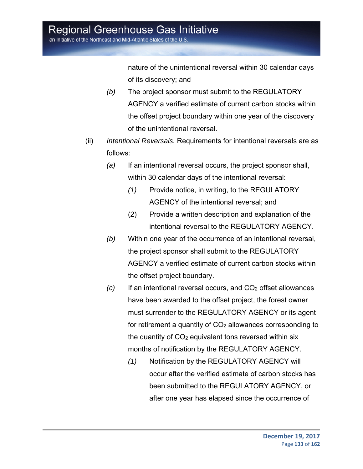an Initiative of the Northeast and Mid-Atlantic States of the U.S

nature of the unintentional reversal within 30 calendar days of its discovery; and

- *(b)* The project sponsor must submit to the REGULATORY AGENCY a verified estimate of current carbon stocks within the offset project boundary within one year of the discovery of the unintentional reversal.
- (ii) *Intentional Reversals.* Requirements for intentional reversals are as follows:
	- *(a)* If an intentional reversal occurs, the project sponsor shall, within 30 calendar days of the intentional reversal:
		- *(1)* Provide notice, in writing, to the REGULATORY AGENCY of the intentional reversal; and
		- (2) Provide a written description and explanation of the intentional reversal to the REGULATORY AGENCY.
	- *(b)* Within one year of the occurrence of an intentional reversal, the project sponsor shall submit to the REGULATORY AGENCY a verified estimate of current carbon stocks within the offset project boundary.
	- *(c)* If an intentional reversal occurs, and CO2 offset allowances have been awarded to the offset project, the forest owner must surrender to the REGULATORY AGENCY or its agent for retirement a quantity of  $CO<sub>2</sub>$  allowances corresponding to the quantity of  $CO<sub>2</sub>$  equivalent tons reversed within six months of notification by the REGULATORY AGENCY.
		- *(1)* Notification by the REGULATORY AGENCY will occur after the verified estimate of carbon stocks has been submitted to the REGULATORY AGENCY, or after one year has elapsed since the occurrence of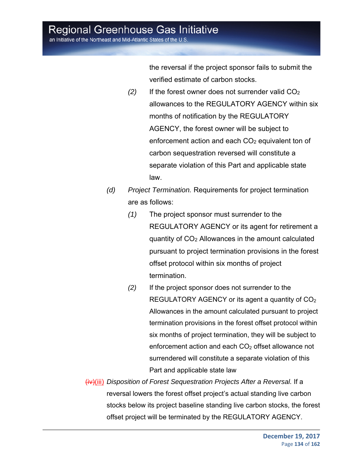an Initiative of the Northeast and Mid-Atlantic States of the U.S

the reversal if the project sponsor fails to submit the verified estimate of carbon stocks.

- $(2)$  If the forest owner does not surrender valid  $CO<sub>2</sub>$ allowances to the REGULATORY AGENCY within six months of notification by the REGULATORY AGENCY, the forest owner will be subject to enforcement action and each  $CO<sub>2</sub>$  equivalent ton of carbon sequestration reversed will constitute a separate violation of this Part and applicable state law.
- *(d) Project Termination.* Requirements for project termination are as follows:
	- *(1)* The project sponsor must surrender to the REGULATORY AGENCY or its agent for retirement a quantity of CO2 Allowances in the amount calculated pursuant to project termination provisions in the forest offset protocol within six months of project termination.
	- *(2)* If the project sponsor does not surrender to the REGULATORY AGENCY or its agent a quantity of  $CO<sub>2</sub>$ Allowances in the amount calculated pursuant to project termination provisions in the forest offset protocol within six months of project termination, they will be subject to enforcement action and each  $CO<sub>2</sub>$  offset allowance not surrendered will constitute a separate violation of this Part and applicable state law
- (iv)(iii) *Disposition of Forest Sequestration Projects After a Reversal.* If a reversal lowers the forest offset project's actual standing live carbon stocks below its project baseline standing live carbon stocks, the forest offset project will be terminated by the REGULATORY AGENCY.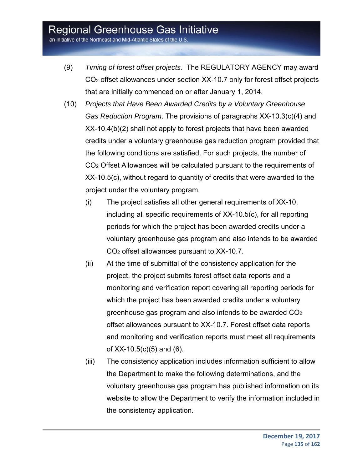an Initiative of the Northeast and Mid-Atlantic States of the U.S.

- (9) *Timing of forest offset projects.* The REGULATORY AGENCY may award CO2 offset allowances under section XX-10.7 only for forest offset projects that are initially commenced on or after January 1, 2014.
- (10) *Projects that Have Been Awarded Credits by a Voluntary Greenhouse Gas Reduction Program*. The provisions of paragraphs XX-10.3(c)(4) and XX-10.4(b)(2) shall not apply to forest projects that have been awarded credits under a voluntary greenhouse gas reduction program provided that the following conditions are satisfied. For such projects, the number of CO2 Offset Allowances will be calculated pursuant to the requirements of XX-10.5(c), without regard to quantity of credits that were awarded to the project under the voluntary program.
	- (i) The project satisfies all other general requirements of XX-10, including all specific requirements of XX-10.5(c), for all reporting periods for which the project has been awarded credits under a voluntary greenhouse gas program and also intends to be awarded CO2 offset allowances pursuant to XX-10.7.
	- (ii) At the time of submittal of the consistency application for the project, the project submits forest offset data reports and a monitoring and verification report covering all reporting periods for which the project has been awarded credits under a voluntary greenhouse gas program and also intends to be awarded CO2 offset allowances pursuant to XX-10.7. Forest offset data reports and monitoring and verification reports must meet all requirements of XX-10.5(c)(5) and (6).
	- (iii) The consistency application includes information sufficient to allow the Department to make the following determinations, and the voluntary greenhouse gas program has published information on its website to allow the Department to verify the information included in the consistency application.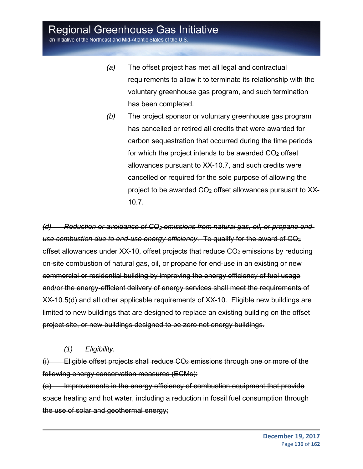an Initiative of the Northeast and Mid-Atlantic States of the U.S

- *(a)* The offset project has met all legal and contractual requirements to allow it to terminate its relationship with the voluntary greenhouse gas program, and such termination has been completed.
- *(b)* The project sponsor or voluntary greenhouse gas program has cancelled or retired all credits that were awarded for carbon sequestration that occurred during the time periods for which the project intends to be awarded  $CO<sub>2</sub>$  offset allowances pursuant to XX-10.7, and such credits were cancelled or required for the sole purpose of allowing the project to be awarded CO2 offset allowances pursuant to XX-10.7.

*(d) Reduction or avoidance of CO2 emissions from natural gas, oil, or propane enduse combustion due to end-use energy efficiency*. To qualify for the award of CO2 offset allowances under XX-10, offset projects that reduce CO<sub>2</sub> emissions by reducing on-site combustion of natural gas, oil, or propane for end-use in an existing or new commercial or residential building by improving the energy efficiency of fuel usage and/or the energy-efficient delivery of energy services shall meet the requirements of XX-10.5(d) and all other applicable requirements of XX-10. Eligible new buildings are limited to new buildings that are designed to replace an existing building on the offset project site, or new buildings designed to be zero net energy buildings.

 *(1) Eligibility.*

(i) Eligible offset projects shall reduce CO2 emissions through one or more of the following energy conservation measures (ECMs):

(a) Improvements in the energy efficiency of combustion equipment that provide space heating and hot water, including a reduction in fossil fuel consumption through the use of solar and geothermal energy;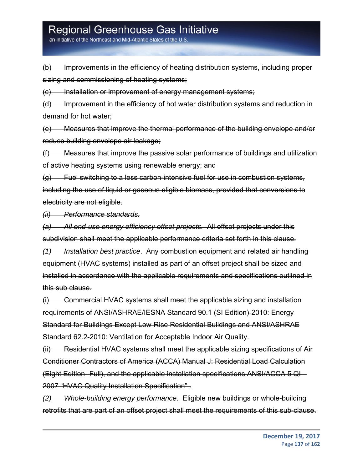an Initiative of the Northeast and Mid-Atlantic States of the U.S

(b) Improvements in the efficiency of heating distribution systems, including proper sizing and commissioning of heating systems;

(c) Installation or improvement of energy management systems;

(d) Improvement in the efficiency of hot water distribution systems and reduction in demand for hot water;

(e) Measures that improve the thermal performance of the building envelope and/or reduce building envelope air leakage;

(f) Measures that improve the passive solar performance of buildings and utilization of active heating systems using renewable energy; and

 $(g)$  Fuel switching to a less carbon-intensive fuel for use in combustion systems, including the use of liquid or gaseous eligible biomass, provided that conversions to electricity are not eligible.

*(ii) Performance standards.*

*(a) All end-use energy efficiency offset projects.* All offset projects under this subdivision shall meet the applicable performance criteria set forth in this clause. *(1) Installation best practice*. Any combustion equipment and related air handling equipment (HVAC systems) installed as part of an offset project shall be sized and installed in accordance with the applicable requirements and specifications outlined in this sub clause.

(i) Commercial HVAC systems shall meet the applicable sizing and installation requirements of ANSI/ASHRAE/IESNA Standard 90.1 (SI Edition)-2010: Energy Standard for Buildings Except Low-Rise Residential Buildings and ANSI/ASHRAE Standard 62.2-2010: Ventilation for Acceptable Indoor Air Quality.

(ii) Residential HVAC systems shall meet the applicable sizing specifications of Air Conditioner Contractors of America (ACCA) Manual J: Residential Load Calculation (Eight Edition- Full), and the applicable installation specifications ANSI/ACCA 5 QI – 2007 "HVAC Quality Installation Specification" .

*(2) Whole-building energy performance*. Eligible new buildings or whole-building retrofits that are part of an offset project shall meet the requirements of this sub-clause.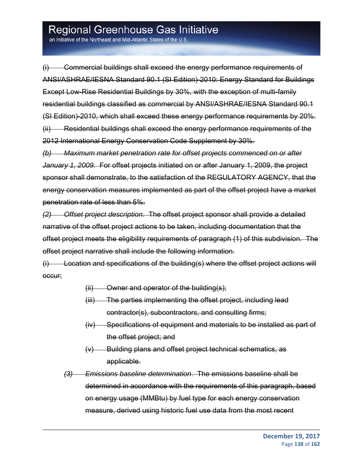an Initiative of the Northeast and Mid-Atlantic States of the U.S

(i) Commercial buildings shall exceed the energy performance requirements of ANSI/ASHRAE/IESNA Standard 90.1 (SI Edition)-2010: Energy Standard for Buildings Except Low-Rise Residential Buildings by 30%, with the exception of multi-family residential buildings classified as commercial by ANSI/ASHRAE/IESNA Standard 90.1 (SI Edition)-2010, which shall exceed these energy performance requirements by 20%. (ii) Residential buildings shall exceed the energy performance requirements of the 2012 International Energy Conservation Code Supplement by 30%.

*(b) Maximum market penetration rate for offset projects commenced on or after January 1, 2009.* For offset projects initiated on or after January 1, 2009, the project sponsor shall demonstrate, to the satisfaction of the REGULATORY AGENCY, that the energy conservation measures implemented as part of the offset project have a market penetration rate of less than 5%.

*(2) Offset project description*. The offset project sponsor shall provide a detailed narrative of the offset project actions to be taken, including documentation that the offset project meets the eligibility requirements of paragraph (1) of this subdivision. The offset project narrative shall include the following information.

(i) Location and specifications of the building(s) where the offset project actions will occur;

- $(iii)$  Owner and operator of the building(s);
- (iii) The parties implementing the offset project, including lead contractor(s), subcontractors, and consulting firms;
- (iv) Specifications of equipment and materials to be installed as part of the offset project; and
- (v) Building plans and offset project technical schematics, as applicable.
- *(3) Emissions baseline determination*. The emissions baseline shall be determined in accordance with the requirements of this paragraph, based on energy usage (MMBtu) by fuel type for each energy conservation measure, derived using historic fuel use data from the most recent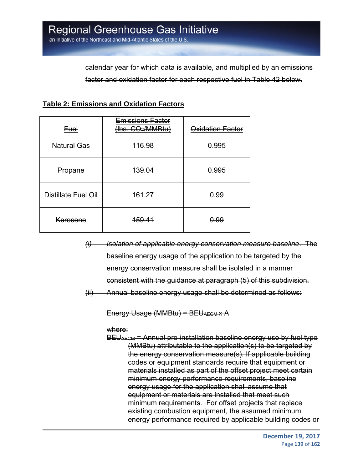calendar year for which data is available, and multiplied by an emissions factor and oxidation factor for each respective fuel in Table 42 below.

#### **Table 2: Emissions and Oxidation Factors**

| <u>Fuel</u>         | <del>Emissions Factor</del><br>(lbs. CO2/MMBtu) | Oxidation Factor |
|---------------------|-------------------------------------------------|------------------|
| <b>Natural Gas</b>  | 116.98                                          | 0.995            |
| Propane             | <del>139.04</del>                               | 0.995            |
| Distillate Fuel Oil | 161.27                                          | 0.99             |
| Kerosene            | <del>159.41</del>                               | 0.99             |

- *(i) Isolation of applicable energy conservation measure baseline*. The baseline energy usage of the application to be targeted by the energy conservation measure shall be isolated in a manner consistent with the guidance at paragraph (5) of this subdivision.
- (ii) Annual baseline energy usage shall be determined as follows:

Energy Usage (MMBtu) = BEUAECM x A

where:

BEUAECM = Annual pre-installation baseline energy use by fuel type (MMBtu) attributable to the application(s) to be targeted by the energy conservation measure(s). If applicable building codes or equipment standards require that equipment or materials installed as part of the offset project meet certain minimum energy performance requirements, baseline energy usage for the application shall assume that equipment or materials are installed that meet such minimum requirements. For offset projects that replace existing combustion equipment, the assumed minimum energy performance required by applicable building codes or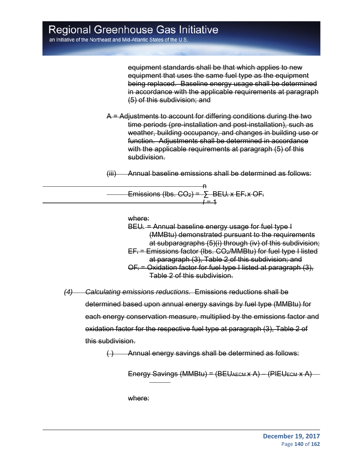an Initiative of the Northeast and Mid-Atlantic States of the U.S

equipment standards shall be that which applies to new equipment that uses the same fuel type as the equipment being replaced. Baseline energy usage shall be determined in accordance with the applicable requirements at paragraph (5) of this subdivision; and

A = Adjustments to account for differing conditions during the two time periods (pre-installation and post-installation), such as weather, building occupancy, and changes in building use or function. Adjustments shall be determined in accordance with the applicable requirements at paragraph (5) of this subdivision.

(iii) Annual baseline emissions shall be determined as follows:

<u>na amin'ny fivondronan-kaominin'i Amerika ao amin'ny fivondronan-kaominin'i A</u> Emissions (lbs.  $CO<sub>2</sub>$ ) =  $\sum$  BEU<sub>i</sub> x EF<sub>i</sub> x OF<sub>i</sub> *I* = 1

where:

 $BEU_i$  = Annual baseline energy usage for fuel type  $I$ (MMBtu) demonstrated pursuant to the requirements at subparagraphs (5)(i) through (iv) of this subdivision;  $EF_i$  = Emissions factor (lbs.  $CO_2$ /MMBtu) for fuel type I listed at paragraph (3), Table 2 of this subdivision; and  $OF_i$  = Oxidation factor for fuel type I listed at paragraph (3), Table 2 of this subdivision.

*(4) Calculating emissions reductions.* Emissions reductions shall be determined based upon annual energy savings by fuel type (MMBtu) for each energy conservation measure, multiplied by the emissions factor and oxidation factor for the respective fuel type at paragraph (3), Table 2 of this subdivision.

( ) Annual energy savings shall be determined as follows:

Energy Savings (MMBtu) = (BEUAECM x A) - (PIEUECM x A)

where:

 $\overline{a}$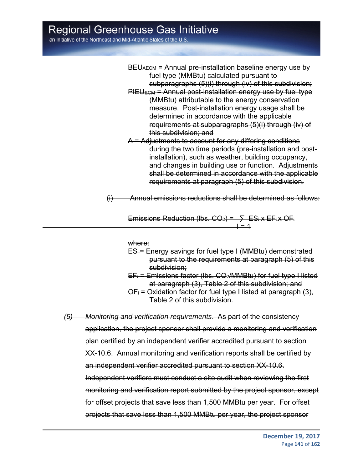an Initiative of the Northeast and Mid-Atlantic States of the U.S

| BEUAECM = Annual pre-installation baseline energy use by               |
|------------------------------------------------------------------------|
| fuel type (MMBtu) calculated pursuant to                               |
| subparagraphs (5)(i) through (iv) of this subdivision;                 |
| PIEU <sub>ECM</sub> = Annual post-installation energy use by fuel type |
| (MMBtu) attributable to the energy conservation                        |

- measure. Post-installation energy usage shall be determined in accordance with the applicable requirements at subparagraphs (5)(i) through (iv) of this subdivision; and
- A = Adjustments to account for any differing conditions during the two time periods (pre-installation and postinstallation), such as weather, building occupancy, and changes in building use or function. Adjustments shall be determined in accordance with the applicable requirements at paragraph (5) of this subdivision.

(i) Annual emissions reductions shall be determined as follows:

Emissions Reduction (lbs.  $CO<sub>2</sub>$ ) =  $\Sigma$  ES<sub>i</sub> x EF<sub>i</sub> x OF<sub>i</sub> I = 1

#### where:

- ESi = Energy savings for fuel type I (MMBtu) demonstrated pursuant to the requirements at paragraph (5) of this subdivision;
- $EF_i$  = Emissions factor (lbs.  $CO_2$ /MMBtu) for fuel type I listed at paragraph (3), Table 2 of this subdivision; and
- $OF_i$  = Oxidation factor for fuel type I listed at paragraph (3), Table 2 of this subdivision.

*(5) Monitoring and verification requirements*. As part of the consistency application, the project sponsor shall provide a monitoring and verification plan certified by an independent verifier accredited pursuant to section XX-10.6. Annual monitoring and verification reports shall be certified by an independent verifier accredited pursuant to section XX-10.6. Independent verifiers must conduct a site audit when reviewing the first monitoring and verification report submitted by the project sponsor, except for offset projects that save less than 1,500 MMBtu per year. For offset projects that save less than 1,500 MMBtu per year, the project sponsor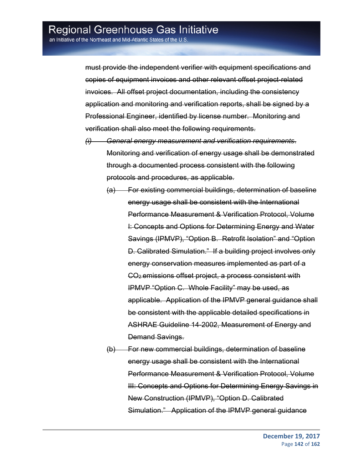must provide the independent verifier with equipment specifications and copies of equipment invoices and other relevant offset project-related invoices. All offset project documentation, including the consistency application and monitoring and verification reports, shall be signed by a Professional Engineer, identified by license number. Monitoring and verification shall also meet the following requirements.

- *(i) General energy measurement and verification requirements*. Monitoring and verification of energy usage shall be demonstrated through a documented process consistent with the following protocols and procedures, as applicable.
	- (a) For existing commercial buildings, determination of baseline energy usage shall be consistent with the International Performance Measurement & Verification Protocol, Volume I: Concepts and Options for Determining Energy and Water Savings (IPMVP), "Option B. Retrofit Isolation" and "Option D. Calibrated Simulation." If a building project involves only energy conservation measures implemented as part of a CO2 emissions offset project, a process consistent with IPMVP "Option C. Whole Facility" may be used, as applicable. Application of the IPMVP general guidance shall be consistent with the applicable detailed specifications in ASHRAE Guideline 14-2002, Measurement of Energy and Demand Savings.
	- (b) For new commercial buildings, determination of baseline energy usage shall be consistent with the International Performance Measurement & Verification Protocol, Volume III: Concepts and Options for Determining Energy Savings in New Construction (IPMVP), "Option D. Calibrated Simulation." Application of the IPMVP general guidance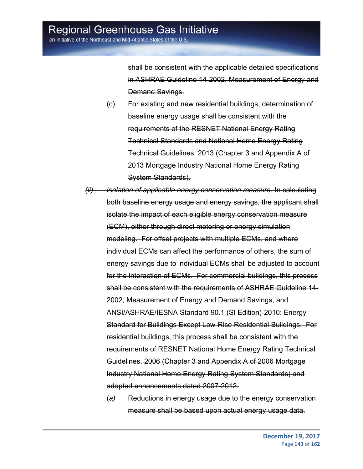shall be consistent with the applicable detailed specifications in ASHRAE Guideline 14-2002, Measurement of Energy and Demand Savings.

- (c) For existing and new residential buildings, determination of baseline energy usage shall be consistent with the requirements of the RESNET National Energy Rating Technical Standards and National Home Energy Rating Technical Guidelines, 2013 (Chapter 3 and Appendix A of 2013 Mortgage Industry National Home Energy Rating System Standards).
- *(ii) Isolation of applicable energy conservation measure*. In calculating both baseline energy usage and energy savings, the applicant shall isolate the impact of each eligible energy conservation measure (ECM), either through direct metering or energy simulation modeling. For offset projects with multiple ECMs, and where individual ECMs can affect the performance of others, the sum of energy savings due to individual ECMs shall be adjusted to account for the interaction of ECMs. For commercial buildings, this process shall be consistent with the requirements of ASHRAE Guideline 14- 2002, Measurement of Energy and Demand Savings, and ANSI/ASHRAE/IESNA Standard 90.1 (SI Edition)-2010: Energy Standard for Buildings Except Low-Rise Residential Buildings. For residential buildings, this process shall be consistent with the requirements of RESNET National Home Energy Rating Technical Guidelines, 2006 (Chapter 3 and Appendix A of 2006 Mortgage Industry National Home Energy Rating System Standards) and adopted enhancements dated 2007-2012.
	- (*a)* Reductions in energy usage due to the energy conservation measure shall be based upon actual energy usage data.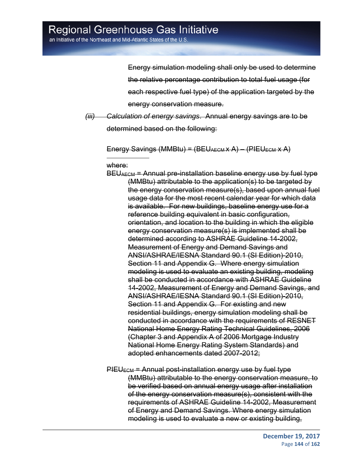Energy simulation modeling shall only be used to determine the relative percentage contribution to total fuel usage (for each respective fuel type) of the application targeted by the energy conservation measure.

*(iii) Calculation of energy savings*. Annual energy savings are to be determined based on the following:

Energy Savings (MMBtu) =  $(BEU_{AECMX}A) - (PIEU_{ECM}XA)$ 

#### where:

 $\overline{a}$ 

 $BEU<sub>AECM</sub>$  = Annual pre-installation baseline energy use by fuel type (MMBtu) attributable to the application(s) to be targeted by the energy conservation measure(s), based upon annual fuel usage data for the most recent calendar year for which data is available. For new buildings, baseline energy use for a reference building equivalent in basic configuration, orientation, and location to the building in which the eligible energy conservation measure(s) is implemented shall be determined according to ASHRAE Guideline 14-2002, Measurement of Energy and Demand Savings and ANSI/ASHRAE/IESNA Standard 90.1 (SI Edition)-2010, Section 11 and Appendix G. Where energy simulation modeling is used to evaluate an existing building, modeling shall be conducted in accordance with ASHRAE Guideline 14-2002, Measurement of Energy and Demand Savings, and ANSI/ASHRAE/IESNA Standard 90.1 (SI Edition)-2010, Section 11 and Appendix G. For existing and new residential buildings, energy simulation modeling shall be conducted in accordance with the requirements of RESNET National Home Energy Rating Technical Guidelines, 2006 (Chapter 3 and Appendix A of 2006 Mortgage Industry National Home Energy Rating System Standards) and adopted enhancements dated 2007-2012;

 $PIEU_{ECM}$  = Annual post-installation energy use by fuel type (MMBtu) attributable to the energy conservation measure, to be verified based on annual energy usage after installation of the energy conservation measure(s), consistent with the requirements of ASHRAE Guideline 14-2002, Measurement of Energy and Demand Savings. Where energy simulation modeling is used to evaluate a new or existing building,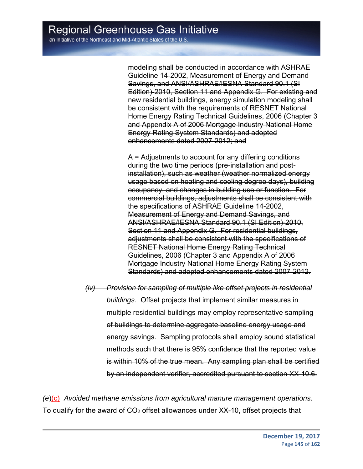modeling shall be conducted in accordance with ASHRAE Guideline 14-2002, Measurement of Energy and Demand Savings, and ANSI/ASHRAE/IESNA Standard 90.1 (SI Edition)-2010, Section 11 and Appendix G. For existing and new residential buildings, energy simulation modeling shall be consistent with the requirements of RESNET National Home Energy Rating Technical Guidelines, 2006 (Chapter 3 and Appendix A of 2006 Mortgage Industry National Home Energy Rating System Standards) and adopted enhancements dated 2007-2012; and

A = Adjustments to account for any differing conditions during the two time periods (pre-installation and postinstallation), such as weather (weather normalized energy usage based on heating and cooling degree days), building occupancy, and changes in building use or function. For commercial buildings, adjustments shall be consistent with the specifications of ASHRAE Guideline 14-2002, Measurement of Energy and Demand Savings, and ANSI/ASHRAE/IESNA Standard 90.1 (SI Edition)-2010, Section 11 and Appendix G. For residential buildings, adjustments shall be consistent with the specifications of RESNET National Home Energy Rating Technical Guidelines, 2006 (Chapter 3 and Appendix A of 2006 Mortgage Industry National Home Energy Rating System Standards) and adopted enhancements dated 2007-2012.

*(iv) Provision for sampling of multiple like offset projects in residential buildings*. Offset projects that implement similar measures in multiple residential buildings may employ representative sampling of buildings to determine aggregate baseline energy usage and energy savings. Sampling protocols shall employ sound statistical methods such that there is 95% confidence that the reported value is within 10% of the true mean. Any sampling plan shall be certified by an independent verifier, accredited pursuant to section XX-10.6.

*(e*)(c) *Avoided methane emissions from agricultural manure management operations*. To qualify for the award of CO2 offset allowances under XX-10, offset projects that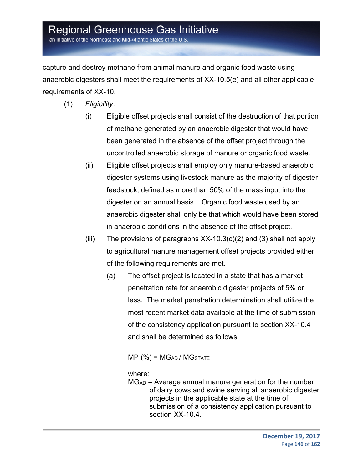an Initiative of the Northeast and Mid-Atlantic States of the U.S.

capture and destroy methane from animal manure and organic food waste using anaerobic digesters shall meet the requirements of XX-10.5(e) and all other applicable requirements of XX-10.

- (1) *Eligibility*.
	- (i) Eligible offset projects shall consist of the destruction of that portion of methane generated by an anaerobic digester that would have been generated in the absence of the offset project through the uncontrolled anaerobic storage of manure or organic food waste.
	- (ii) Eligible offset projects shall employ only manure-based anaerobic digester systems using livestock manure as the majority of digester feedstock, defined as more than 50% of the mass input into the digester on an annual basis. Organic food waste used by an anaerobic digester shall only be that which would have been stored in anaerobic conditions in the absence of the offset project.
	- (iii) The provisions of paragraphs  $XX-10.3(c)(2)$  and (3) shall not apply to agricultural manure management offset projects provided either of the following requirements are met.
		- (a) The offset project is located in a state that has a market penetration rate for anaerobic digester projects of 5% or less. The market penetration determination shall utilize the most recent market data available at the time of submission of the consistency application pursuant to section XX-10.4 and shall be determined as follows:

 $MP$  (%) =  $MG_{AD}$  /  $MG_{STATE}$ 

#### where:

MGAD = Average annual manure generation for the number of dairy cows and swine serving all anaerobic digester projects in the applicable state at the time of submission of a consistency application pursuant to section XX-10.4.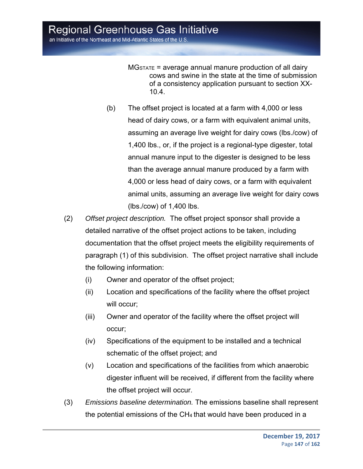$MG_{STATE}$  = average annual manure production of all dairy cows and swine in the state at the time of submission of a consistency application pursuant to section XX-10.4.

- (b) The offset project is located at a farm with 4,000 or less head of dairy cows, or a farm with equivalent animal units, assuming an average live weight for dairy cows (lbs./cow) of 1,400 lbs., or, if the project is a regional-type digester, total annual manure input to the digester is designed to be less than the average annual manure produced by a farm with 4,000 or less head of dairy cows, or a farm with equivalent animal units, assuming an average live weight for dairy cows (lbs./cow) of 1,400 lbs.
- (2) *Offset project description.* The offset project sponsor shall provide a detailed narrative of the offset project actions to be taken, including documentation that the offset project meets the eligibility requirements of paragraph (1) of this subdivision. The offset project narrative shall include the following information:
	- (i) Owner and operator of the offset project;
	- (ii) Location and specifications of the facility where the offset project will occur;
	- (iii) Owner and operator of the facility where the offset project will occur;
	- (iv) Specifications of the equipment to be installed and a technical schematic of the offset project; and
	- (v) Location and specifications of the facilities from which anaerobic digester influent will be received, if different from the facility where the offset project will occur.
- (3) *Emissions baseline determination.* The emissions baseline shall represent the potential emissions of the CH4 that would have been produced in a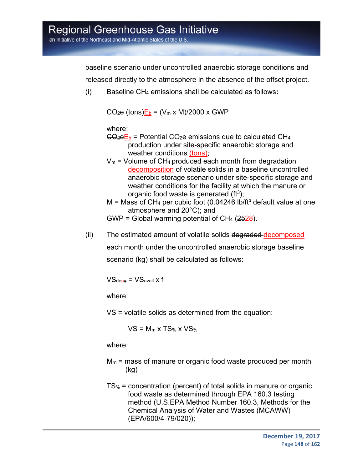an Initiative of the Northeast and Mid-Atlantic States of the U.S.

baseline scenario under uncontrolled anaerobic storage conditions and released directly to the atmosphere in the absence of the offset project.

(i) Baseline CH4 emissions shall be calculated as follows**:**

 $CO<sub>2</sub>e$  (tons) $E<sub>b</sub> = (V<sub>m</sub> x M)/2000 x GWP$ 

where:

- $CO<sub>2</sub>ec<sub>b</sub>$  = Potential CO<sub>2</sub>e emissions due to calculated CH<sub>4</sub> production under site-specific anaerobic storage and weather conditions (tons);
- $V_m$  = Volume of CH<sub>4</sub> produced each month from degradation decomposition of volatile solids in a baseline uncontrolled anaerobic storage scenario under site-specific storage and weather conditions for the facility at which the manure or organic food waste is generated  $(f<sup>3</sup>)$ ;
- $M =$  Mass of CH<sub>4</sub> per cubic foot (0.04246 lb/ft<sup>3</sup> default value at one atmosphere and 20°C); and

GWP = Global warming potential of  $CH_4$  ( $2528$ ).

(ii) The estimated amount of volatile solids degraded decomposed each month under the uncontrolled anaerobic storage baseline scenario (kg) shall be calculated as follows:

 $VS_{\text{decg}} = VS_{\text{avail}}$  x f

where:

VS = volatile solids as determined from the equation:

 $VS = M_m \times TS$ %  $X VS$ 

where:

- $M_m$  = mass of manure or organic food waste produced per month (kg)
- TS% = concentration (percent) of total solids in manure or organic food waste as determined through EPA 160.3 testing method (U.S.EPA Method Number 160.3, Methods for the Chemical Analysis of Water and Wastes (MCAWW) (EPA/600/4-79/020));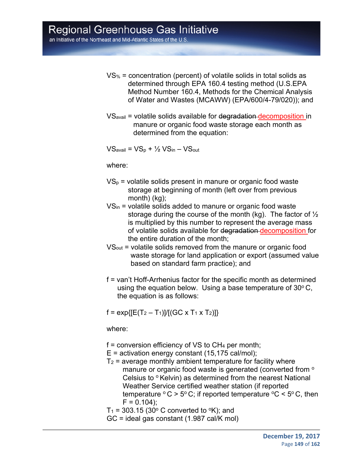an Initiative of the Northeast and Mid-Atlantic States of the U.S.

- VS% = concentration (percent) of volatile solids in total solids as determined through EPA 160.4 testing method (U.S.EPA Method Number 160.4, Methods for the Chemical Analysis of Water and Wastes (MCAWW) (EPA/600/4-79/020)); and
- VSavail = volatile solids available for degradation decomposition in manure or organic food waste storage each month as determined from the equation:

 $VS_{\text{avail}} = VS_p + \frac{1}{2}VS_{\text{in}} - VS_{\text{out}}$ 

where:

- $VS_p$  = volatile solids present in manure or organic food waste storage at beginning of month (left over from previous month) (kg);
- VSin = volatile solids added to manure or organic food waste storage during the course of the month (kg). The factor of ½ is multiplied by this number to represent the average mass of volatile solids available for degradation decomposition for the entire duration of the month;
- VSout = volatile solids removed from the manure or organic food waste storage for land application or export (assumed value based on standard farm practice); and
- f = van't Hoff-Arrhenius factor for the specific month as determined using the equation below. Using a base temperature of  $30^{\circ}$  C, the equation is as follows:

 $f = \exp{ [ [E(T_2 - T_1)] / [(GC \times T_1 \times T_2)] ] }$ 

where:

- $f =$  conversion efficiency of VS to  $CH<sub>4</sub>$  per month;
- $E =$  activation energy constant (15,175 cal/mol);
- $T_2$  = average monthly ambient temperature for facility where manure or organic food waste is generated (converted from <sup>o</sup> Celsius to  $\circ$  Kelvin) as determined from the nearest National Weather Service certified weather station (if reported temperature  $\degree$  C > 5 $\degree$  C; if reported temperature  $\degree$ C < 5 $\degree$  C, then  $F = 0.104$ ;
- T<sub>1</sub> = 303.15 (30 $\degree$  C converted to  $\degree$ K); and
- GC = ideal gas constant (1.987 cal/K mol)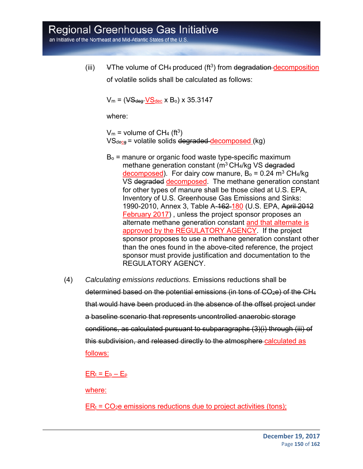an Initiative of the Northeast and Mid-Atlantic States of the U.S.

(iii)  $\quad$  VThe volume of CH<sub>4</sub> produced (ft<sup>3</sup>) from degradation decomposition of volatile solids shall be calculated as follows:

 $V_m = (V \cdot S_{\text{deq}} V S_{\text{dec}} \times B_o) \times 35.3147$ 

where:

 $V_m$  = volume of CH<sub>4</sub> (ft<sup>3</sup>)  $VS_{\text{dece}}$  = volatile solids degraded decomposed (kg)

- $B<sub>o</sub>$  = manure or organic food waste type-specific maximum methane generation constant  $(m^3 CH_4/kg)$  VS degraded decomposed). For dairy cow manure,  $B_0 = 0.24$  m<sup>3</sup> CH<sub>4</sub>/kg VS degraded decomposed. The methane generation constant for other types of manure shall be those cited at U.S. EPA, Inventory of U.S. Greenhouse Gas Emissions and Sinks: 1990-2010, Annex 3, Table A-162 180 (U.S. EPA, April 2012 February 2017) , unless the project sponsor proposes an alternate methane generation constant and that alternate is approved by the REGULATORY AGENCY. If the project sponsor proposes to use a methane generation constant other than the ones found in the above-cited reference, the project sponsor must provide justification and documentation to the REGULATORY AGENCY.
- (4) *Calculating emissions reductions.* Emissions reductions shall be determined based on the potential emissions (in tons of CO2e) of the CH4 that would have been produced in the absence of the offset project under a baseline scenario that represents uncontrolled anaerobic storage conditions, as calculated pursuant to subparagraphs (3)(i) through (iii) of this subdivision, and released directly to the atmosphere calculated as follows:

 $ER_t = E_b - E_p$ 

where:

 $ER<sub>t</sub> = CO<sub>2</sub>e$  emissions reductions due to project activities (tons);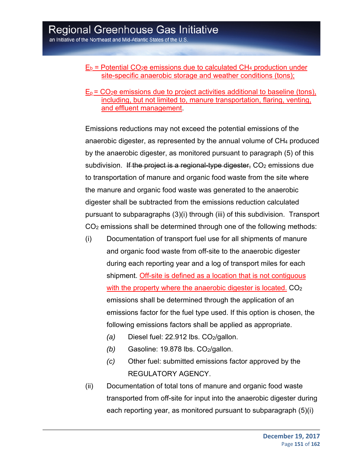- $E_b$  = Potential CO<sub>2</sub>e emissions due to calculated CH<sub>4</sub> production under site-specific anaerobic storage and weather conditions (tons);
- $E_p$  =  $CO_2e$  emissions due to project activities additional to baseline (tons), including, but not limited to, manure transportation, flaring, venting, and effluent management.

Emissions reductions may not exceed the potential emissions of the anaerobic digester, as represented by the annual volume of  $CH<sub>4</sub>$  produced by the anaerobic digester, as monitored pursuant to paragraph (5) of this subdivision. If the project is a regional-type digester,  $CO<sub>2</sub>$  emissions due to transportation of manure and organic food waste from the site where the manure and organic food waste was generated to the anaerobic digester shall be subtracted from the emissions reduction calculated pursuant to subparagraphs (3)(i) through (iii) of this subdivision. Transport CO2 emissions shall be determined through one of the following methods:

- (i) Documentation of transport fuel use for all shipments of manure and organic food waste from off-site to the anaerobic digester during each reporting year and a log of transport miles for each shipment. Off-site is defined as a location that is not contiguous with the property where the anaerobic digester is located. CO<sub>2</sub> emissions shall be determined through the application of an emissions factor for the fuel type used. If this option is chosen, the following emissions factors shall be applied as appropriate.
	- *(a)* Diesel fuel: 22.912 lbs. CO<sub>2</sub>/gallon.
	- *(b)* Gasoline: 19.878 lbs. CO2/gallon.
	- *(c)* Other fuel: submitted emissions factor approved by the REGULATORY AGENCY.
- (ii) Documentation of total tons of manure and organic food waste transported from off-site for input into the anaerobic digester during each reporting year, as monitored pursuant to subparagraph (5)(i)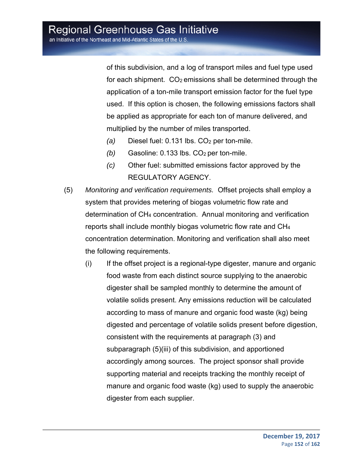of this subdivision, and a log of transport miles and fuel type used for each shipment.  $CO<sub>2</sub>$  emissions shall be determined through the application of a ton-mile transport emission factor for the fuel type used. If this option is chosen, the following emissions factors shall be applied as appropriate for each ton of manure delivered, and multiplied by the number of miles transported.

- *(a)* Diesel fuel: 0.131 lbs. CO<sub>2</sub> per ton-mile.
- *(b)* Gasoline: 0.133 lbs. CO<sub>2</sub> per ton-mile.
- *(c)* Other fuel: submitted emissions factor approved by the REGULATORY AGENCY.
- (5) *Monitoring and verification requirements.* Offset projects shall employ a system that provides metering of biogas volumetric flow rate and determination of CH4 concentration. Annual monitoring and verification reports shall include monthly biogas volumetric flow rate and CH4 concentration determination. Monitoring and verification shall also meet the following requirements.
	- (i) If the offset project is a regional-type digester, manure and organic food waste from each distinct source supplying to the anaerobic digester shall be sampled monthly to determine the amount of volatile solids present. Any emissions reduction will be calculated according to mass of manure and organic food waste (kg) being digested and percentage of volatile solids present before digestion, consistent with the requirements at paragraph (3) and subparagraph (5)(iii) of this subdivision, and apportioned accordingly among sources. The project sponsor shall provide supporting material and receipts tracking the monthly receipt of manure and organic food waste (kg) used to supply the anaerobic digester from each supplier.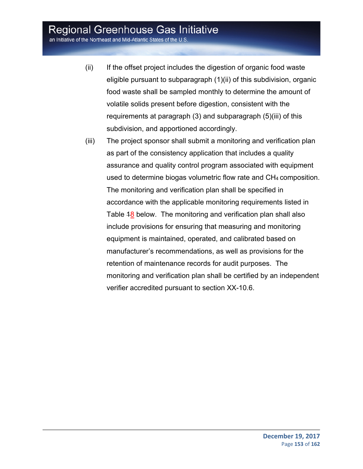an Initiative of the Northeast and Mid-Atlantic States of the U.S.

- (ii) If the offset project includes the digestion of organic food waste eligible pursuant to subparagraph (1)(ii) of this subdivision, organic food waste shall be sampled monthly to determine the amount of volatile solids present before digestion, consistent with the requirements at paragraph (3) and subparagraph (5)(iii) of this subdivision, and apportioned accordingly.
- (iii) The project sponsor shall submit a monitoring and verification plan as part of the consistency application that includes a quality assurance and quality control program associated with equipment used to determine biogas volumetric flow rate and CH4 composition. The monitoring and verification plan shall be specified in accordance with the applicable monitoring requirements listed in Table 48 below. The monitoring and verification plan shall also include provisions for ensuring that measuring and monitoring equipment is maintained, operated, and calibrated based on manufacturer's recommendations, as well as provisions for the retention of maintenance records for audit purposes. The monitoring and verification plan shall be certified by an independent verifier accredited pursuant to section XX-10.6.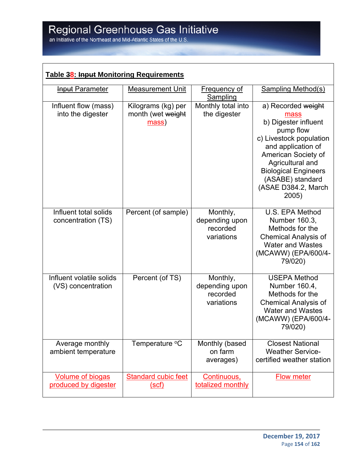| <b>Table 38: Input Monitoring Requirements</b>  |                                                  |                                                      |                                                                                                                                                                                                                                                |  |  |
|-------------------------------------------------|--------------------------------------------------|------------------------------------------------------|------------------------------------------------------------------------------------------------------------------------------------------------------------------------------------------------------------------------------------------------|--|--|
| <b>Input Parameter</b>                          | <b>Measurement Unit</b>                          | <b>Frequency of</b><br>Sampling                      | <b>Sampling Method(s)</b>                                                                                                                                                                                                                      |  |  |
| Influent flow (mass)<br>into the digester       | Kilograms (kg) per<br>month (wet weight<br>mass) | Monthly total into<br>the digester                   | a) Recorded weight<br>mass<br>b) Digester influent<br>pump flow<br>c) Livestock population<br>and application of<br>American Society of<br>Agricultural and<br><b>Biological Engineers</b><br>(ASABE) standard<br>(ASAE D384.2, March<br>2005) |  |  |
| Influent total solids<br>concentration (TS)     | Percent (of sample)                              | Monthly,<br>depending upon<br>recorded<br>variations | U.S. EPA Method<br>Number 160.3,<br>Methods for the<br><b>Chemical Analysis of</b><br><b>Water and Wastes</b><br>(MCAWW) (EPA/600/4-<br>79/020)                                                                                                |  |  |
| Influent volatile solids<br>(VS) concentration  | Percent (of TS)                                  | Monthly,<br>depending upon<br>recorded<br>variations | <b>USEPA Method</b><br>Number 160.4,<br>Methods for the<br><b>Chemical Analysis of</b><br><b>Water and Wastes</b><br>(MCAWW) (EPA/600/4-<br>79/020)                                                                                            |  |  |
| Average monthly<br>ambient temperature          | Temperature °C                                   | Monthly (based<br>on farm<br>averages)               | <b>Closest National</b><br><b>Weather Service-</b><br>certified weather station                                                                                                                                                                |  |  |
| <b>Volume of biogas</b><br>produced by digester | <b>Standard cubic feet</b><br>(scf)              | Continuous,<br>totalized monthly                     | <b>Flow meter</b>                                                                                                                                                                                                                              |  |  |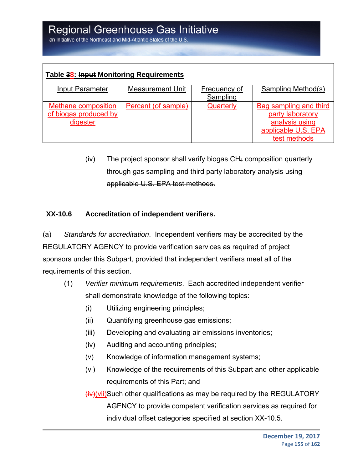| Table 38: Input Monitoring Requirements                  |                         |                                 |                                                                                                     |  |  |
|----------------------------------------------------------|-------------------------|---------------------------------|-----------------------------------------------------------------------------------------------------|--|--|
| <b>Input Parameter</b>                                   | <b>Measurement Unit</b> | <b>Frequency of</b><br>Sampling | <b>Sampling Method(s)</b>                                                                           |  |  |
| Methane composition<br>of biogas produced by<br>digester | Percent (of sample)     | Quarterly                       | Bag sampling and third<br>party laboratory<br>analysis using<br>applicable U.S. EPA<br>test methods |  |  |

(iv) The project sponsor shall verify biogas CH4 composition quarterly through gas sampling and third party laboratory analysis using applicable U.S. EPA test methods.

#### **XX-10.6 Accreditation of independent verifiers.**

(a) *Standards for accreditation*. Independent verifiers may be accredited by the REGULATORY AGENCY to provide verification services as required of project sponsors under this Subpart, provided that independent verifiers meet all of the requirements of this section.

- (1) *Verifier minimum requirements*. Each accredited independent verifier shall demonstrate knowledge of the following topics:
	- (i) Utilizing engineering principles;
	- (ii) Quantifying greenhouse gas emissions;
	- (iii) Developing and evaluating air emissions inventories;
	- (iv) Auditing and accounting principles;
	- (v) Knowledge of information management systems;
	- (vi) Knowledge of the requirements of this Subpart and other applicable requirements of this Part; and

(iv)(vii)Such other qualifications as may be required by the REGULATORY AGENCY to provide competent verification services as required for individual offset categories specified at section XX-10.5.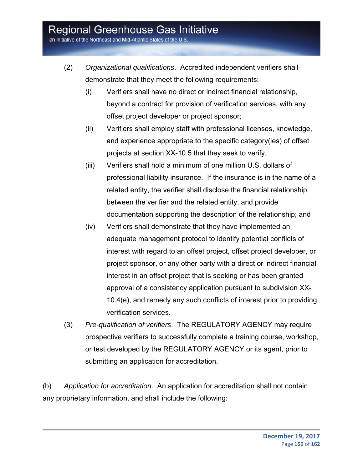an Initiative of the Northeast and Mid-Atlantic States of the U.S

- (2) *Organizational qualifications*. Accredited independent verifiers shall demonstrate that they meet the following requirements:
	- (i) Verifiers shall have no direct or indirect financial relationship, beyond a contract for provision of verification services, with any offset project developer or project sponsor;
	- (ii) Verifiers shall employ staff with professional licenses, knowledge, and experience appropriate to the specific category(ies) of offset projects at section XX-10.5 that they seek to verify.
	- (iii) Verifiers shall hold a minimum of one million U.S. dollars of professional liability insurance. If the insurance is in the name of a related entity, the verifier shall disclose the financial relationship between the verifier and the related entity, and provide documentation supporting the description of the relationship; and
	- (iv) Verifiers shall demonstrate that they have implemented an adequate management protocol to identify potential conflicts of interest with regard to an offset project, offset project developer, or project sponsor, or any other party with a direct or indirect financial interest in an offset project that is seeking or has been granted approval of a consistency application pursuant to subdivision XX-10.4(e), and remedy any such conflicts of interest prior to providing verification services.
- (3) *Pre-qualification of verifiers*. The REGULATORY AGENCY may require prospective verifiers to successfully complete a training course, workshop, or test developed by the REGULATORY AGENCY or its agent, prior to submitting an application for accreditation.

(b) *Application for accreditation*. An application for accreditation shall not contain any proprietary information, and shall include the following: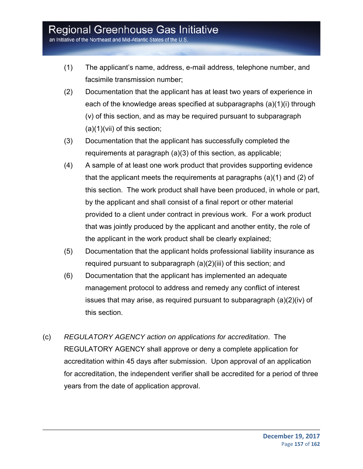an Initiative of the Northeast and Mid-Atlantic States of the U.S.

- (1) The applicant's name, address, e-mail address, telephone number, and facsimile transmission number;
- (2) Documentation that the applicant has at least two years of experience in each of the knowledge areas specified at subparagraphs (a)(1)(i) through (v) of this section, and as may be required pursuant to subparagraph (a)(1)(vii) of this section;
- (3) Documentation that the applicant has successfully completed the requirements at paragraph (a)(3) of this section, as applicable;
- (4) A sample of at least one work product that provides supporting evidence that the applicant meets the requirements at paragraphs (a)(1) and (2) of this section. The work product shall have been produced, in whole or part, by the applicant and shall consist of a final report or other material provided to a client under contract in previous work. For a work product that was jointly produced by the applicant and another entity, the role of the applicant in the work product shall be clearly explained;
- (5) Documentation that the applicant holds professional liability insurance as required pursuant to subparagraph (a)(2)(iii) of this section; and
- (6) Documentation that the applicant has implemented an adequate management protocol to address and remedy any conflict of interest issues that may arise, as required pursuant to subparagraph (a)(2)(iv) of this section.
- (c) *REGULATORY AGENCY action on applications for accreditation*. The REGULATORY AGENCY shall approve or deny a complete application for accreditation within 45 days after submission. Upon approval of an application for accreditation, the independent verifier shall be accredited for a period of three years from the date of application approval.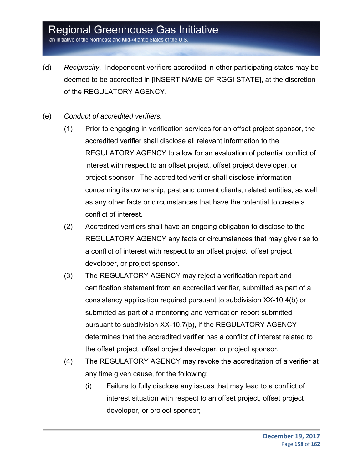an Initiative of the Northeast and Mid-Atlantic States of the U.S

- (d) *Reciprocity*. Independent verifiers accredited in other participating states may be deemed to be accredited in [INSERT NAME OF RGGI STATE], at the discretion of the REGULATORY AGENCY.
- (e) *Conduct of accredited verifiers.*
	- (1) Prior to engaging in verification services for an offset project sponsor, the accredited verifier shall disclose all relevant information to the REGULATORY AGENCY to allow for an evaluation of potential conflict of interest with respect to an offset project, offset project developer, or project sponsor. The accredited verifier shall disclose information concerning its ownership, past and current clients, related entities, as well as any other facts or circumstances that have the potential to create a conflict of interest.
	- (2) Accredited verifiers shall have an ongoing obligation to disclose to the REGULATORY AGENCY any facts or circumstances that may give rise to a conflict of interest with respect to an offset project, offset project developer, or project sponsor.
	- (3) The REGULATORY AGENCY may reject a verification report and certification statement from an accredited verifier, submitted as part of a consistency application required pursuant to subdivision XX-10.4(b) or submitted as part of a monitoring and verification report submitted pursuant to subdivision XX-10.7(b), if the REGULATORY AGENCY determines that the accredited verifier has a conflict of interest related to the offset project, offset project developer, or project sponsor.
	- (4) The REGULATORY AGENCY may revoke the accreditation of a verifier at any time given cause, for the following:
		- (i) Failure to fully disclose any issues that may lead to a conflict of interest situation with respect to an offset project, offset project developer, or project sponsor;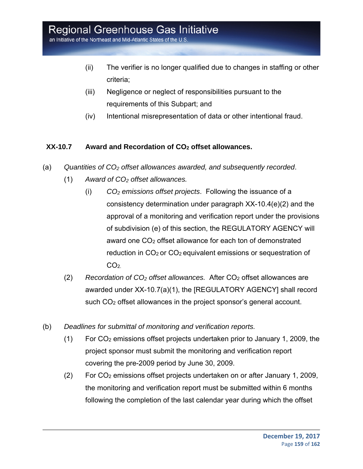an Initiative of the Northeast and Mid-Atlantic States of the U.S

- (ii) The verifier is no longer qualified due to changes in staffing or other criteria;
- (iii) Negligence or neglect of responsibilities pursuant to the requirements of this Subpart; and
- (iv) Intentional misrepresentation of data or other intentional fraud.

#### **XX-10.7 Award and Recordation of CO2 offset allowances.**

- (a) *Quantities of CO2 offset allowances awarded, and subsequently recorded*.
	- (1) *Award of CO2 offset allowances.* 
		- (i) *CO2 emissions offset projects*. Following the issuance of a consistency determination under paragraph XX-10.4(e)(2) and the approval of a monitoring and verification report under the provisions of subdivision (e) of this section, the REGULATORY AGENCY will award one CO<sub>2</sub> offset allowance for each ton of demonstrated reduction in  $CO<sub>2</sub>$  or  $CO<sub>2</sub>$  equivalent emissions or sequestration of  $CO<sub>2</sub>$
	- (2) *Recordation of CO2 offset allowances.* After CO2 offset allowances are awarded under XX-10.7(a)(1), the [REGULATORY AGENCY] shall record such CO<sub>2</sub> offset allowances in the project sponsor's general account.
- (b) *Deadlines for submittal of monitoring and verification reports.*
	- (1) For CO2 emissions offset projects undertaken prior to January 1, 2009, the project sponsor must submit the monitoring and verification report covering the pre-2009 period by June 30, 2009.
	- (2) For CO2 emissions offset projects undertaken on or after January 1, 2009, the monitoring and verification report must be submitted within 6 months following the completion of the last calendar year during which the offset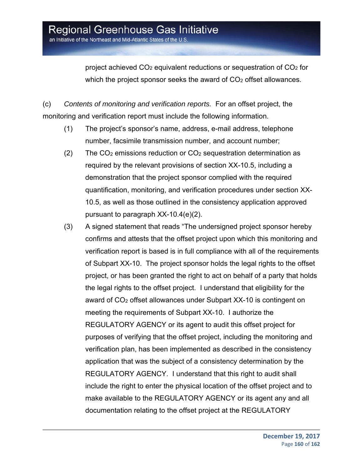project achieved  $CO<sub>2</sub>$  equivalent reductions or sequestration of  $CO<sub>2</sub>$  for which the project sponsor seeks the award of  $CO<sub>2</sub>$  offset allowances.

(c) *Contents of monitoring and verification reports.* For an offset project, the monitoring and verification report must include the following information.

- (1) The project's sponsor's name, address, e-mail address, telephone number, facsimile transmission number, and account number;
- (2) The  $CO<sub>2</sub>$  emissions reduction or  $CO<sub>2</sub>$  sequestration determination as required by the relevant provisions of section XX-10.5, including a demonstration that the project sponsor complied with the required quantification, monitoring, and verification procedures under section XX-10.5, as well as those outlined in the consistency application approved pursuant to paragraph XX-10.4(e)(2).
- (3) A signed statement that reads "The undersigned project sponsor hereby confirms and attests that the offset project upon which this monitoring and verification report is based is in full compliance with all of the requirements of Subpart XX-10. The project sponsor holds the legal rights to the offset project, or has been granted the right to act on behalf of a party that holds the legal rights to the offset project. I understand that eligibility for the award of CO2 offset allowances under Subpart XX-10 is contingent on meeting the requirements of Subpart XX-10. I authorize the REGULATORY AGENCY or its agent to audit this offset project for purposes of verifying that the offset project, including the monitoring and verification plan, has been implemented as described in the consistency application that was the subject of a consistency determination by the REGULATORY AGENCY. I understand that this right to audit shall include the right to enter the physical location of the offset project and to make available to the REGULATORY AGENCY or its agent any and all documentation relating to the offset project at the REGULATORY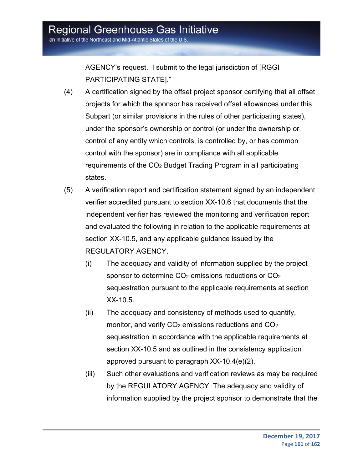an Initiative of the Northeast and Mid-Atlantic States of the U.S

AGENCY's request. I submit to the legal jurisdiction of [RGGI PARTICIPATING STATE]."

- (4) A certification signed by the offset project sponsor certifying that all offset projects for which the sponsor has received offset allowances under this Subpart (or similar provisions in the rules of other participating states), under the sponsor's ownership or control (or under the ownership or control of any entity which controls, is controlled by, or has common control with the sponsor) are in compliance with all applicable requirements of the CO2 Budget Trading Program in all participating states.
- (5) A verification report and certification statement signed by an independent verifier accredited pursuant to section XX-10.6 that documents that the independent verifier has reviewed the monitoring and verification report and evaluated the following in relation to the applicable requirements at section XX-10.5, and any applicable guidance issued by the REGULATORY AGENCY.
	- (i) The adequacy and validity of information supplied by the project sponsor to determine  $CO<sub>2</sub>$  emissions reductions or  $CO<sub>2</sub>$ sequestration pursuant to the applicable requirements at section XX-10.5.
	- (ii) The adequacy and consistency of methods used to quantify, monitor, and verify  $CO<sub>2</sub>$  emissions reductions and  $CO<sub>2</sub>$ sequestration in accordance with the applicable requirements at section XX-10.5 and as outlined in the consistency application approved pursuant to paragraph XX-10.4(e)(2).
	- (iii) Such other evaluations and verification reviews as may be required by the REGULATORY AGENCY. The adequacy and validity of information supplied by the project sponsor to demonstrate that the